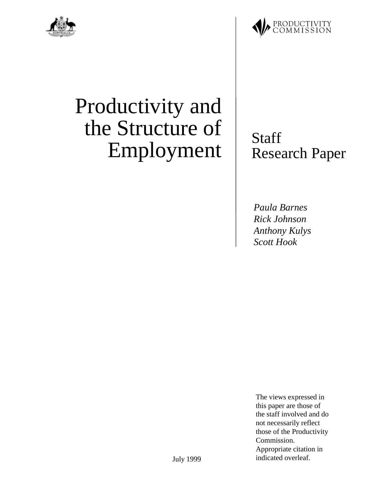



## Productivity and the Structure of  $\mathsf{Employment}$  Staff Research

# Research Paper

*Paula Barnes Rick Johnson Anthony Kulys Scott Hook*

The views expressed in this paper are those of the staff involved and do not necessarily reflect those of the Productivity Commission. Appropriate citation in indicated overleaf.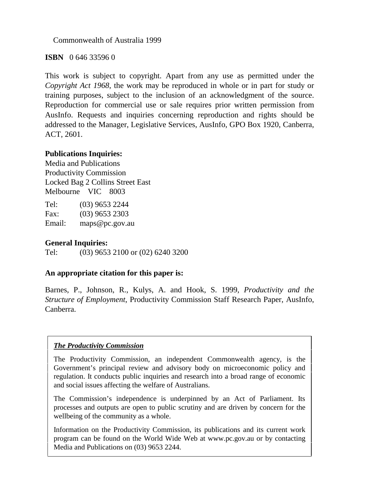Commonwealth of Australia 1999

**ISBN** 0 646 33596 0

This work is subject to copyright. Apart from any use as permitted under the *Copyright Act 1968*, the work may be reproduced in whole or in part for study or training purposes, subject to the inclusion of an acknowledgment of the source. Reproduction for commercial use or sale requires prior written permission from AusInfo. Requests and inquiries concerning reproduction and rights should be addressed to the Manager, Legislative Services, AusInfo, GPO Box 1920, Canberra, ACT, 2601.

### **Publications Inquiries:**

Media and Publications Productivity Commission Locked Bag 2 Collins Street East Melbourne VIC 8003

| Tel:   | $(03)$ 9653 2244 |
|--------|------------------|
| Fax:   | $(03)$ 9653 2303 |
| Email: | maps@pc.gov.au   |

### **General Inquiries:**

Tel: (03) 9653 2100 or (02) 6240 3200

### **An appropriate citation for this paper is:**

Barnes, P., Johnson, R., Kulys, A. and Hook, S. 1999, *Productivity and the Structure of Employment*, Productivity Commission Staff Research Paper, AusInfo, Canberra.

### *The Productivity Commission*

The Productivity Commission, an independent Commonwealth agency, is the Government's principal review and advisory body on microeconomic policy and regulation. It conducts public inquiries and research into a broad range of economic and social issues affecting the welfare of Australians.

The Commission's independence is underpinned by an Act of Parliament. Its processes and outputs are open to public scrutiny and are driven by concern for the wellbeing of the community as a whole.

Information on the Productivity Commission, its publications and its current work program can be found on the World Wide Web at www.pc.gov.au or by contacting Media and Publications on (03) 9653 2244.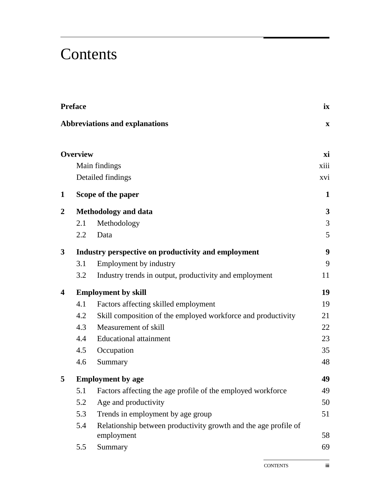### **Contents**

|                         | <b>Preface</b>  |                                                                 | ix           |
|-------------------------|-----------------|-----------------------------------------------------------------|--------------|
|                         |                 | <b>Abbreviations and explanations</b>                           | $\mathbf X$  |
|                         | <b>Overview</b> |                                                                 | xi           |
|                         |                 | Main findings                                                   | xiii         |
|                         |                 | Detailed findings                                               | xvi          |
| $\mathbf{1}$            |                 | Scope of the paper                                              | $\mathbf{1}$ |
| $\boldsymbol{2}$        |                 | <b>Methodology and data</b>                                     | 3            |
|                         | 2.1             | Methodology                                                     | 3            |
|                         | 2.2             | Data                                                            | 5            |
| 3                       |                 | Industry perspective on productivity and employment             | 9            |
|                         | 3.1             | Employment by industry                                          | 9            |
|                         | 3.2             | Industry trends in output, productivity and employment          | 11           |
| $\overline{\mathbf{4}}$ |                 | <b>Employment by skill</b>                                      | 19           |
|                         | 4.1             | Factors affecting skilled employment                            | 19           |
|                         | 4.2             | Skill composition of the employed workforce and productivity    | 21           |
|                         | 4.3             | Measurement of skill                                            | 22           |
|                         | 4.4             | <b>Educational attainment</b>                                   | 23           |
|                         | 4.5             | Occupation                                                      | 35           |
|                         | 4.6             | Summary                                                         | 48           |
| 5                       |                 | <b>Employment by age</b>                                        | 49           |
|                         | 5.1             | Factors affecting the age profile of the employed workforce     | 49           |
|                         | 5.2             | Age and productivity                                            | 50           |
|                         | 5.3             | Trends in employment by age group                               | 51           |
|                         | 5.4             | Relationship between productivity growth and the age profile of |              |
|                         |                 | employment                                                      | 58           |
|                         | 5.5             | Summary                                                         | 69           |
|                         |                 |                                                                 |              |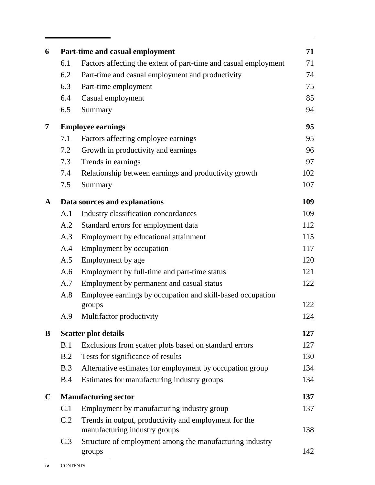| 6            | Part-time and casual employment |                                                                                        |     |  |  |
|--------------|---------------------------------|----------------------------------------------------------------------------------------|-----|--|--|
|              | 6.1                             | Factors affecting the extent of part-time and casual employment                        | 71  |  |  |
|              | 6.2                             | Part-time and casual employment and productivity                                       | 74  |  |  |
|              | 6.3                             | Part-time employment                                                                   | 75  |  |  |
|              | 6.4                             | Casual employment                                                                      | 85  |  |  |
|              | 6.5                             | Summary                                                                                | 94  |  |  |
| 7            |                                 | <b>Employee earnings</b>                                                               | 95  |  |  |
|              | 7.1                             | Factors affecting employee earnings                                                    | 95  |  |  |
|              | 7.2                             | Growth in productivity and earnings                                                    | 96  |  |  |
|              | 7.3                             | Trends in earnings                                                                     | 97  |  |  |
|              | 7.4                             | Relationship between earnings and productivity growth                                  | 102 |  |  |
|              | 7.5                             | Summary                                                                                | 107 |  |  |
| $\mathbf{A}$ |                                 | Data sources and explanations                                                          | 109 |  |  |
|              | A.1                             | Industry classification concordances                                                   | 109 |  |  |
|              | A.2                             | Standard errors for employment data                                                    | 112 |  |  |
|              | A.3                             | Employment by educational attainment                                                   | 115 |  |  |
|              | A.4                             | Employment by occupation                                                               | 117 |  |  |
|              | A.5                             | Employment by age                                                                      | 120 |  |  |
|              | A.6                             | Employment by full-time and part-time status                                           | 121 |  |  |
|              | A.7                             | Employment by permanent and casual status                                              | 122 |  |  |
|              | A.8                             | Employee earnings by occupation and skill-based occupation<br>groups                   | 122 |  |  |
|              | A.9                             | Multifactor productivity                                                               | 124 |  |  |
| B            |                                 | <b>Scatter plot details</b>                                                            | 127 |  |  |
|              | B.1                             | Exclusions from scatter plots based on standard errors                                 | 127 |  |  |
|              | B.2                             | Tests for significance of results                                                      | 130 |  |  |
|              | B.3                             | Alternative estimates for employment by occupation group                               | 134 |  |  |
|              | B.4                             | Estimates for manufacturing industry groups                                            | 134 |  |  |
| $\mathbf C$  |                                 | <b>Manufacturing sector</b>                                                            | 137 |  |  |
|              | C.1                             | Employment by manufacturing industry group                                             | 137 |  |  |
|              | C.2                             | Trends in output, productivity and employment for the<br>manufacturing industry groups | 138 |  |  |
|              | C.3                             | Structure of employment among the manufacturing industry                               |     |  |  |
|              |                                 | groups                                                                                 | 142 |  |  |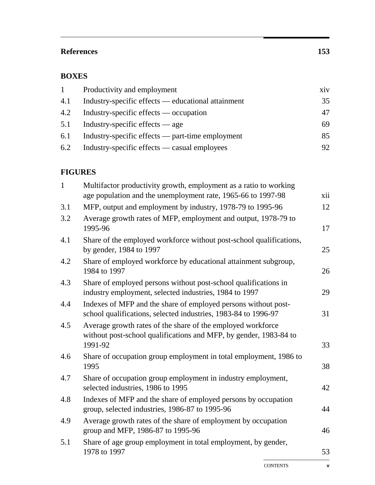### **References 153**

### **BOXES**

| $\mathbf{1}$ | Productivity and employment                        | xiv |
|--------------|----------------------------------------------------|-----|
| 4.1          | Industry-specific effects — educational attainment | 35  |
| 4.2          | Industry-specific effects — occupation             | 47  |
| 5.1          | Industry-specific effects $-$ age                  | 69  |
| 6.1          | Industry-specific effects — part-time employment   | 85  |
| 6.2          | Industry-specific effects — casual employees       | 92  |

### **FIGURES**

| $\mathbf{1}$ | Multifactor productivity growth, employment as a ratio to working<br>age population and the unemployment rate, 1965-66 to 1997-98           | xii |
|--------------|---------------------------------------------------------------------------------------------------------------------------------------------|-----|
| 3.1          | MFP, output and employment by industry, 1978-79 to 1995-96                                                                                  | 12  |
| 3.2          | Average growth rates of MFP, employment and output, 1978-79 to<br>1995-96                                                                   | 17  |
| 4.1          | Share of the employed workforce without post-school qualifications,<br>by gender, 1984 to 1997                                              | 25  |
| 4.2          | Share of employed workforce by educational attainment subgroup,<br>1984 to 1997                                                             | 26  |
| 4.3          | Share of employed persons without post-school qualifications in<br>industry employment, selected industries, 1984 to 1997                   | 29  |
| 4.4          | Indexes of MFP and the share of employed persons without post-<br>school qualifications, selected industries, 1983-84 to 1996-97            | 31  |
| 4.5          | Average growth rates of the share of the employed workforce<br>without post-school qualifications and MFP, by gender, 1983-84 to<br>1991-92 | 33  |
| 4.6          | Share of occupation group employment in total employment, 1986 to<br>1995                                                                   | 38  |
| 4.7          | Share of occupation group employment in industry employment,<br>selected industries, 1986 to 1995                                           | 42  |
| 4.8          | Indexes of MFP and the share of employed persons by occupation<br>group, selected industries, 1986-87 to 1995-96                            | 44  |
| 4.9          | Average growth rates of the share of employment by occupation<br>group and MFP, 1986-87 to 1995-96                                          | 46  |
| 5.1          | Share of age group employment in total employment, by gender,<br>1978 to 1997                                                               | 53  |
|              | <b>CONTENTS</b>                                                                                                                             | v   |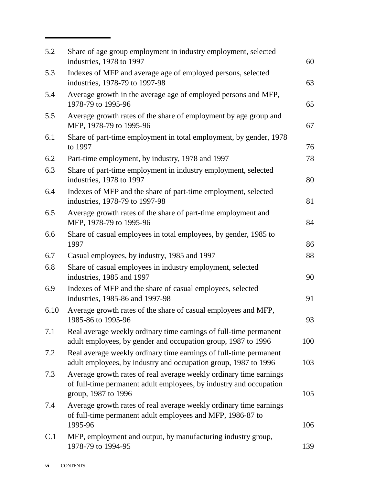| 5.2  | Share of age group employment in industry employment, selected<br>industries, 1978 to 1997                                                                      | 60  |
|------|-----------------------------------------------------------------------------------------------------------------------------------------------------------------|-----|
| 5.3  | Indexes of MFP and average age of employed persons, selected<br>industries, 1978-79 to 1997-98                                                                  | 63  |
| 5.4  | Average growth in the average age of employed persons and MFP,<br>1978-79 to 1995-96                                                                            | 65  |
| 5.5  | Average growth rates of the share of employment by age group and<br>MFP, 1978-79 to 1995-96                                                                     | 67  |
| 6.1  | Share of part-time employment in total employment, by gender, 1978<br>to 1997                                                                                   | 76  |
| 6.2  | Part-time employment, by industry, 1978 and 1997                                                                                                                | 78  |
| 6.3  | Share of part-time employment in industry employment, selected<br>industries, 1978 to 1997                                                                      | 80  |
| 6.4  | Indexes of MFP and the share of part-time employment, selected<br>industries, 1978-79 to 1997-98                                                                | 81  |
| 6.5  | Average growth rates of the share of part-time employment and<br>MFP, 1978-79 to 1995-96                                                                        | 84  |
| 6.6  | Share of casual employees in total employees, by gender, 1985 to<br>1997                                                                                        | 86  |
| 6.7  | Casual employees, by industry, 1985 and 1997                                                                                                                    | 88  |
| 6.8  | Share of casual employees in industry employment, selected<br>industries, 1985 and 1997                                                                         | 90  |
| 6.9  | Indexes of MFP and the share of casual employees, selected<br>industries, 1985-86 and 1997-98                                                                   | 91  |
| 6.10 | Average growth rates of the share of casual employees and MFP,<br>1985-86 to 1995-96                                                                            | 93  |
| 7.1  | Real average weekly ordinary time earnings of full-time permanent<br>adult employees, by gender and occupation group, 1987 to 1996                              | 100 |
| 7.2  | Real average weekly ordinary time earnings of full-time permanent<br>adult employees, by industry and occupation group, 1987 to 1996                            | 103 |
| 7.3  | Average growth rates of real average weekly ordinary time earnings<br>of full-time permanent adult employees, by industry and occupation<br>group, 1987 to 1996 | 105 |
| 7.4  | Average growth rates of real average weekly ordinary time earnings<br>of full-time permanent adult employees and MFP, 1986-87 to                                |     |
|      | 1995-96                                                                                                                                                         | 106 |
| C.1  | MFP, employment and output, by manufacturing industry group,<br>1978-79 to 1994-95                                                                              | 139 |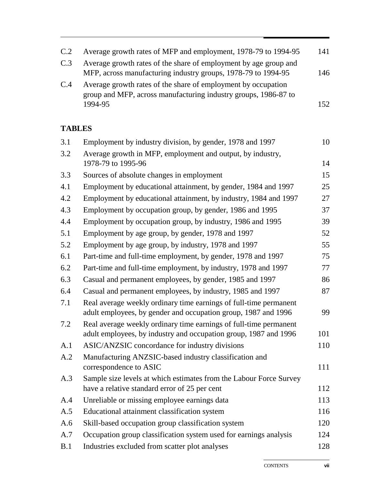| C.2           | Average growth rates of MFP and employment, 1978-79 to 1994-95                                                                      | 141 |
|---------------|-------------------------------------------------------------------------------------------------------------------------------------|-----|
| C.3           | Average growth rates of the share of employment by age group and<br>MFP, across manufacturing industry groups, 1978-79 to 1994-95   | 146 |
| C.4           | Average growth rates of the share of employment by occupation<br>group and MFP, across manufacturing industry groups, 1986-87 to    |     |
|               | 1994-95                                                                                                                             | 152 |
| <b>TABLES</b> |                                                                                                                                     |     |
| 3.1           | Employment by industry division, by gender, 1978 and 1997                                                                           | 10  |
| 3.2           | Average growth in MFP, employment and output, by industry,<br>1978-79 to 1995-96                                                    | 14  |
| 3.3           | Sources of absolute changes in employment                                                                                           | 15  |
| 4.1           | Employment by educational attainment, by gender, 1984 and 1997                                                                      | 25  |
| 4.2           | Employment by educational attainment, by industry, 1984 and 1997                                                                    | 27  |
| 4.3           | Employment by occupation group, by gender, 1986 and 1995                                                                            | 37  |
| 4.4           | Employment by occupation group, by industry, 1986 and 1995                                                                          | 39  |
| 5.1           | Employment by age group, by gender, 1978 and 1997                                                                                   | 52  |
| 5.2           | Employment by age group, by industry, 1978 and 1997                                                                                 | 55  |
| 6.1           | Part-time and full-time employment, by gender, 1978 and 1997                                                                        | 75  |
| 6.2           | Part-time and full-time employment, by industry, 1978 and 1997                                                                      | 77  |
| 6.3           | Casual and permanent employees, by gender, 1985 and 1997                                                                            | 86  |
| 6.4           | Casual and permanent employees, by industry, 1985 and 1997                                                                          | 87  |
| 7.1           | Real average weekly ordinary time earnings of full-time permanent<br>adult employees, by gender and occupation group, 1987 and 1996 | 99  |
| 7.2           | Real average weekly ordinary time earnings of full-time permanent                                                                   |     |
|               | adult employees, by industry and occupation group, 1987 and 1996                                                                    | 101 |
| A.1           | ASIC/ANZSIC concordance for industry divisions                                                                                      | 110 |
| A.2           | Manufacturing ANZSIC-based industry classification and<br>correspondence to ASIC                                                    | 111 |
| A.3           | Sample size levels at which estimates from the Labour Force Survey<br>have a relative standard error of 25 per cent                 | 112 |
| A.4           | Unreliable or missing employee earnings data                                                                                        | 113 |
| A.5           | Educational attainment classification system                                                                                        | 116 |
| A.6           | Skill-based occupation group classification system                                                                                  | 120 |
| A.7           | Occupation group classification system used for earnings analysis                                                                   | 124 |
| B.1           | Industries excluded from scatter plot analyses                                                                                      | 128 |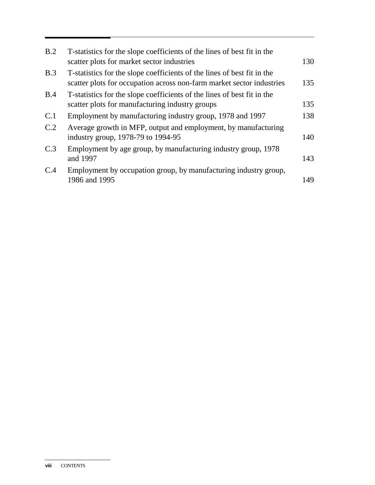| B.2 | T-statistics for the slope coefficients of the lines of best fit in the<br>scatter plots for market sector industries                            | 130 |
|-----|--------------------------------------------------------------------------------------------------------------------------------------------------|-----|
| B.3 | T-statistics for the slope coefficients of the lines of best fit in the<br>scatter plots for occupation across non-farm market sector industries | 135 |
| B.4 | T-statistics for the slope coefficients of the lines of best fit in the                                                                          |     |
|     | scatter plots for manufacturing industry groups                                                                                                  | 135 |
| C.1 | Employment by manufacturing industry group, 1978 and 1997                                                                                        | 138 |
| C.2 | Average growth in MFP, output and employment, by manufacturing<br>industry group, 1978-79 to 1994-95                                             | 140 |
| C.3 | Employment by age group, by manufacturing industry group, 1978<br>and 1997                                                                       | 143 |
| C.4 | Employment by occupation group, by manufacturing industry group,<br>1986 and 1995                                                                | 149 |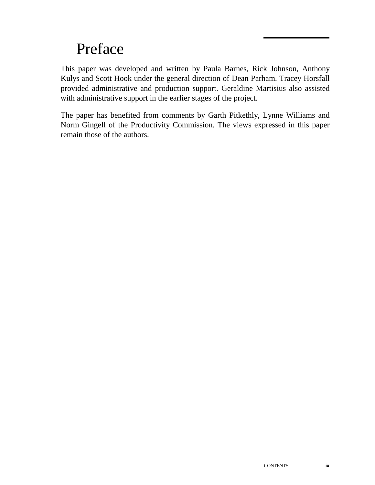### Preface

This paper was developed and written by Paula Barnes, Rick Johnson, Anthony Kulys and Scott Hook under the general direction of Dean Parham. Tracey Horsfall provided administrative and production support. Geraldine Martisius also assisted with administrative support in the earlier stages of the project.

The paper has benefited from comments by Garth Pitkethly, Lynne Williams and Norm Gingell of the Productivity Commission. The views expressed in this paper remain those of the authors.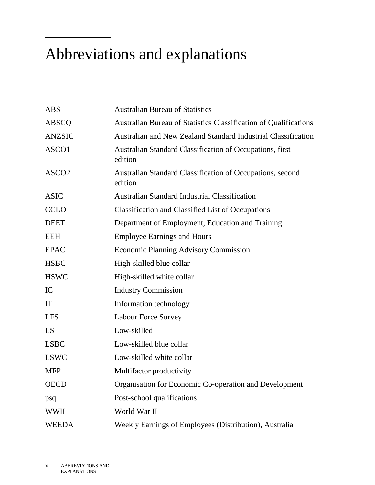### Abbreviations and explanations

| <b>ABS</b>        | <b>Australian Bureau of Statistics</b>                               |
|-------------------|----------------------------------------------------------------------|
| ABSCQ             | Australian Bureau of Statistics Classification of Qualifications     |
| <b>ANZSIC</b>     | Australian and New Zealand Standard Industrial Classification        |
| ASCO1             | Australian Standard Classification of Occupations, first<br>edition  |
| ASCO <sub>2</sub> | Australian Standard Classification of Occupations, second<br>edition |
| <b>ASIC</b>       | <b>Australian Standard Industrial Classification</b>                 |
| <b>CCLO</b>       | <b>Classification and Classified List of Occupations</b>             |
| <b>DEET</b>       | Department of Employment, Education and Training                     |
| <b>EEH</b>        | <b>Employee Earnings and Hours</b>                                   |
| <b>EPAC</b>       | <b>Economic Planning Advisory Commission</b>                         |
| <b>HSBC</b>       | High-skilled blue collar                                             |
| <b>HSWC</b>       | High-skilled white collar                                            |
| IC                | <b>Industry Commission</b>                                           |
| IT                | Information technology                                               |
| <b>LFS</b>        | <b>Labour Force Survey</b>                                           |
| LS                | Low-skilled                                                          |
| <b>LSBC</b>       | Low-skilled blue collar                                              |
| <b>LSWC</b>       | Low-skilled white collar                                             |
| <b>MFP</b>        | Multifactor productivity                                             |
| <b>OECD</b>       | Organisation for Economic Co-operation and Development               |
| psq               | Post-school qualifications                                           |
| <b>WWII</b>       | World War II                                                         |
| <b>WEEDA</b>      | Weekly Earnings of Employees (Distribution), Australia               |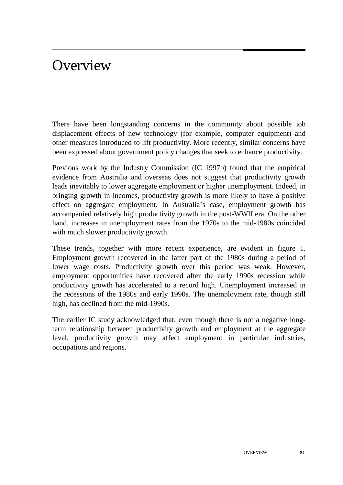### **Overview**

There have been longstanding concerns in the community about possible job displacement effects of new technology (for example, computer equipment) and other measures introduced to lift productivity. More recently, similar concerns have been expressed about government policy changes that seek to enhance productivity.

Previous work by the Industry Commission (IC 1997b) found that the empirical evidence from Australia and overseas does not suggest that productivity growth leads inevitably to lower aggregate employment or higher unemployment. Indeed, in bringing growth in incomes, productivity growth is more likely to have a positive effect on aggregate employment. In Australia's case, employment growth has accompanied relatively high productivity growth in the post-WWII era. On the other hand, increases in unemployment rates from the 1970s to the mid-1980s coincided with much slower productivity growth.

These trends, together with more recent experience, are evident in figure 1. Employment growth recovered in the latter part of the 1980s during a period of lower wage costs. Productivity growth over this period was weak. However, employment opportunities have recovered after the early 1990s recession while productivity growth has accelerated to a record high. Unemployment increased in the recessions of the 1980s and early 1990s. The unemployment rate, though still high, has declined from the mid-1990s.

The earlier IC study acknowledged that, even though there is not a negative longterm relationship between productivity growth and employment at the aggregate level, productivity growth may affect employment in particular industries, occupations and regions.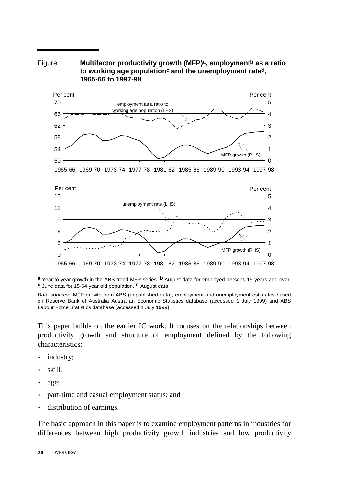



**a** Year-to-year growth in the ABS trend MFP series. **b** August data for employed persons 15 years and over. **c** June data for 15-64 year old population. **d** August data.

This paper builds on the earlier IC work. It focuses on the relationships between productivity growth and structure of employment defined by the following characteristics:

- industry;
- skill;
- age;
- part-time and casual employment status; and
- distribution of earnings.

The basic approach in this paper is to examine employment patterns in industries for differences between high productivity growth industries and low productivity

Data sources: MFP growth from ABS (unpublished data); employment and unemployment estimates based on Reserve Bank of Australia Australian Economic Statistics database (accessed 1 July 1999) and ABS Labour Force Statistics database (accessed 1 July 1999).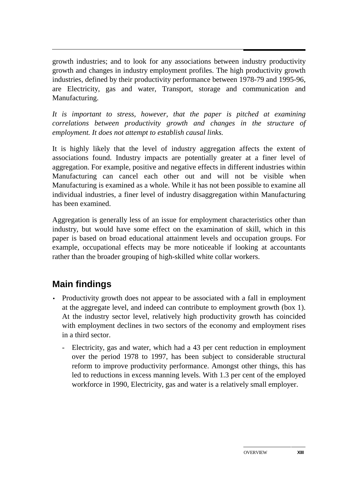growth industries; and to look for any associations between industry productivity growth and changes in industry employment profiles. The high productivity growth industries, defined by their productivity performance between 1978-79 and 1995-96, are Electricity, gas and water, Transport, storage and communication and Manufacturing.

*It is important to stress, however, that the paper is pitched at examining correlations between productivity growth and changes in the structure of employment. It does not attempt to establish causal links.*

It is highly likely that the level of industry aggregation affects the extent of associations found. Industry impacts are potentially greater at a finer level of aggregation. For example, positive and negative effects in different industries within Manufacturing can cancel each other out and will not be visible when Manufacturing is examined as a whole. While it has not been possible to examine all individual industries, a finer level of industry disaggregation within Manufacturing has been examined.

Aggregation is generally less of an issue for employment characteristics other than industry, but would have some effect on the examination of skill, which in this paper is based on broad educational attainment levels and occupation groups. For example, occupational effects may be more noticeable if looking at accountants rather than the broader grouping of high-skilled white collar workers.

### **Main findings**

- Productivity growth does not appear to be associated with a fall in employment at the aggregate level, and indeed can contribute to employment growth (box 1). At the industry sector level, relatively high productivity growth has coincided with employment declines in two sectors of the economy and employment rises in a third sector.
	- Electricity, gas and water, which had a 43 per cent reduction in employment over the period 1978 to 1997, has been subject to considerable structural reform to improve productivity performance. Amongst other things, this has led to reductions in excess manning levels. With 1.3 per cent of the employed workforce in 1990, Electricity, gas and water is a relatively small employer.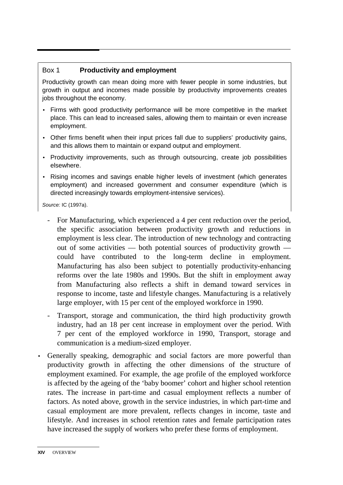### Box 1 **Productivity and employment**

Productivity growth can mean doing more with fewer people in some industries, but growth in output and incomes made possible by productivity improvements creates jobs throughout the economy.

- Firms with good productivity performance will be more competitive in the market place. This can lead to increased sales, allowing them to maintain or even increase employment.
- Other firms benefit when their input prices fall due to suppliers' productivity gains, and this allows them to maintain or expand output and employment.
- Productivity improvements, such as through outsourcing, create job possibilities elsewhere.
- Rising incomes and savings enable higher levels of investment (which generates employment) and increased government and consumer expenditure (which is directed increasingly towards employment-intensive services).

Source: IC (1997a).

- For Manufacturing, which experienced a 4 per cent reduction over the period, the specific association between productivity growth and reductions in employment is less clear. The introduction of new technology and contracting out of some activities — both potential sources of productivity growth could have contributed to the long-term decline in employment. Manufacturing has also been subject to potentially productivity-enhancing reforms over the late 1980s and 1990s. But the shift in employment away from Manufacturing also reflects a shift in demand toward services in response to income, taste and lifestyle changes. Manufacturing is a relatively large employer, with 15 per cent of the employed workforce in 1990.
- Transport, storage and communication, the third high productivity growth industry, had an 18 per cent increase in employment over the period. With 7 per cent of the employed workforce in 1990, Transport, storage and communication is a medium-sized employer.
- Generally speaking, demographic and social factors are more powerful than productivity growth in affecting the other dimensions of the structure of employment examined. For example, the age profile of the employed workforce is affected by the ageing of the 'baby boomer' cohort and higher school retention rates. The increase in part-time and casual employment reflects a number of factors. As noted above, growth in the service industries, in which part-time and casual employment are more prevalent, reflects changes in income, taste and lifestyle. And increases in school retention rates and female participation rates have increased the supply of workers who prefer these forms of employment.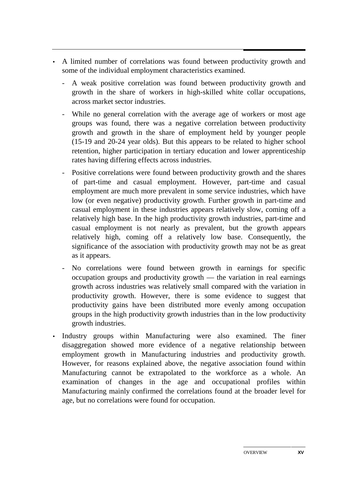- A limited number of correlations was found between productivity growth and some of the individual employment characteristics examined.
	- A weak positive correlation was found between productivity growth and growth in the share of workers in high-skilled white collar occupations, across market sector industries.
	- While no general correlation with the average age of workers or most age groups was found, there was a negative correlation between productivity growth and growth in the share of employment held by younger people (15-19 and 20-24 year olds). But this appears to be related to higher school retention, higher participation in tertiary education and lower apprenticeship rates having differing effects across industries.
	- Positive correlations were found between productivity growth and the shares of part-time and casual employment. However, part-time and casual employment are much more prevalent in some service industries, which have low (or even negative) productivity growth. Further growth in part-time and casual employment in these industries appears relatively slow, coming off a relatively high base. In the high productivity growth industries, part-time and casual employment is not nearly as prevalent, but the growth appears relatively high, coming off a relatively low base. Consequently, the significance of the association with productivity growth may not be as great as it appears.
	- No correlations were found between growth in earnings for specific occupation groups and productivity growth — the variation in real earnings growth across industries was relatively small compared with the variation in productivity growth. However, there is some evidence to suggest that productivity gains have been distributed more evenly among occupation groups in the high productivity growth industries than in the low productivity growth industries.
- Industry groups within Manufacturing were also examined. The finer disaggregation showed more evidence of a negative relationship between employment growth in Manufacturing industries and productivity growth. However, for reasons explained above, the negative association found within Manufacturing cannot be extrapolated to the workforce as a whole. An examination of changes in the age and occupational profiles within Manufacturing mainly confirmed the correlations found at the broader level for age, but no correlations were found for occupation.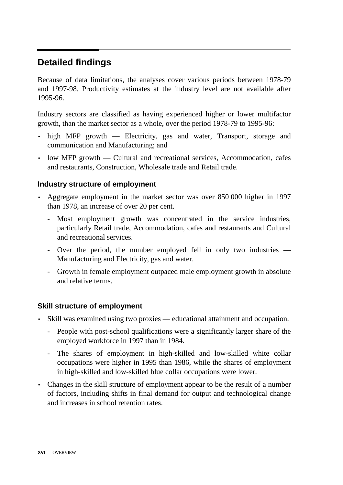### **Detailed findings**

Because of data limitations, the analyses cover various periods between 1978-79 and 1997-98. Productivity estimates at the industry level are not available after 1995-96.

Industry sectors are classified as having experienced higher or lower multifactor growth, than the market sector as a whole, over the period 1978-79 to 1995-96:

- high MFP growth Electricity, gas and water, Transport, storage and communication and Manufacturing; and
- low MFP growth Cultural and recreational services, Accommodation, cafes and restaurants, Construction, Wholesale trade and Retail trade.

### **Industry structure of employment**

- Aggregate employment in the market sector was over 850 000 higher in 1997 than 1978, an increase of over 20 per cent.
	- Most employment growth was concentrated in the service industries, particularly Retail trade, Accommodation, cafes and restaurants and Cultural and recreational services.
	- Over the period, the number employed fell in only two industries Manufacturing and Electricity, gas and water.
	- Growth in female employment outpaced male employment growth in absolute and relative terms.

### **Skill structure of employment**

- Skill was examined using two proxies educational attainment and occupation.
	- People with post-school qualifications were a significantly larger share of the employed workforce in 1997 than in 1984.
	- The shares of employment in high-skilled and low-skilled white collar occupations were higher in 1995 than 1986, while the shares of employment in high-skilled and low-skilled blue collar occupations were lower.
- Changes in the skill structure of employment appear to be the result of a number of factors, including shifts in final demand for output and technological change and increases in school retention rates.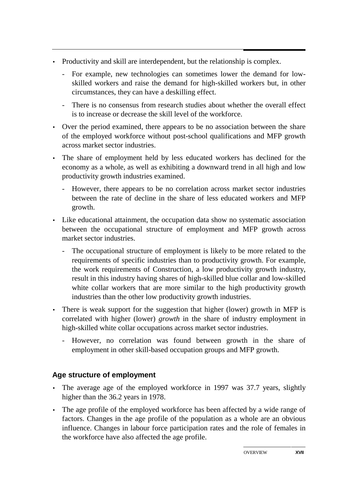- Productivity and skill are interdependent, but the relationship is complex.
	- For example, new technologies can sometimes lower the demand for lowskilled workers and raise the demand for high-skilled workers but, in other circumstances, they can have a deskilling effect.
	- There is no consensus from research studies about whether the overall effect is to increase or decrease the skill level of the workforce.
- Over the period examined, there appears to be no association between the share of the employed workforce without post-school qualifications and MFP growth across market sector industries.
- The share of employment held by less educated workers has declined for the economy as a whole, as well as exhibiting a downward trend in all high and low productivity growth industries examined.
	- However, there appears to be no correlation across market sector industries between the rate of decline in the share of less educated workers and MFP growth.
- Like educational attainment, the occupation data show no systematic association between the occupational structure of employment and MFP growth across market sector industries.
	- The occupational structure of employment is likely to be more related to the requirements of specific industries than to productivity growth. For example, the work requirements of Construction, a low productivity growth industry, result in this industry having shares of high-skilled blue collar and low-skilled white collar workers that are more similar to the high productivity growth industries than the other low productivity growth industries.
- There is weak support for the suggestion that higher (lower) growth in MFP is correlated with higher (lower) *growth* in the share of industry employment in high-skilled white collar occupations across market sector industries.
	- However, no correlation was found between growth in the share of employment in other skill-based occupation groups and MFP growth.

### **Age structure of employment**

- The average age of the employed workforce in 1997 was 37.7 years, slightly higher than the 36.2 years in 1978.
- The age profile of the employed workforce has been affected by a wide range of factors. Changes in the age profile of the population as a whole are an obvious influence. Changes in labour force participation rates and the role of females in the workforce have also affected the age profile.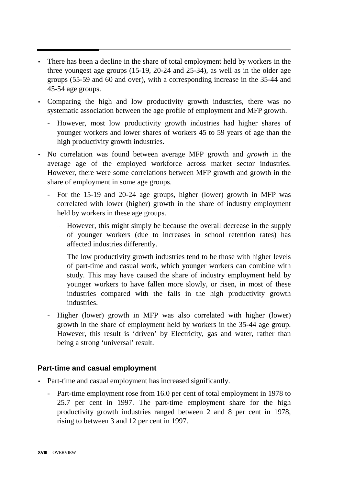- There has been a decline in the share of total employment held by workers in the three youngest age groups (15-19, 20-24 and 25-34), as well as in the older age groups (55-59 and 60 and over), with a corresponding increase in the 35-44 and 45-54 age groups.
- Comparing the high and low productivity growth industries, there was no systematic association between the age profile of employment and MFP growth.
	- However, most low productivity growth industries had higher shares of younger workers and lower shares of workers 45 to 59 years of age than the high productivity growth industries.
- No correlation was found between average MFP growth and *growth* in the average age of the employed workforce across market sector industries. However, there were some correlations between MFP growth and growth in the share of employment in some age groups.
	- For the 15-19 and 20-24 age groups, higher (lower) growth in MFP was correlated with lower (higher) growth in the share of industry employment held by workers in these age groups.
		- However, this might simply be because the overall decrease in the supply of younger workers (due to increases in school retention rates) has affected industries differently.
		- The low productivity growth industries tend to be those with higher levels of part-time and casual work, which younger workers can combine with study. This may have caused the share of industry employment held by younger workers to have fallen more slowly, or risen, in most of these industries compared with the falls in the high productivity growth industries.
	- Higher (lower) growth in MFP was also correlated with higher (lower) growth in the share of employment held by workers in the 35-44 age group. However, this result is 'driven' by Electricity, gas and water, rather than being a strong 'universal' result.

### **Part-time and casual employment**

- Part-time and casual employment has increased significantly.
	- Part-time employment rose from 16.0 per cent of total employment in 1978 to 25.7 per cent in 1997. The part-time employment share for the high productivity growth industries ranged between 2 and 8 per cent in 1978, rising to between 3 and 12 per cent in 1997.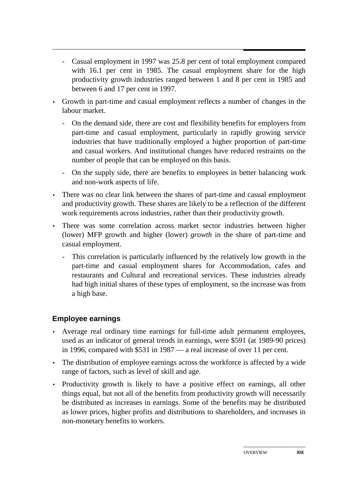- Casual employment in 1997 was 25.8 per cent of total employment compared with 16.1 per cent in 1985. The casual employment share for the high productivity growth industries ranged between 1 and 8 per cent in 1985 and between 6 and 17 per cent in 1997.
- Growth in part-time and casual employment reflects a number of changes in the labour market.
	- On the demand side, there are cost and flexibility benefits for employers from part-time and casual employment, particularly in rapidly growing service industries that have traditionally employed a higher proportion of part-time and casual workers. And institutional changes have reduced restraints on the number of people that can be employed on this basis.
	- On the supply side, there are benefits to employees in better balancing work and non-work aspects of life.
- There was no clear link between the shares of part-time and casual employment and productivity growth. These shares are likely to be a reflection of the different work requirements across industries, rather than their productivity growth.
- There was some correlation across market sector industries between higher (lower) MFP growth and higher (lower) *growth* in the share of part-time and casual employment.
	- This correlation is particularly influenced by the relatively low growth in the part-time and casual employment shares for Accommodation, cafes and restaurants and Cultural and recreational services. These industries already had high initial shares of these types of employment, so the increase was from a high base.

### **Employee earnings**

- Average real ordinary time earnings for full-time adult permanent employees, used as an indicator of general trends in earnings, were \$591 (at 1989-90 prices) in 1996, compared with \$531 in 1987 — a real increase of over 11 per cent.
- The distribution of employee earnings across the workforce is affected by a wide range of factors, such as level of skill and age.
- Productivity growth is likely to have a positive effect on earnings, all other things equal, but not all of the benefits from productivity growth will necessarily be distributed as increases in earnings. Some of the benefits may be distributed as lower prices, higher profits and distributions to shareholders, and increases in non-monetary benefits to workers.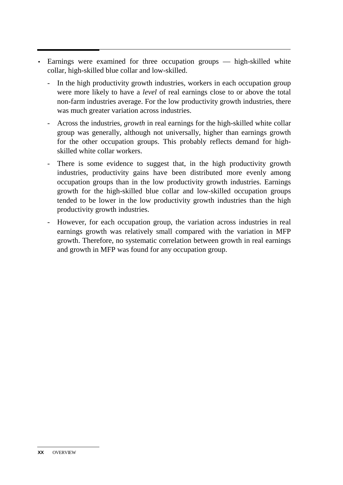- Earnings were examined for three occupation groups high-skilled white collar, high-skilled blue collar and low-skilled.
	- In the high productivity growth industries, workers in each occupation group were more likely to have a *level* of real earnings close to or above the total non-farm industries average. For the low productivity growth industries, there was much greater variation across industries.
	- Across the industries, *growth* in real earnings for the high-skilled white collar group was generally, although not universally, higher than earnings growth for the other occupation groups. This probably reflects demand for highskilled white collar workers.
	- There is some evidence to suggest that, in the high productivity growth industries, productivity gains have been distributed more evenly among occupation groups than in the low productivity growth industries. Earnings growth for the high-skilled blue collar and low-skilled occupation groups tended to be lower in the low productivity growth industries than the high productivity growth industries.
	- However, for each occupation group, the variation across industries in real earnings growth was relatively small compared with the variation in MFP growth. Therefore, no systematic correlation between growth in real earnings and growth in MFP was found for any occupation group.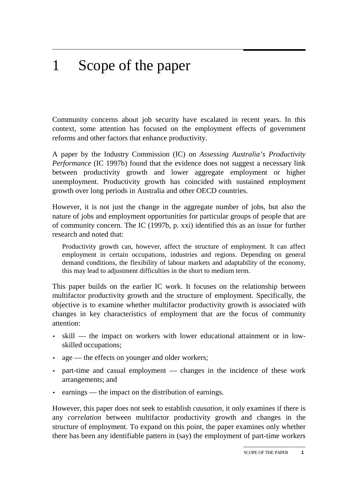### 1 Scope of the paper

Community concerns about job security have escalated in recent years. In this context, some attention has focused on the employment effects of government reforms and other factors that enhance productivity.

A paper by the Industry Commission (IC) on *Assessing Australia's Productivity Performance* (IC 1997b) found that the evidence does not suggest a necessary link between productivity growth and lower aggregate employment or higher unemployment. Productivity growth has coincided with sustained employment growth over long periods in Australia and other OECD countries.

However, it is not just the change in the aggregate number of jobs, but also the nature of jobs and employment opportunities for particular groups of people that are of community concern. The IC (1997b, p. xxi) identified this as an issue for further research and noted that:

Productivity growth can, however, affect the structure of employment. It can affect employment in certain occupations, industries and regions. Depending on general demand conditions, the flexibility of labour markets and adaptability of the economy, this may lead to adjustment difficulties in the short to medium term.

This paper builds on the earlier IC work. It focuses on the relationship between multifactor productivity growth and the structure of employment. Specifically, the objective is to examine whether multifactor productivity growth is associated with changes in key characteristics of employment that are the focus of community attention:

- skill the impact on workers with lower educational attainment or in lowskilled occupations;
- age the effects on younger and older workers;
- part-time and casual employment changes in the incidence of these work arrangements; and
- earnings the impact on the distribution of earnings.

However, this paper does not seek to establish *causation*, it only examines if there is any *correlation* between multifactor productivity growth and changes in the structure of employment. To expand on this point, the paper examines only whether there has been any identifiable pattern in (say) the employment of part-time workers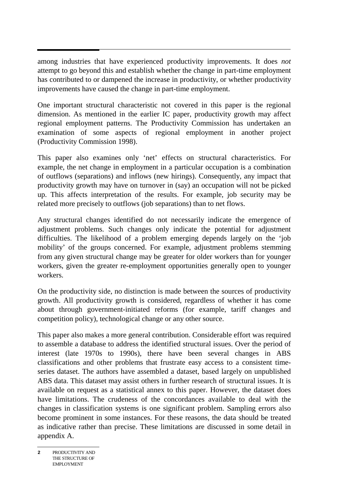among industries that have experienced productivity improvements. It does *not* attempt to go beyond this and establish whether the change in part-time employment has contributed to or dampened the increase in productivity, or whether productivity improvements have caused the change in part-time employment.

One important structural characteristic not covered in this paper is the regional dimension. As mentioned in the earlier IC paper, productivity growth may affect regional employment patterns. The Productivity Commission has undertaken an examination of some aspects of regional employment in another project (Productivity Commission 1998).

This paper also examines only 'net' effects on structural characteristics. For example, the net change in employment in a particular occupation is a combination of outflows (separations) and inflows (new hirings). Consequently, any impact that productivity growth may have on turnover in (say) an occupation will not be picked up. This affects interpretation of the results. For example, job security may be related more precisely to outflows (job separations) than to net flows.

Any structural changes identified do not necessarily indicate the emergence of adjustment problems. Such changes only indicate the potential for adjustment difficulties. The likelihood of a problem emerging depends largely on the 'job mobility' of the groups concerned. For example, adjustment problems stemming from any given structural change may be greater for older workers than for younger workers, given the greater re-employment opportunities generally open to younger workers.

On the productivity side, no distinction is made between the sources of productivity growth. All productivity growth is considered, regardless of whether it has come about through government-initiated reforms (for example, tariff changes and competition policy), technological change or any other source.

This paper also makes a more general contribution. Considerable effort was required to assemble a database to address the identified structural issues. Over the period of interest (late 1970s to 1990s), there have been several changes in ABS classifications and other problems that frustrate easy access to a consistent timeseries dataset. The authors have assembled a dataset, based largely on unpublished ABS data. This dataset may assist others in further research of structural issues. It is available on request as a statistical annex to this paper. However, the dataset does have limitations. The crudeness of the concordances available to deal with the changes in classification systems is one significant problem. Sampling errors also become prominent in some instances. For these reasons, the data should be treated as indicative rather than precise. These limitations are discussed in some detail in appendix A.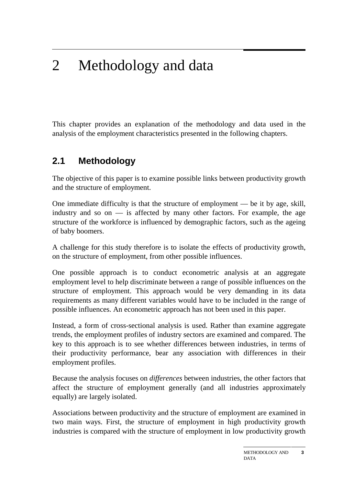### 2 Methodology and data

This chapter provides an explanation of the methodology and data used in the analysis of the employment characteristics presented in the following chapters.

### **2.1 Methodology**

The objective of this paper is to examine possible links between productivity growth and the structure of employment.

One immediate difficulty is that the structure of employment — be it by age, skill, industry and so on  $\overline{\phantom{a}}$  is affected by many other factors. For example, the age structure of the workforce is influenced by demographic factors, such as the ageing of baby boomers.

A challenge for this study therefore is to isolate the effects of productivity growth, on the structure of employment, from other possible influences.

One possible approach is to conduct econometric analysis at an aggregate employment level to help discriminate between a range of possible influences on the structure of employment. This approach would be very demanding in its data requirements as many different variables would have to be included in the range of possible influences. An econometric approach has not been used in this paper.

Instead, a form of cross-sectional analysis is used. Rather than examine aggregate trends, the employment profiles of industry sectors are examined and compared. The key to this approach is to see whether differences between industries, in terms of their productivity performance, bear any association with differences in their employment profiles.

Because the analysis focuses on *differences* between industries, the other factors that affect the structure of employment generally (and all industries approximately equally) are largely isolated.

Associations between productivity and the structure of employment are examined in two main ways. First, the structure of employment in high productivity growth industries is compared with the structure of employment in low productivity growth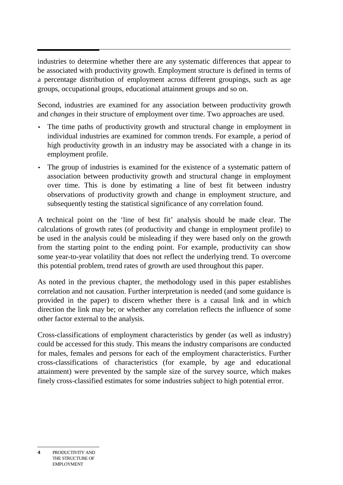industries to determine whether there are any systematic differences that appear to be associated with productivity growth. Employment structure is defined in terms of a percentage distribution of employment across different groupings, such as age groups, occupational groups, educational attainment groups and so on.

Second, industries are examined for any association between productivity growth and *changes* in their structure of employment over time. Two approaches are used.

- The time paths of productivity growth and structural change in employment in individual industries are examined for common trends. For example, a period of high productivity growth in an industry may be associated with a change in its employment profile.
- The group of industries is examined for the existence of a systematic pattern of association between productivity growth and structural change in employment over time. This is done by estimating a line of best fit between industry observations of productivity growth and change in employment structure, and subsequently testing the statistical significance of any correlation found.

A technical point on the 'line of best fit' analysis should be made clear. The calculations of growth rates (of productivity and change in employment profile) to be used in the analysis could be misleading if they were based only on the growth from the starting point to the ending point. For example, productivity can show some year-to-year volatility that does not reflect the underlying trend. To overcome this potential problem, trend rates of growth are used throughout this paper.

As noted in the previous chapter, the methodology used in this paper establishes correlation and not causation. Further interpretation is needed (and some guidance is provided in the paper) to discern whether there is a causal link and in which direction the link may be; or whether any correlation reflects the influence of some other factor external to the analysis.

Cross-classifications of employment characteristics by gender (as well as industry) could be accessed for this study. This means the industry comparisons are conducted for males, females and persons for each of the employment characteristics. Further cross-classifications of characteristics (for example, by age and educational attainment) were prevented by the sample size of the survey source, which makes finely cross-classified estimates for some industries subject to high potential error.

**<sup>4</sup>** PRODUCTIVITY AND THE STRUCTURE OF EMPLOYMENT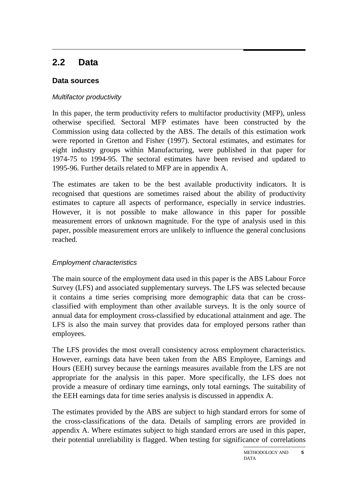### **2.2 Data**

### **Data sources**

### Multifactor productivity

In this paper, the term productivity refers to multifactor productivity (MFP), unless otherwise specified. Sectoral MFP estimates have been constructed by the Commission using data collected by the ABS. The details of this estimation work were reported in Gretton and Fisher (1997). Sectoral estimates, and estimates for eight industry groups within Manufacturing, were published in that paper for 1974-75 to 1994-95. The sectoral estimates have been revised and updated to 1995-96. Further details related to MFP are in appendix A.

The estimates are taken to be the best available productivity indicators. It is recognised that questions are sometimes raised about the ability of productivity estimates to capture all aspects of performance, especially in service industries. However, it is not possible to make allowance in this paper for possible measurement errors of unknown magnitude. For the type of analysis used in this paper, possible measurement errors are unlikely to influence the general conclusions reached.

### Employment characteristics

The main source of the employment data used in this paper is the ABS Labour Force Survey (LFS) and associated supplementary surveys. The LFS was selected because it contains a time series comprising more demographic data that can be crossclassified with employment than other available surveys. It is the only source of annual data for employment cross-classified by educational attainment and age. The LFS is also the main survey that provides data for employed persons rather than employees.

The LFS provides the most overall consistency across employment characteristics. However, earnings data have been taken from the ABS Employee, Earnings and Hours (EEH) survey because the earnings measures available from the LFS are not appropriate for the analysis in this paper. More specifically, the LFS does not provide a measure of ordinary time earnings, only total earnings. The suitability of the EEH earnings data for time series analysis is discussed in appendix A.

The estimates provided by the ABS are subject to high standard errors for some of the cross-classifications of the data. Details of sampling errors are provided in appendix A. Where estimates subject to high standard errors are used in this paper, their potential unreliability is flagged. When testing for significance of correlations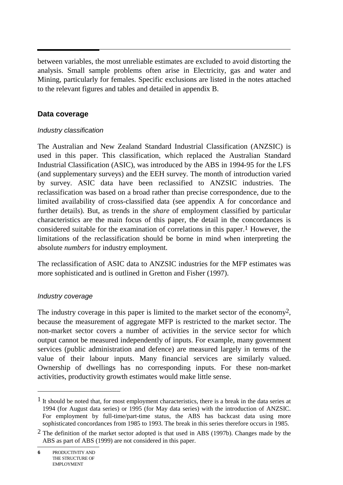between variables, the most unreliable estimates are excluded to avoid distorting the analysis. Small sample problems often arise in Electricity, gas and water and Mining, particularly for females. Specific exclusions are listed in the notes attached to the relevant figures and tables and detailed in appendix B.

### **Data coverage**

### Industry classification

The Australian and New Zealand Standard Industrial Classification (ANZSIC) is used in this paper. This classification, which replaced the Australian Standard Industrial Classification (ASIC), was introduced by the ABS in 1994-95 for the LFS (and supplementary surveys) and the EEH survey. The month of introduction varied by survey. ASIC data have been reclassified to ANZSIC industries. The reclassification was based on a broad rather than precise correspondence, due to the limited availability of cross-classified data (see appendix A for concordance and further details). But, as trends in the *share* of employment classified by particular characteristics are the main focus of this paper, the detail in the concordances is considered suitable for the examination of correlations in this paper.1 However, the limitations of the reclassification should be borne in mind when interpreting the absolute *numbers* for industry employment.

The reclassification of ASIC data to ANZSIC industries for the MFP estimates was more sophisticated and is outlined in Gretton and Fisher (1997).

### Industry coverage

The industry coverage in this paper is limited to the market sector of the economy2, because the measurement of aggregate MFP is restricted to the market sector. The non-market sector covers a number of activities in the service sector for which output cannot be measured independently of inputs. For example, many government services (public administration and defence) are measured largely in terms of the value of their labour inputs. Many financial services are similarly valued. Ownership of dwellings has no corresponding inputs. For these non-market activities, productivity growth estimates would make little sense.

-

<sup>&</sup>lt;sup>1</sup> It should be noted that, for most employment characteristics, there is a break in the data series at 1994 (for August data series) or 1995 (for May data series) with the introduction of ANZSIC. For employment by full-time/part-time status, the ABS has backcast data using more sophisticated concordances from 1985 to 1993. The break in this series therefore occurs in 1985.

 $2$  The definition of the market sector adopted is that used in ABS (1997b). Changes made by the ABS as part of ABS (1999) are not considered in this paper.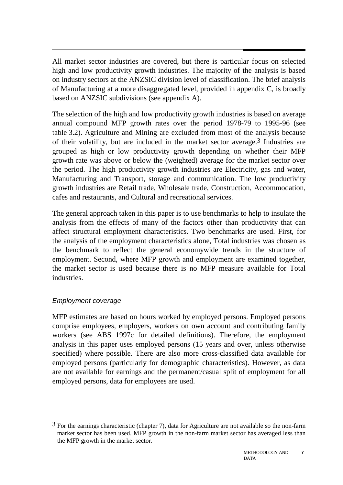All market sector industries are covered, but there is particular focus on selected high and low productivity growth industries. The majority of the analysis is based on industry sectors at the ANZSIC division level of classification. The brief analysis of Manufacturing at a more disaggregated level, provided in appendix C, is broadly based on ANZSIC subdivisions (see appendix A).

The selection of the high and low productivity growth industries is based on average annual compound MFP growth rates over the period 1978-79 to 1995-96 (see table 3.2). Agriculture and Mining are excluded from most of the analysis because of their volatility, but are included in the market sector average.3 Industries are grouped as high or low productivity growth depending on whether their MFP growth rate was above or below the (weighted) average for the market sector over the period. The high productivity growth industries are Electricity, gas and water, Manufacturing and Transport, storage and communication. The low productivity growth industries are Retail trade, Wholesale trade, Construction, Accommodation, cafes and restaurants, and Cultural and recreational services.

The general approach taken in this paper is to use benchmarks to help to insulate the analysis from the effects of many of the factors other than productivity that can affect structural employment characteristics. Two benchmarks are used. First, for the analysis of the employment characteristics alone, Total industries was chosen as the benchmark to reflect the general economywide trends in the structure of employment. Second, where MFP growth and employment are examined together, the market sector is used because there is no MFP measure available for Total industries.

### Employment coverage

MFP estimates are based on hours worked by employed persons. Employed persons comprise employees, employers, workers on own account and contributing family workers (see ABS 1997c for detailed definitions). Therefore, the employment analysis in this paper uses employed persons (15 years and over, unless otherwise specified) where possible. There are also more cross-classified data available for employed persons (particularly for demographic characteristics). However, as data are not available for earnings and the permanent/casual split of employment for all employed persons, data for employees are used.

 $3$  For the earnings characteristic (chapter 7), data for Agriculture are not available so the non-farm market sector has been used. MFP growth in the non-farm market sector has averaged less than the MFP growth in the market sector.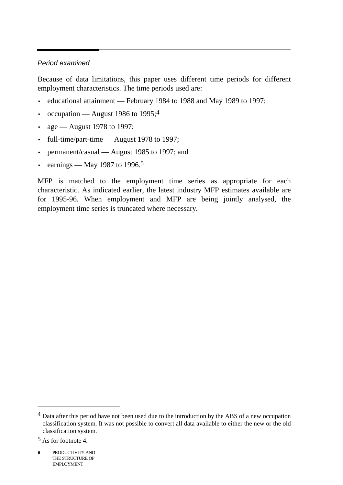#### Period examined

Because of data limitations, this paper uses different time periods for different employment characteristics. The time periods used are:

- educational attainment February 1984 to 1988 and May 1989 to 1997;
- occupation August 1986 to 1995;<sup>4</sup>
- age August 1978 to 1997;
- full-time/part-time August 1978 to 1997;
- permanent/casual August 1985 to 1997; and
- earnings May 1987 to 1996.<sup>5</sup>

MFP is matched to the employment time series as appropriate for each characteristic. As indicated earlier, the latest industry MFP estimates available are for 1995-96. When employment and MFP are being jointly analysed, the employment time series is truncated where necessary.

-

<sup>4</sup> Data after this period have not been used due to the introduction by the ABS of a new occupation classification system. It was not possible to convert all data available to either the new or the old classification system.

<sup>5</sup> As for footnote 4.

**<sup>8</sup>** PRODUCTIVITY AND THE STRUCTURE OF EMPLOYMENT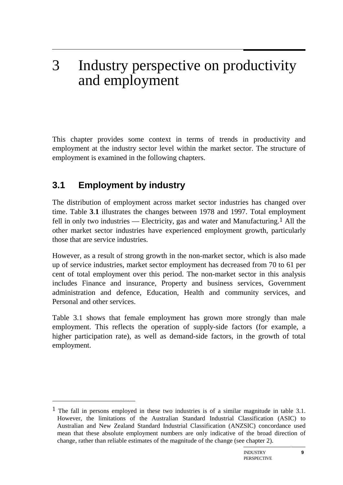### 3 Industry perspective on productivity and employment

This chapter provides some context in terms of trends in productivity and employment at the industry sector level within the market sector. The structure of employment is examined in the following chapters.

### **3.1 Employment by industry**

 $\overline{a}$ 

The distribution of employment across market sector industries has changed over time. Table **3**.**1** illustrates the changes between 1978 and 1997. Total employment fell in only two industries — Electricity, gas and water and Manufacturing.1 All the other market sector industries have experienced employment growth, particularly those that are service industries.

However, as a result of strong growth in the non-market sector, which is also made up of service industries, market sector employment has decreased from 70 to 61 per cent of total employment over this period. The non-market sector in this analysis includes Finance and insurance, Property and business services, Government administration and defence, Education, Health and community services, and Personal and other services.

Table 3.1 shows that female employment has grown more strongly than male employment. This reflects the operation of supply-side factors (for example, a higher participation rate), as well as demand-side factors, in the growth of total employment.

<sup>&</sup>lt;sup>1</sup> The fall in persons employed in these two industries is of a similar magnitude in table 3.1. However, the limitations of the Australian Standard Industrial Classification (ASIC) to Australian and New Zealand Standard Industrial Classification (ANZSIC) concordance used mean that these absolute employment numbers are only indicative of the broad direction of change, rather than reliable estimates of the magnitude of the change (see chapter 2).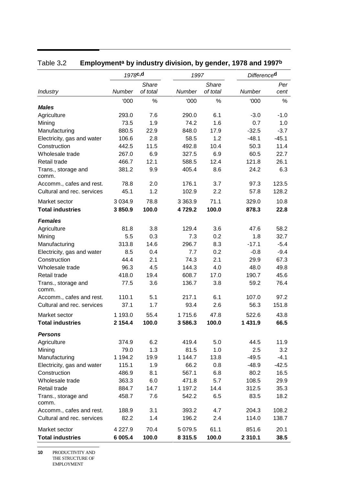|                              | 1978c, d   |          | 1997          |          | Difference <sup>d</sup> |         |
|------------------------------|------------|----------|---------------|----------|-------------------------|---------|
|                              |            | Share    |               | Share    |                         | Per     |
| <b>Industry</b>              | Number     | of total | <b>Number</b> | of total | <b>Number</b>           | cent    |
|                              | 000'       | %        | '000          | $\%$     | 000'                    | $\%$    |
| <b>Males</b>                 |            |          |               |          |                         |         |
| Agriculture                  | 293.0      | 7.6      | 290.0         | 6.1      | $-3.0$                  | $-1.0$  |
| Mining                       | 73.5       | 1.9      | 74.2          | 1.6      | 0.7                     | 1.0     |
| Manufacturing                | 880.5      | 22.9     | 848.0         | 17.9     | $-32.5$                 | $-3.7$  |
| Electricity, gas and water   | 106.6      | 2.8      | 58.5          | 1.2      | $-48.1$                 | $-45.1$ |
| Construction                 | 442.5      | 11.5     | 492.8         | 10.4     | 50.3                    | 11.4    |
| Wholesale trade              | 267.0      | 6.9      | 327.5         | 6.9      | 60.5                    | 22.7    |
| Retail trade                 | 466.7      | 12.1     | 588.5         | 12.4     | 121.8                   | 26.1    |
| Trans., storage and<br>comm. | 381.2      | 9.9      | 405.4         | 8.6      | 24.2                    | 6.3     |
| Accomm., cafes and rest.     | 78.8       | 2.0      | 176.1         | 3.7      | 97.3                    | 123.5   |
| Cultural and rec. services   | 45.1       | 1.2      | 102.9         | 2.2      | 57.8                    | 128.2   |
| Market sector                | 3 0 3 4 .9 | 78.8     | 3 3 6 3 . 9   | 71.1     | 329.0                   | 10.8    |
| <b>Total industries</b>      | 3850.9     | 100.0    | 4729.2        | 100.0    | 878.3                   | 22.8    |
| <b>Females</b>               |            |          |               |          |                         |         |
| Agriculture                  | 81.8       | 3.8      | 129.4         | 3.6      | 47.6                    | 58.2    |
| Mining                       | 5.5        | 0.3      | 7.3           | 0.2      | 1.8                     | 32.7    |
| Manufacturing                | 313.8      | 14.6     | 296.7         | 8.3      | $-17.1$                 | $-5.4$  |
| Electricity, gas and water   | 8.5        | 0.4      | 7.7           | 0.2      | $-0.8$                  | $-9.4$  |
| Construction                 | 44.4       | 2.1      | 74.3          | 2.1      | 29.9                    | 67.3    |
| Wholesale trade              | 96.3       | 4.5      | 144.3         | 4.0      | 48.0                    | 49.8    |
| Retail trade                 | 418.0      | 19.4     | 608.7         | 17.0     | 190.7                   | 45.6    |
| Trans., storage and<br>comm. | 77.5       | 3.6      | 136.7         | 3.8      | 59.2                    | 76.4    |
| Accomm., cafes and rest.     | 110.1      | 5.1      | 217.1         | 6.1      | 107.0                   | 97.2    |
| Cultural and rec. services   | 37.1       | 1.7      | 93.4          | 2.6      | 56.3                    | 151.8   |
| Market sector                | 1 193.0    | 55.4     | 1 715.6       | 47.8     | 522.6                   | 43.8    |
| <b>Total industries</b>      | 2 154.4    | 100.0    | 3586.3        | 100.0    | 1 431.9                 | 66.5    |
| <b>Persons</b>               |            |          |               |          |                         |         |
| Agriculture                  | 374.9      | 6.2      | 419.4         | 5.0      | 44.5                    | 11.9    |
| Mining                       | 79.0       | 1.3      | 81.5          | 1.0      | 2.5                     | 3.2     |
| Manufacturing                | 1 194.2    | 19.9     | 1 144.7       | 13.8     | $-49.5$                 | $-4.1$  |
| Electricity, gas and water   | 115.1      | 1.9      | 66.2          | 0.8      | $-48.9$                 | $-42.5$ |
| Construction                 | 486.9      | 8.1      | 567.1         | 6.8      | 80.2                    | 16.5    |
| Wholesale trade              | 363.3      | 6.0      | 471.8         | 5.7      | 108.5                   | 29.9    |
| Retail trade                 | 884.7      | 14.7     | 1 197.2       | 14.4     | 312.5                   | 35.3    |
| Trans., storage and<br>comm. | 458.7      | 7.6      | 542.2         | 6.5      | 83.5                    | 18.2    |
| Accomm., cafes and rest.     | 188.9      | 3.1      | 393.2         | 4.7      | 204.3                   | 108.2   |
| Cultural and rec. services   | 82.2       | 1.4      | 196.2         | 2.4      | 114.0                   | 138.7   |
| Market sector                | 4 2 2 7 .9 | 70.4     | 5 0 7 9.5     | 61.1     | 851.6                   | 20.1    |
| <b>Total industries</b>      | 6 0 0 5.4  | 100.0    | 8 3 1 5 . 5   | 100.0    | 2 3 1 0.1               | 38.5    |

### Table 3**.**2 **Employmenta by industry division, by gender, 1978 and 1997b**

**10** PRODUCTIVITY AND THE STRUCTURE OF EMPLOYMENT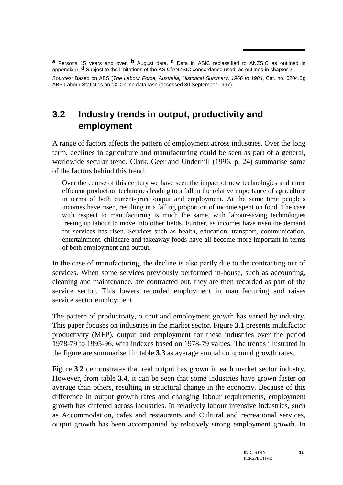**a** Persons 15 years and over. **b** August data. **c** Data in ASIC reclassified to ANZSIC as outlined in appendix A. **d** Subject to the limitations of the ASIC/ANZSIC concordance used, as outlined in chapter 2. Sources: Based on ABS (The Labour Force, Australia, Historical Summary, 1966 to 1984, Cat. no. 6204.0); ABS Labour Statistics on dX-Online database (accessed 30 September 1997).

### **3.2 Industry trends in output, productivity and employment**

A range of factors affects the pattern of employment across industries. Over the long term, declines in agriculture and manufacturing could be seen as part of a general, worldwide secular trend. Clark, Geer and Underhill (1996, p. 24) summarise some of the factors behind this trend:

Over the course of this century we have seen the impact of new technologies and more efficient production techniques leading to a fall in the relative importance of agriculture in terms of both current-price output and employment. At the same time people's incomes have risen, resulting in a falling proportion of income spent on food. The case with respect to manufacturing is much the same, with labour-saving technologies freeing up labour to move into other fields. Further, as incomes have risen the demand for services has risen. Services such as health, education, transport, communication, entertainment, childcare and takeaway foods have all become more important in terms of both employment and output.

In the case of manufacturing, the decline is also partly due to the contracting out of services. When some services previously performed in-house, such as accounting, cleaning and maintenance, are contracted out, they are then recorded as part of the service sector. This lowers recorded employment in manufacturing and raises service sector employment.

The pattern of productivity, output and employment growth has varied by industry. This paper focuses on industries in the market sector. Figure **3**.**1** presents multifactor productivity (MFP), output and employment for these industries over the period 1978-79 to 1995-96, with indexes based on 1978-79 values. The trends illustrated in the figure are summarised in table **3**.**3** as average annual compound growth rates.

Figure **3**.**2** demonstrates that real output has grown in each market sector industry. However, from table **3**.**4**, it can be seen that some industries have grown faster on average than others, resulting in structural change in the economy. Because of this difference in output growth rates and changing labour requirements, employment growth has differed across industries. In relatively labour intensive industries, such as Accommodation, cafes and restaurants and Cultural and recreational services, output growth has been accompanied by relatively strong employment growth. In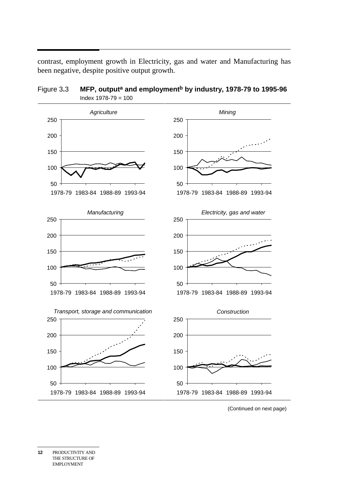contrast, employment growth in Electricity, gas and water and Manufacturing has been negative, despite positive output growth.



Figure 3**.**3 **MFP, outputa and employmentb by industry, 1978-79 to 1995-96** Index 1978-79 = 100

(Continued on next page)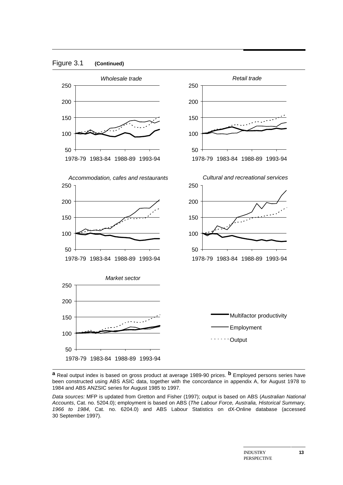



**a** Real output index is based on gross product at average 1989-90 prices. **b** Employed persons series have been constructed using ABS ASIC data, together with the concordance in appendix A, for August 1978 to 1984 and ABS ANZSIC series for August 1985 to 1997.

Data sources: MFP is updated from Gretton and Fisher (1997); output is based on ABS (Australian National Accounts, Cat. no. 5204.0); employment is based on ABS (The Labour Force, Australia, Historical Summary, 1966 to 1984, Cat. no. 6204.0) and ABS Labour Statistics on dX-Online database (accessed 30 September 1997).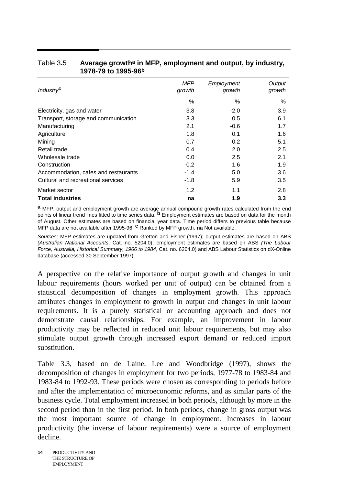| Industry $c$                         | <b>MFP</b><br>growth | Employment<br>growth | Output<br>growth |
|--------------------------------------|----------------------|----------------------|------------------|
|                                      | %                    | %                    | %                |
| Electricity, gas and water           | 3.8                  | $-2.0$               | 3.9              |
| Transport, storage and communication | 3.3                  | 0.5                  | 6.1              |
| Manufacturing                        | 2.1                  | $-0.6$               | 1.7              |
| Agriculture                          | 1.8                  | 0.1                  | 1.6              |
| Mining                               | 0.7                  | 0.2                  | 5.1              |
| Retail trade                         | 0.4                  | 2.0                  | 2.5              |
| Wholesale trade                      | 0.0                  | 2.5                  | 2.1              |
| Construction                         | $-0.2$               | 1.6                  | 1.9              |
| Accommodation, cafes and restaurants | $-1.4$               | 5.0                  | 3.6              |
| Cultural and recreational services   | $-1.8$               | 5.9                  | 3.5              |
| Market sector                        | 1.2                  | 1.1                  | 2.8              |
| <b>Total industries</b>              | na                   | 1.9                  | 3.3              |

#### Table 3**.**5 **Average growtha in MFP, employment and output, by industry, 1978-79 to 1995-96b**

**a** MFP, output and employment growth are average annual compound growth rates calculated from the end points of linear trend lines fitted to time series data. **b** Employment estimates are based on data for the month of August. Other estimates are based on financial year data. Time period differs to previous table because MFP data are not available after 1995-96. **c** Ranked by MFP growth. **na** Not available.

Sources: MFP estimates are updated from Gretton and Fisher (1997); output estimates are based on ABS (Australian National Accounts, Cat. no. 5204.0); employment estimates are based on ABS (The Labour Force, Australia, Historical Summary, 1966 to 1984, Cat. no. 6204.0) and ABS Labour Statistics on dX-Online database (accessed 30 September 1997).

A perspective on the relative importance of output growth and changes in unit labour requirements (hours worked per unit of output) can be obtained from a statistical decomposition of changes in employment growth. This approach attributes changes in employment to growth in output and changes in unit labour requirements. It is a purely statistical or accounting approach and does not demonstrate causal relationships. For example, an improvement in labour productivity may be reflected in reduced unit labour requirements, but may also stimulate output growth through increased export demand or reduced import substitution.

Table 3.3, based on de Laine, Lee and Woodbridge (1997), shows the decomposition of changes in employment for two periods, 1977-78 to 1983-84 and 1983-84 to 1992-93. These periods were chosen as corresponding to periods before and after the implementation of microeconomic reforms, and as similar parts of the business cycle. Total employment increased in both periods, although by more in the second period than in the first period. In both periods, change in gross output was the most important source of change in employment. Increases in labour productivity (the inverse of labour requirements) were a source of employment decline.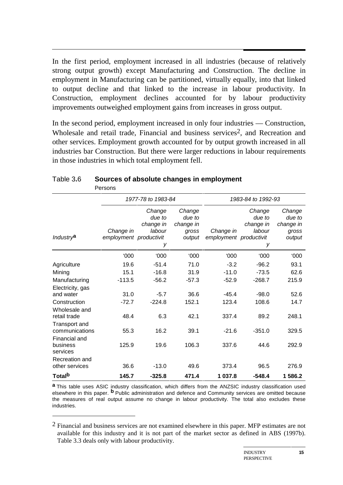In the first period, employment increased in all industries (because of relatively strong output growth) except Manufacturing and Construction. The decline in employment in Manufacturing can be partitioned, virtually equally, into that linked to output decline and that linked to the increase in labour productivity. In Construction, employment declines accounted for by labour productivity improvements outweighed employment gains from increases in gross output.

In the second period, employment increased in only four industries — Construction, Wholesale and retail trade, Financial and business services<sup>2</sup>, and Recreation and other services. Employment growth accounted for by output growth increased in all industries bar Construction. But there were larger reductions in labour requirements in those industries in which total employment fell.

|                                        |                                     | 1977-78 to 1983-84                           |                                                  | 1983-84 to 1992-93                  |                                              |                                                  |  |
|----------------------------------------|-------------------------------------|----------------------------------------------|--------------------------------------------------|-------------------------------------|----------------------------------------------|--------------------------------------------------|--|
| Industry <sup>a</sup>                  | Change in<br>employment productivit | Change<br>due to<br>change in<br>labour<br>У | Change<br>due to<br>change in<br>gross<br>output | Change in<br>employment productivit | Change<br>due to<br>change in<br>labour<br>у | Change<br>due to<br>change in<br>gross<br>output |  |
|                                        | 000'                                | '000                                         | 000'                                             | '000                                | '000                                         | 000'                                             |  |
| Agriculture                            | 19.6                                | $-51.4$                                      | 71.0                                             | $-3.2$                              | $-96.2$                                      | 93.1                                             |  |
| Mining                                 | 15.1                                | $-16.8$                                      | 31.9                                             | $-11.0$                             | $-73.5$                                      | 62.6                                             |  |
| Manufacturing                          | $-113.5$                            | $-56.2$                                      | $-57.3$                                          | $-52.9$                             | $-268.7$                                     | 215.9                                            |  |
| Electricity, gas                       |                                     |                                              |                                                  |                                     |                                              |                                                  |  |
| and water                              | 31.0                                | $-5.7$                                       | 36.6                                             | $-45.4$                             | $-98.0$                                      | 52.6                                             |  |
| Construction<br>Wholesale and          | $-72.7$                             | $-224.8$                                     | 152.1                                            | 123.4                               | 108.6                                        | 14.7                                             |  |
| retail trade<br>Transport and          | 48.4                                | 6.3                                          | 42.1                                             | 337.4                               | 89.2                                         | 248.1                                            |  |
| communications<br>Financial and        | 55.3                                | 16.2                                         | 39.1                                             | $-21.6$                             | $-351.0$                                     | 329.5                                            |  |
| business<br>services<br>Recreation and | 125.9                               | 19.6                                         | 106.3                                            | 337.6                               | 44.6                                         | 292.9                                            |  |
| other services                         | 36.6                                | $-13.0$                                      | 49.6                                             | 373.4                               | 96.5                                         | 276.9                                            |  |
| <b>Total</b> <sup>b</sup>              | 145.7                               | $-325.8$                                     | 471.4                                            | 1 037.8                             | $-548.4$                                     | 1586.2                                           |  |

### Table 3**.**6 **Sources of absolute changes in employment**

Persons

**a** This table uses ASIC industry classification, which differs from the ANZSIC industry classification used elsewhere in this paper. **b** Public administration and defence and Community services are omitted because the measures of real output assume no change in labour productivity. The total also excludes these industries.

<sup>&</sup>lt;sup>2</sup> Financial and business services are not examined elsewhere in this paper. MFP estimates are not available for this industry and it is not part of the market sector as defined in ABS (1997b). Table 3.3 deals only with labour productivity.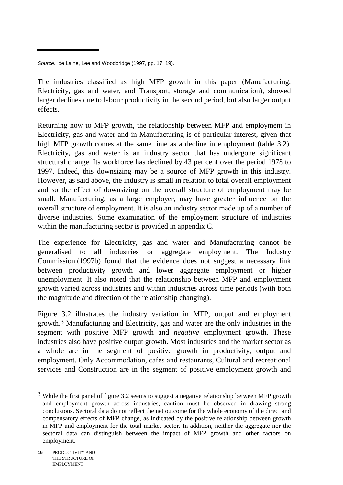Source: de Laine, Lee and Woodbridge (1997, pp. 17, 19).

The industries classified as high MFP growth in this paper (Manufacturing, Electricity, gas and water, and Transport, storage and communication), showed larger declines due to labour productivity in the second period, but also larger output effects.

Returning now to MFP growth, the relationship between MFP and employment in Electricity, gas and water and in Manufacturing is of particular interest, given that high MFP growth comes at the same time as a decline in employment (table 3.2). Electricity, gas and water is an industry sector that has undergone significant structural change. Its workforce has declined by 43 per cent over the period 1978 to 1997. Indeed, this downsizing may be a source of MFP growth in this industry. However, as said above, the industry is small in relation to total overall employment and so the effect of downsizing on the overall structure of employment may be small. Manufacturing, as a large employer, may have greater influence on the overall structure of employment. It is also an industry sector made up of a number of diverse industries. Some examination of the employment structure of industries within the manufacturing sector is provided in appendix C.

The experience for Electricity, gas and water and Manufacturing cannot be generalised to all industries or aggregate employment. The Industry Commission (1997b) found that the evidence does not suggest a necessary link between productivity growth and lower aggregate employment or higher unemployment. It also noted that the relationship between MFP and employment growth varied across industries and within industries across time periods (with both the magnitude and direction of the relationship changing).

Figure 3.2 illustrates the industry variation in MFP, output and employment growth.3 Manufacturing and Electricity, gas and water are the only industries in the segment with positive MFP growth and *negative* employment growth. These industries also have positive output growth. Most industries and the market sector as a whole are in the segment of positive growth in productivity, output and employment. Only Accommodation, cafes and restaurants, Cultural and recreational services and Construction are in the segment of positive employment growth and

-

<sup>3</sup> While the first panel of figure 3.2 seems to suggest a negative relationship between MFP growth and employment growth across industries, caution must be observed in drawing strong conclusions. Sectoral data do not reflect the net outcome for the whole economy of the direct and compensatory effects of MFP change, as indicated by the positive relationship between growth in MFP and employment for the total market sector. In addition, neither the aggregate nor the sectoral data can distinguish between the impact of MFP growth and other factors on employment.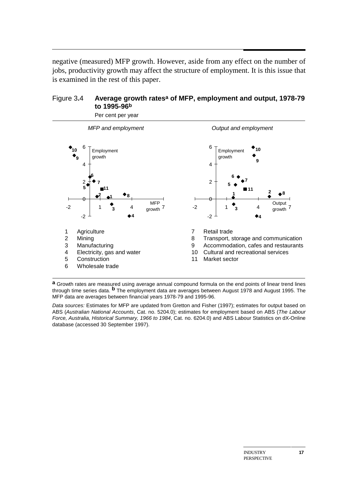negative (measured) MFP growth. However, aside from any effect on the number of jobs, productivity growth may affect the structure of employment. It is this issue that is examined in the rest of this paper.

#### Figure 3**.**4 **Average growth ratesa of MFP, employment and output, 1978-79 to 1995-96b**



**a** Growth rates are measured using average annual compound formula on the end points of linear trend lines through time series data. **b** The employment data are averages between August 1978 and August 1995. The MFP data are averages between financial years 1978-79 and 1995-96.

Data sources: Estimates for MFP are updated from Gretton and Fisher (1997); estimates for output based on ABS (Australian National Accounts, Cat. no. 5204.0); estimates for employment based on ABS (The Labour Force, Australia, Historical Summary, 1966 to 1984, Cat. no. 6204.0) and ABS Labour Statistics on dX-Online database (accessed 30 September 1997).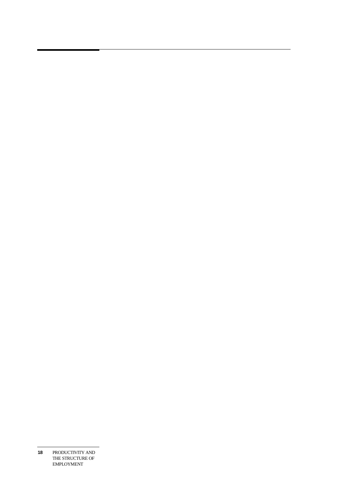**<sup>18</sup>** PRODUCTIVITY AND THE STRUCTURE OF EMPLOYMENT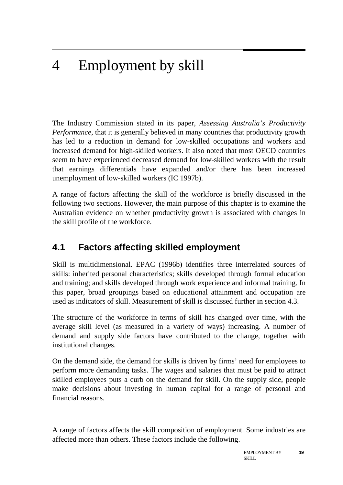# 4 Employment by skill

The Industry Commission stated in its paper, *Assessing Australia's Productivity Performance*, that it is generally believed in many countries that productivity growth has led to a reduction in demand for low-skilled occupations and workers and increased demand for high-skilled workers. It also noted that most OECD countries seem to have experienced decreased demand for low-skilled workers with the result that earnings differentials have expanded and/or there has been increased unemployment of low-skilled workers (IC 1997b).

A range of factors affecting the skill of the workforce is briefly discussed in the following two sections. However, the main purpose of this chapter is to examine the Australian evidence on whether productivity growth is associated with changes in the skill profile of the workforce.

# **4.1 Factors affecting skilled employment**

Skill is multidimensional. EPAC (1996b) identifies three interrelated sources of skills: inherited personal characteristics; skills developed through formal education and training; and skills developed through work experience and informal training. In this paper, broad groupings based on educational attainment and occupation are used as indicators of skill. Measurement of skill is discussed further in section 4.3.

The structure of the workforce in terms of skill has changed over time, with the average skill level (as measured in a variety of ways) increasing. A number of demand and supply side factors have contributed to the change, together with institutional changes.

On the demand side, the demand for skills is driven by firms' need for employees to perform more demanding tasks. The wages and salaries that must be paid to attract skilled employees puts a curb on the demand for skill. On the supply side, people make decisions about investing in human capital for a range of personal and financial reasons.

A range of factors affects the skill composition of employment. Some industries are affected more than others. These factors include the following.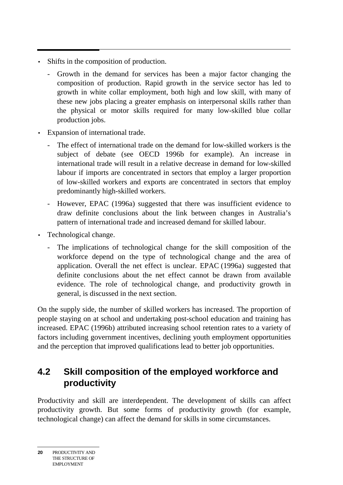- Shifts in the composition of production.
	- Growth in the demand for services has been a major factor changing the composition of production. Rapid growth in the service sector has led to growth in white collar employment, both high and low skill, with many of these new jobs placing a greater emphasis on interpersonal skills rather than the physical or motor skills required for many low-skilled blue collar production jobs.
- Expansion of international trade.
	- The effect of international trade on the demand for low-skilled workers is the subject of debate (see OECD 1996b for example). An increase in international trade will result in a relative decrease in demand for low-skilled labour if imports are concentrated in sectors that employ a larger proportion of low-skilled workers and exports are concentrated in sectors that employ predominantly high-skilled workers.
	- However, EPAC (1996a) suggested that there was insufficient evidence to draw definite conclusions about the link between changes in Australia's pattern of international trade and increased demand for skilled labour.
- Technological change.
	- The implications of technological change for the skill composition of the workforce depend on the type of technological change and the area of application. Overall the net effect is unclear. EPAC (1996a) suggested that definite conclusions about the net effect cannot be drawn from available evidence. The role of technological change, and productivity growth in general, is discussed in the next section.

On the supply side, the number of skilled workers has increased. The proportion of people staying on at school and undertaking post-school education and training has increased. EPAC (1996b) attributed increasing school retention rates to a variety of factors including government incentives, declining youth employment opportunities and the perception that improved qualifications lead to better job opportunities.

# **4.2 Skill composition of the employed workforce and productivity**

Productivity and skill are interdependent. The development of skills can affect productivity growth. But some forms of productivity growth (for example, technological change) can affect the demand for skills in some circumstances.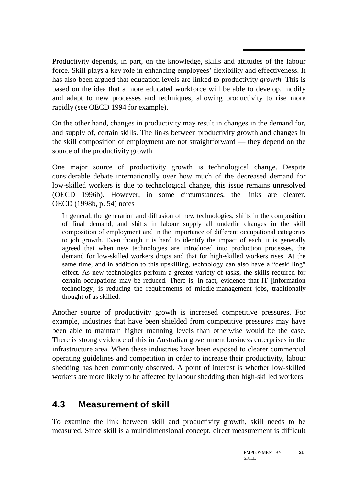Productivity depends, in part, on the knowledge, skills and attitudes of the labour force. Skill plays a key role in enhancing employees' flexibility and effectiveness. It has also been argued that education levels are linked to productivity *growth*. This is based on the idea that a more educated workforce will be able to develop, modify and adapt to new processes and techniques, allowing productivity to rise more rapidly (see OECD 1994 for example).

On the other hand, changes in productivity may result in changes in the demand for, and supply of, certain skills. The links between productivity growth and changes in the skill composition of employment are not straightforward — they depend on the source of the productivity growth.

One major source of productivity growth is technological change. Despite considerable debate internationally over how much of the decreased demand for low-skilled workers is due to technological change, this issue remains unresolved (OECD 1996b). However, in some circumstances, the links are clearer. OECD (1998b, p. 54) notes

In general, the generation and diffusion of new technologies, shifts in the composition of final demand, and shifts in labour supply all underlie changes in the skill composition of employment and in the importance of different occupational categories to job growth. Even though it is hard to identify the impact of each, it is generally agreed that when new technologies are introduced into production processes, the demand for low-skilled workers drops and that for high-skilled workers rises. At the same time, and in addition to this upskilling, technology can also have a "deskilling" effect. As new technologies perform a greater variety of tasks, the skills required for certain occupations may be reduced. There is, in fact, evidence that IT [information technology] is reducing the requirements of middle-management jobs, traditionally thought of as skilled.

Another source of productivity growth is increased competitive pressures. For example, industries that have been shielded from competitive pressures may have been able to maintain higher manning levels than otherwise would be the case. There is strong evidence of this in Australian government business enterprises in the infrastructure area. When these industries have been exposed to clearer commercial operating guidelines and competition in order to increase their productivity, labour shedding has been commonly observed. A point of interest is whether low-skilled workers are more likely to be affected by labour shedding than high-skilled workers.

# **4.3 Measurement of skill**

To examine the link between skill and productivity growth, skill needs to be measured. Since skill is a multidimensional concept, direct measurement is difficult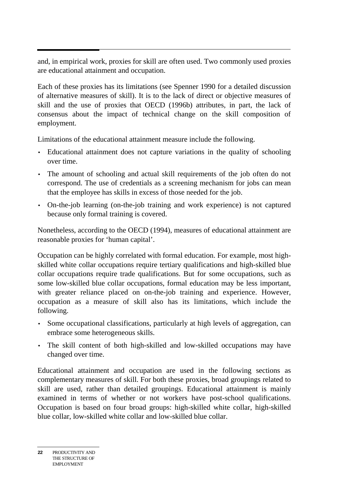and, in empirical work, proxies for skill are often used. Two commonly used proxies are educational attainment and occupation.

Each of these proxies has its limitations (see Spenner 1990 for a detailed discussion of alternative measures of skill). It is to the lack of direct or objective measures of skill and the use of proxies that OECD (1996b) attributes, in part, the lack of consensus about the impact of technical change on the skill composition of employment.

Limitations of the educational attainment measure include the following.

- Educational attainment does not capture variations in the quality of schooling over time.
- The amount of schooling and actual skill requirements of the job often do not correspond. The use of credentials as a screening mechanism for jobs can mean that the employee has skills in excess of those needed for the job.
- On-the-job learning (on-the-job training and work experience) is not captured because only formal training is covered.

Nonetheless, according to the OECD (1994), measures of educational attainment are reasonable proxies for 'human capital'.

Occupation can be highly correlated with formal education. For example, most highskilled white collar occupations require tertiary qualifications and high-skilled blue collar occupations require trade qualifications. But for some occupations, such as some low-skilled blue collar occupations, formal education may be less important, with greater reliance placed on on-the-job training and experience. However, occupation as a measure of skill also has its limitations, which include the following.

- Some occupational classifications, particularly at high levels of aggregation, can embrace some heterogeneous skills.
- The skill content of both high-skilled and low-skilled occupations may have changed over time.

Educational attainment and occupation are used in the following sections as complementary measures of skill. For both these proxies, broad groupings related to skill are used, rather than detailed groupings. Educational attainment is mainly examined in terms of whether or not workers have post-school qualifications. Occupation is based on four broad groups: high-skilled white collar, high-skilled blue collar, low-skilled white collar and low-skilled blue collar.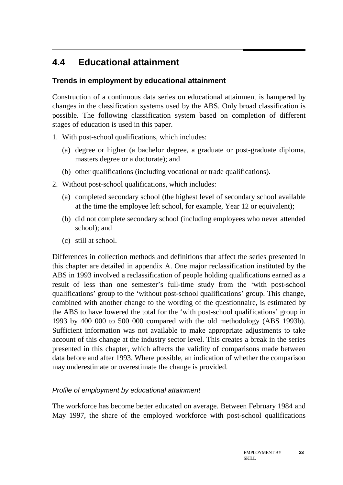# **4.4 Educational attainment**

### **Trends in employment by educational attainment**

Construction of a continuous data series on educational attainment is hampered by changes in the classification systems used by the ABS. Only broad classification is possible. The following classification system based on completion of different stages of education is used in this paper.

- 1. With post-school qualifications, which includes:
	- (a) degree or higher (a bachelor degree, a graduate or post-graduate diploma, masters degree or a doctorate); and
	- (b) other qualifications (including vocational or trade qualifications).
- 2. Without post-school qualifications, which includes:
	- (a) completed secondary school (the highest level of secondary school available at the time the employee left school, for example, Year 12 or equivalent);
	- (b) did not complete secondary school (including employees who never attended school); and
	- (c) still at school.

Differences in collection methods and definitions that affect the series presented in this chapter are detailed in appendix A. One major reclassification instituted by the ABS in 1993 involved a reclassification of people holding qualifications earned as a result of less than one semester's full-time study from the 'with post-school qualifications' group to the 'without post-school qualifications' group. This change, combined with another change to the wording of the questionnaire, is estimated by the ABS to have lowered the total for the 'with post-school qualifications' group in 1993 by 400 000 to 500 000 compared with the old methodology (ABS 1993b). Sufficient information was not available to make appropriate adjustments to take account of this change at the industry sector level. This creates a break in the series presented in this chapter, which affects the validity of comparisons made between data before and after 1993. Where possible, an indication of whether the comparison may underestimate or overestimate the change is provided.

## Profile of employment by educational attainment

The workforce has become better educated on average. Between February 1984 and May 1997, the share of the employed workforce with post-school qualifications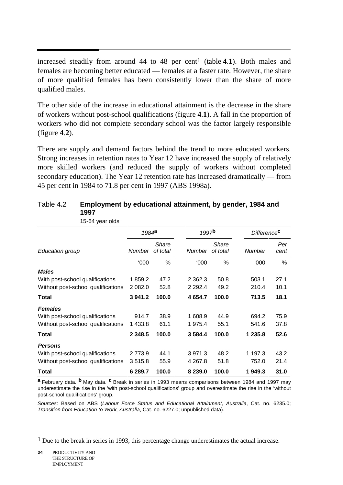increased steadily from around 44 to 48 per cent<sup>1</sup> (table 4.1). Both males and females are becoming better educated — females at a faster rate. However, the share of more qualified females has been consistently lower than the share of more qualified males.

The other side of the increase in educational attainment is the decrease in the share of workers without post-school qualifications (figure **4**.**1**). A fall in the proportion of workers who did not complete secondary school was the factor largely responsible (figure **4**.**2**).

There are supply and demand factors behind the trend to more educated workers. Strong increases in retention rates to Year 12 have increased the supply of relatively more skilled workers (and reduced the supply of workers without completed secondary education). The Year 12 retention rate has increased dramatically — from 45 per cent in 1984 to 71.8 per cent in 1997 (ABS 1998a).

| iv vi juul viuv                    |                   |                   |                   |                   |                         |             |
|------------------------------------|-------------------|-------------------|-------------------|-------------------|-------------------------|-------------|
|                                    | 1984 <sup>a</sup> |                   | 1997 <sup>b</sup> |                   | Difference <sup>c</sup> |             |
| Education group                    | Number            | Share<br>of total | <b>Number</b>     | Share<br>of total | <b>Number</b>           | Per<br>cent |
|                                    | 000'              | %                 | 000'              | %                 | 000'                    | %           |
| <b>Males</b>                       |                   |                   |                   |                   |                         |             |
| With post-school qualifications    | 1859.2            | 47.2              | 2 3 6 2 . 3       | 50.8              | 503.1                   | 27.1        |
| Without post-school qualifications | 2 0 8 2 .0        | 52.8              | 2 2 9 2 . 4       | 49.2              | 210.4                   | 10.1        |
| Total                              | 3 941.2           | 100.0             | 4 6 5 4 . 7       | 100.0             | 713.5                   | 18.1        |
| <b>Females</b>                     |                   |                   |                   |                   |                         |             |
| With post-school qualifications    | 914.7             | 38.9              | 1 608.9           | 44.9              | 694.2                   | 75.9        |
| Without post-school qualifications | 1 433.8           | 61.1              | 1975.4            | 55.1              | 541.6                   | 37.8        |
| Total                              | 2 3 4 8 .5        | 100.0             | 3 5 8 4 . 4       | 100.0             | 1 235.8                 | 52.6        |
| <b>Persons</b>                     |                   |                   |                   |                   |                         |             |
| With post-school qualifications    | 2773.9            | 44.1              | 3 971.3           | 48.2              | 1 197.3                 | 43.2        |
| Without post-school qualifications | 3515.8            | 55.9              | 4 2 6 7 . 8       | 51.8              | 752.0                   | 21.4        |
| Total                              | 6 289.7           | 100.0             | 8 2 3 9 . 0       | 100.0             | 1949.3                  | 31.0        |

#### Table 4**.**2 **Employment by educational attainment, by gender, 1984 and 1997**

15-64 year olds

**a** February data. **b** May data. **c** Break in series in 1993 means comparisons between 1984 and 1997 may underestimate the rise in the 'with post-school qualifications' group and overestimate the rise in the 'without post-school qualifications' group.

Sources: Based on ABS (Labour Force Status and Educational Attainment, Australia, Cat. no. 6235.0; Transition from Education to Work, Australia, Cat. no. 6227.0; unpublished data).

-

<sup>&</sup>lt;sup>1</sup> Due to the break in series in 1993, this percentage change underestimates the actual increase.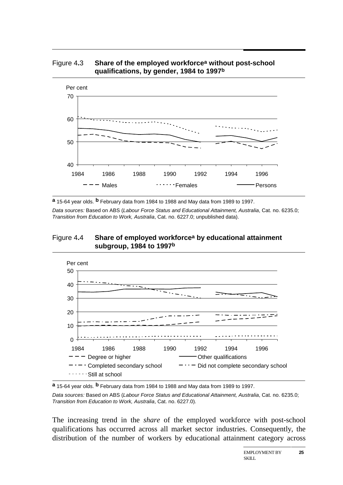



**a** 15-64 year olds. **b** February data from 1984 to 1988 and May data from 1989 to 1997.

Data sources: Based on ABS (Labour Force Status and Educational Attainment, Australia, Cat. no. 6235.0; Transition from Education to Work, Australia, Cat. no. 6227.0; unpublished data).

#### Figure 4**.**4 **Share of employed workforcea by educational attainment subgroup, 1984 to 1997b**



**a** 15-64 year olds. **b** February data from 1984 to 1988 and May data from 1989 to 1997.

Data sources: Based on ABS (Labour Force Status and Educational Attainment, Australia, Cat. no. 6235.0; Transition from Education to Work, Australia, Cat. no. 6227.0).

The increasing trend in the *share* of the employed workforce with post-school qualifications has occurred across all market sector industries. Consequently, the distribution of the number of workers by educational attainment category across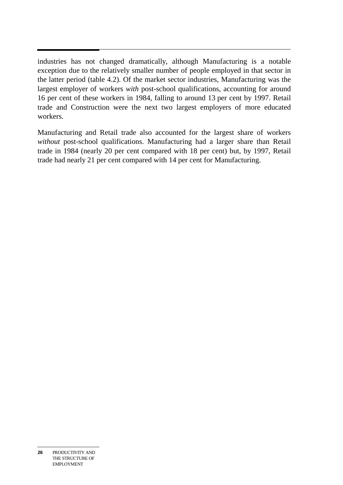industries has not changed dramatically, although Manufacturing is a notable exception due to the relatively smaller number of people employed in that sector in the latter period (table 4.2). Of the market sector industries, Manufacturing was the largest employer of workers *with* post-school qualifications, accounting for around 16 per cent of these workers in 1984, falling to around 13 per cent by 1997. Retail trade and Construction were the next two largest employers of more educated workers.

Manufacturing and Retail trade also accounted for the largest share of workers *without* post-school qualifications. Manufacturing had a larger share than Retail trade in 1984 (nearly 20 per cent compared with 18 per cent) but, by 1997, Retail trade had nearly 21 per cent compared with 14 per cent for Manufacturing.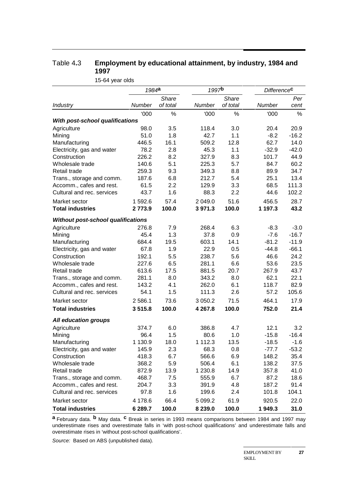|                                           | 1984 <sup>a</sup> |              | 1997 <sup>b</sup> |              | Difference <sup>c</sup> |         |
|-------------------------------------------|-------------------|--------------|-------------------|--------------|-------------------------|---------|
|                                           |                   | <b>Share</b> |                   | <b>Share</b> |                         | Per     |
| Industry                                  | Number            | of total     | Number            | of total     | Number                  | cent    |
|                                           | 000'              | %            | 000'              | %            | 000'                    | %       |
| With post-school qualifications           |                   |              |                   |              |                         |         |
| Agriculture                               | 98.0              | 3.5          | 118.4             | 3.0          | 20.4                    | 20.9    |
| Mining                                    | 51.0              | 1.8          | 42.7              | 1.1          | $-8.2$                  | $-16.2$ |
| Manufacturing                             | 446.5             | 16.1         | 509.2             | 12.8         | 62.7                    | 14.0    |
| Electricity, gas and water                | 78.2              | 2.8          | 45.3              | 1.1          | $-32.9$                 | $-42.0$ |
| Construction                              | 226.2             | 8.2          | 327.9             | 8.3          | 101.7                   | 44.9    |
| Wholesale trade                           | 140.6             | 5.1          | 225.3             | 5.7          | 84.7                    | 60.2    |
| Retail trade                              | 259.3             | 9.3          | 349.3             | 8.8          | 89.9                    | 34.7    |
| Trans., storage and comm.                 | 187.6             | 6.8          | 212.7             | 5.4          | 25.1                    | 13.4    |
| Accomm., cafes and rest.                  | 61.5              | 2.2          | 129.9             | 3.3          | 68.5                    | 111.3   |
| Cultural and rec. services                | 43.7              | 1.6          | 88.3              | 2.2          | 44.6                    | 102.2   |
| Market sector                             | 1 592.6           | 57.4         | 2 049.0           | 51.6         | 456.5                   | 28.7    |
| <b>Total industries</b>                   | 2773.9            | 100.0        | 3 971.3           | 100.0        | 1 197.3                 | 43.2    |
| <b>Without post-school qualifications</b> |                   |              |                   |              |                         |         |
| Agriculture                               | 276.8             | 7.9          | 268.4             | 6.3          | $-8.3$                  | $-3.0$  |
| Mining                                    | 45.4              | 1.3          | 37.8              | 0.9          | $-7.6$                  | $-16.7$ |
| Manufacturing                             | 684.4             | 19.5         | 603.1             | 14.1         | $-81.2$                 | $-11.9$ |
| Electricity, gas and water                | 67.8              | 1.9          | 22.9              | 0.5          | $-44.8$                 | $-66.1$ |
| Construction                              | 192.1             | 5.5          | 238.7             | 5.6          | 46.6                    | 24.2    |
| Wholesale trade                           | 227.6             | 6.5          | 281.1             | 6.6          | 53.6                    | 23.5    |
| Retail trade                              | 613.6             | 17.5         | 881.5             | 20.7         | 267.9                   | 43.7    |
| Trans., storage and comm.                 | 281.1             | 8.0          | 343.2             | 8.0          | 62.1                    | 22.1    |
| Accomm., cafes and rest.                  | 143.2             | 4.1          | 262.0             | 6.1          | 118.7                   | 82.9    |
| Cultural and rec. services                | 54.1              | 1.5          | 111.3             | 2.6          | 57.2                    | 105.6   |
| Market sector                             | 2586.1            | 73.6         | 3 0 5 0.2         | 71.5         | 464.1                   | 17.9    |
| <b>Total industries</b>                   | 3515.8            | 100.0        | 4 267.8           | 100.0        | 752.0                   | 21.4    |
| All education groups                      |                   |              |                   |              |                         |         |
| Agriculture                               | 374.7             | 6.0          | 386.8             | 4.7          | 12.1                    | 3.2     |
| Mining                                    | 96.4              | 1.5          | 80.6              | 1.0          | $-15.8$                 | $-16.4$ |
| Manufacturing                             | 1 130.9           | 18.0         | 1 1 1 2 . 3       | 13.5         | $-18.5$                 | $-1.6$  |
| Electricity, gas and water                | 145.9             | 2.3          | 68.3              | 0.8          | $-77.7$                 | $-53.2$ |
| Construction                              | 418.3             | 6.7          | 566.6             | 6.9          | 148.2                   | 35.4    |
| Wholesale trade                           | 368.2             | 5.9          | 506.4             | 6.1          | 138.2                   | 37.5    |
| Retail trade                              | 872.9             | 13.9         | 1 2 3 0.8         | 14.9         | 357.8                   | 41.0    |
| Trans., storage and comm.                 | 468.7             | 7.5          | 555.9             | 6.7          | 87.2                    | 18.6    |
| Accomm., cafes and rest.                  | 204.7             | 3.3          | 391.9             | 4.8          | 187.2                   | 91.4    |
| Cultural and rec. services                | 97.8              | 1.6          | 199.6             | 2.4          | 101.8                   | 104.1   |
| Market sector                             | 4 178.6           | 66.4         | 5 0 9 9.2         | 61.9         | 920.5                   | 22.0    |
| <b>Total industries</b>                   | 6 289.7           | 100.0        | 8 2 3 9 . 0       | 100.0        | 1949.3                  | 31.0    |

## Table 4**.**3 **Employment by educational attainment, by industry, 1984 and 1997**

15-64 year olds

**a** February data. **b** May data. **c** Break in series in 1993 means comparisons between 1984 and 1997 may underestimate rises and overestimate falls in 'with post-school qualifications' and underestimate falls and overestimate rises in 'without post-school qualifications'.

Source: Based on ABS (unpublished data).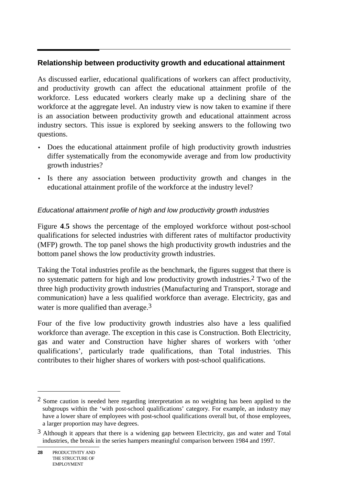## **Relationship between productivity growth and educational attainment**

As discussed earlier, educational qualifications of workers can affect productivity, and productivity growth can affect the educational attainment profile of the workforce. Less educated workers clearly make up a declining share of the workforce at the aggregate level. An industry view is now taken to examine if there is an association between productivity growth and educational attainment across industry sectors. This issue is explored by seeking answers to the following two questions.

- Does the educational attainment profile of high productivity growth industries differ systematically from the economywide average and from low productivity growth industries?
- Is there any association between productivity growth and changes in the educational attainment profile of the workforce at the industry level?

## Educational attainment profile of high and low productivity growth industries

Figure **4**.**5** shows the percentage of the employed workforce without post-school qualifications for selected industries with different rates of multifactor productivity (MFP) growth. The top panel shows the high productivity growth industries and the bottom panel shows the low productivity growth industries.

Taking the Total industries profile as the benchmark, the figures suggest that there is no systematic pattern for high and low productivity growth industries.2 Two of the three high productivity growth industries (Manufacturing and Transport, storage and communication) have a less qualified workforce than average. Electricity, gas and water is more qualified than average.<sup>3</sup>

Four of the five low productivity growth industries also have a less qualified workforce than average. The exception in this case is Construction. Both Electricity, gas and water and Construction have higher shares of workers with 'other qualifications', particularly trade qualifications, than Total industries. This contributes to their higher shares of workers with post-school qualifications.

-

 $<sup>2</sup>$  Some caution is needed here regarding interpretation as no weighting has been applied to the</sup> subgroups within the 'with post-school qualifications' category. For example, an industry may have a lower share of employees with post-school qualifications overall but, of those employees, a larger proportion may have degrees.

 $3$  Although it appears that there is a widening gap between Electricity, gas and water and Total industries, the break in the series hampers meaningful comparison between 1984 and 1997.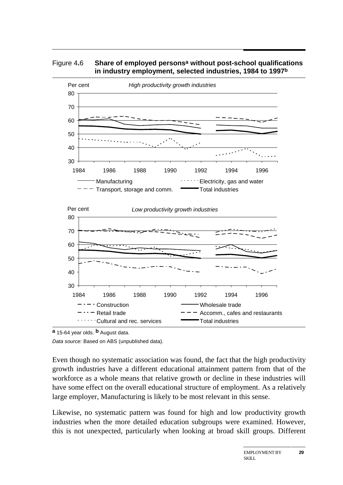Figure 4**.**6 **Share of employed personsa without post-school qualifications in industry employment, selected industries, 1984 to 1997b**



**a** 15-64 year olds. **b** August data.

Data source: Based on ABS (unpublished data).

Even though no systematic association was found, the fact that the high productivity growth industries have a different educational attainment pattern from that of the workforce as a whole means that relative growth or decline in these industries will have some effect on the overall educational structure of employment. As a relatively large employer, Manufacturing is likely to be most relevant in this sense.

Likewise, no systematic pattern was found for high and low productivity growth industries when the more detailed education subgroups were examined. However, this is not unexpected, particularly when looking at broad skill groups. Different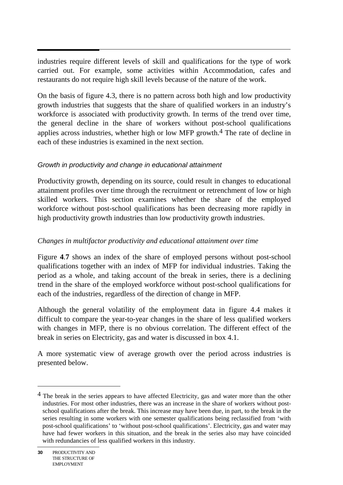industries require different levels of skill and qualifications for the type of work carried out. For example, some activities within Accommodation, cafes and restaurants do not require high skill levels because of the nature of the work.

On the basis of figure 4.3, there is no pattern across both high and low productivity growth industries that suggests that the share of qualified workers in an industry's workforce is associated with productivity growth. In terms of the trend over time, the general decline in the share of workers without post-school qualifications applies across industries, whether high or low MFP growth.4 The rate of decline in each of these industries is examined in the next section.

#### Growth in productivity and change in educational attainment

Productivity growth, depending on its source, could result in changes to educational attainment profiles over time through the recruitment or retrenchment of low or high skilled workers. This section examines whether the share of the employed workforce without post-school qualifications has been decreasing more rapidly in high productivity growth industries than low productivity growth industries.

### *Changes in multifactor productivity and educational attainment over time*

Figure **4**.**7** shows an index of the share of employed persons without post-school qualifications together with an index of MFP for individual industries. Taking the period as a whole, and taking account of the break in series, there is a declining trend in the share of the employed workforce without post-school qualifications for each of the industries, regardless of the direction of change in MFP.

Although the general volatility of the employment data in figure 4.4 makes it difficult to compare the year-to-year changes in the share of less qualified workers with changes in MFP, there is no obvious correlation. The different effect of the break in series on Electricity, gas and water is discussed in box 4.1.

A more systematic view of average growth over the period across industries is presented below.

-

<sup>&</sup>lt;sup>4</sup> The break in the series appears to have affected Electricity, gas and water more than the other industries. For most other industries, there was an increase in the share of workers without postschool qualifications after the break. This increase may have been due, in part, to the break in the series resulting in some workers with one semester qualifications being reclassified from 'with post-school qualifications' to 'without post-school qualifications'. Electricity, gas and water may have had fewer workers in this situation, and the break in the series also may have coincided with redundancies of less qualified workers in this industry.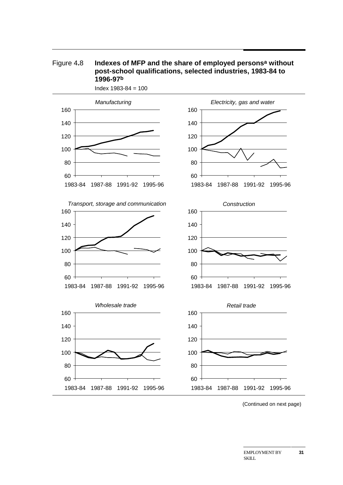#### Figure 4**.**8 **Indexes of MFP and the share of employed personsa without post-school qualifications, selected industries, 1983-84 to 1996-97b**

Index 1983-84 = 100



(Continued on next page)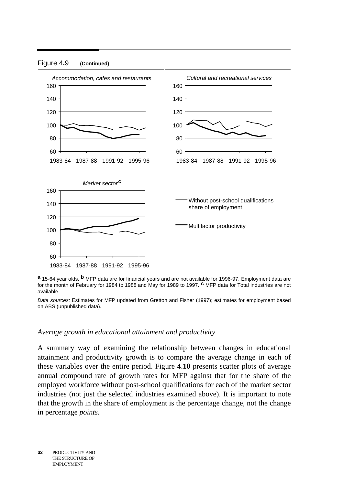

**a** 15-64 year olds. **b** MFP data are for financial years and are not available for 1996-97. Employment data are for the month of February for 1984 to 1988 and May for 1989 to 1997. **c** MFP data for Total industries are not available.

Data sources: Estimates for MFP updated from Gretton and Fisher (1997); estimates for employment based on ABS (unpublished data).

#### *Average growth in educational attainment and productivity*

A summary way of examining the relationship between changes in educational attainment and productivity growth is to compare the average change in each of these variables over the entire period. Figure **4**.**10** presents scatter plots of average annual compound rate of growth rates for MFP against that for the share of the employed workforce without post-school qualifications for each of the market sector industries (not just the selected industries examined above). It is important to note that the growth in the share of employment is the percentage change, not the change in percentage *points*.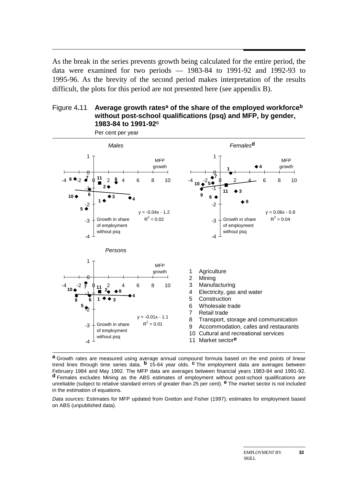As the break in the series prevents growth being calculated for the entire period, the data were examined for two periods  $-$  1983-84 to 1991-92 and 1992-93 to 1995-96. As the brevity of the second period makes interpretation of the results difficult, the plots for this period are not presented here (see appendix B).

#### Figure 4**.**11 **Average growth ratesa of the share of the employed workforceb without post-school qualifications (psq) and MFP, by gender, 1983-84 to 1991-92c**



**a** Growth rates are measured using average annual compound formula based on the end points of linear trend lines through time series data. **b** 15-64 year olds. **c** The employment data are averages between February 1984 and May 1992. The MFP data are averages between financial years 1983-84 and 1991-92. **<sup>d</sup>** Females excludes Mining as the ABS estimates of employment without post-school qualifications are unreliable (subject to relative standard errors of greater than 25 per cent). **e** The market sector is not included in the estimation of equations.

Data sources: Estimates for MFP updated from Gretton and Fisher (1997); estimates for employment based on ABS (unpublished data).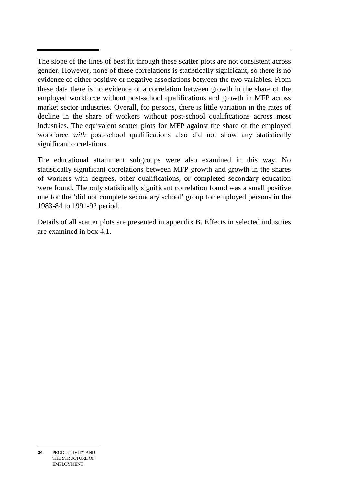The slope of the lines of best fit through these scatter plots are not consistent across gender. However, none of these correlations is statistically significant, so there is no evidence of either positive or negative associations between the two variables. From these data there is no evidence of a correlation between growth in the share of the employed workforce without post-school qualifications and growth in MFP across market sector industries. Overall, for persons, there is little variation in the rates of decline in the share of workers without post-school qualifications across most industries. The equivalent scatter plots for MFP against the share of the employed workforce *with* post-school qualifications also did not show any statistically significant correlations.

The educational attainment subgroups were also examined in this way. No statistically significant correlations between MFP growth and growth in the shares of workers with degrees, other qualifications, or completed secondary education were found. The only statistically significant correlation found was a small positive one for the 'did not complete secondary school' group for employed persons in the 1983-84 to 1991-92 period.

Details of all scatter plots are presented in appendix B. Effects in selected industries are examined in box 4.1.

**<sup>34</sup>** PRODUCTIVITY AND THE STRUCTURE OF EMPLOYMENT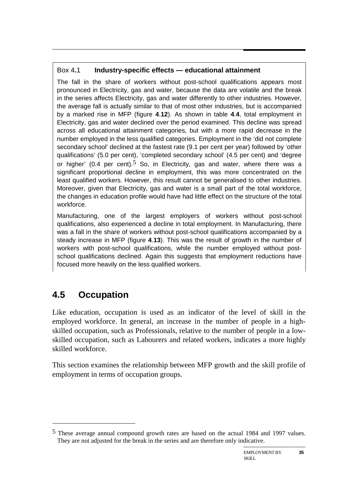## Box 4**.**1 **Industry-specific effects — educational attainment**

The fall in the share of workers without post-school qualifications appears most pronounced in Electricity, gas and water, because the data are volatile and the break in the series affects Electricity, gas and water differently to other industries. However, the average fall is actually similar to that of most other industries, but is accompanied by a marked rise in MFP (figure **4**.**12**). As shown in table **4**.**4**, total employment in Electricity, gas and water declined over the period examined. This decline was spread across all educational attainment categories, but with a more rapid decrease in the number employed in the less qualified categories. Employment in the 'did not complete secondary school' declined at the fastest rate (9.1 per cent per year) followed by 'other qualifications' (5.0 per cent), 'completed secondary school' (4.5 per cent) and 'degree or higher' (0.4 per cent).<sup>5</sup> So, in Electricity, gas and water, where there was a significant proportional decline in employment, this was more concentrated on the least qualified workers. However, this result cannot be generalised to other industries. Moreover, given that Electricity, gas and water is a small part of the total workforce, the changes in education profile would have had little effect on the structure of the total workforce.

Manufacturing, one of the largest employers of workers without post-school qualifications, also experienced a decline in total employment. In Manufacturing, there was a fall in the share of workers without post-school qualifications accompanied by a steady increase in MFP (figure **4**.**13**). This was the result of growth in the number of workers with post-school qualifications, while the number employed without postschool qualifications declined. Again this suggests that employment reductions have focused more heavily on the less qualified workers.

# **4.5 Occupation**

 $\overline{a}$ 

Like education, occupation is used as an indicator of the level of skill in the employed workforce. In general, an increase in the number of people in a highskilled occupation, such as Professionals, relative to the number of people in a lowskilled occupation, such as Labourers and related workers, indicates a more highly skilled workforce.

This section examines the relationship between MFP growth and the skill profile of employment in terms of occupation groups.

<sup>5</sup> These average annual compound growth rates are based on the actual 1984 and 1997 values. They are not adjusted for the break in the series and are therefore only indicative.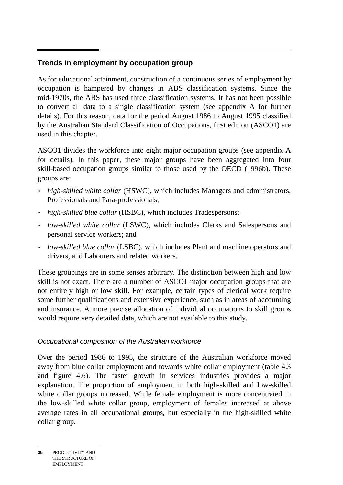## **Trends in employment by occupation group**

As for educational attainment, construction of a continuous series of employment by occupation is hampered by changes in ABS classification systems. Since the mid-1970s, the ABS has used three classification systems. It has not been possible to convert all data to a single classification system (see appendix A for further details). For this reason, data for the period August 1986 to August 1995 classified by the Australian Standard Classification of Occupations, first edition (ASCO1) are used in this chapter.

ASCO1 divides the workforce into eight major occupation groups (see appendix A for details). In this paper, these major groups have been aggregated into four skill-based occupation groups similar to those used by the OECD (1996b). These groups are:

- *high-skilled white collar* (HSWC), which includes Managers and administrators, Professionals and Para-professionals;
- *high-skilled blue collar* (HSBC), which includes Tradespersons;
- *low-skilled white collar* (LSWC), which includes Clerks and Salespersons and personal service workers; and
- *low-skilled blue collar* (LSBC), which includes Plant and machine operators and drivers, and Labourers and related workers.

These groupings are in some senses arbitrary. The distinction between high and low skill is not exact. There are a number of ASCO1 major occupation groups that are not entirely high or low skill. For example, certain types of clerical work require some further qualifications and extensive experience, such as in areas of accounting and insurance. A more precise allocation of individual occupations to skill groups would require very detailed data, which are not available to this study.

#### Occupational composition of the Australian workforce

Over the period 1986 to 1995, the structure of the Australian workforce moved away from blue collar employment and towards white collar employment (table 4.3 and figure 4.6). The faster growth in services industries provides a major explanation. The proportion of employment in both high-skilled and low-skilled white collar groups increased. While female employment is more concentrated in the low-skilled white collar group, employment of females increased at above average rates in all occupational groups, but especially in the high-skilled white collar group.

**36** PRODUCTIVITY AND THE STRUCTURE OF EMPLOYMENT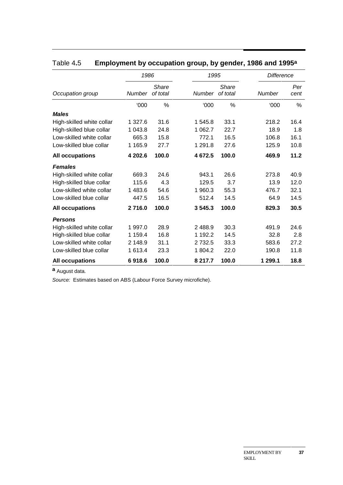|                           |               | 1986<br>1995      |  | Difference |                   |  |         |             |
|---------------------------|---------------|-------------------|--|------------|-------------------|--|---------|-------------|
| Occupation group          | <b>Number</b> | Share<br>of total |  | Number     | Share<br>of total |  | Number  | Per<br>cent |
|                           | 000'          | %                 |  | 000'       | %                 |  | '000    | %           |
| <b>Males</b>              |               |                   |  |            |                   |  |         |             |
| High-skilled white collar | 1 327.6       | 31.6              |  | 1 545.8    | 33.1              |  | 218.2   | 16.4        |
| High-skilled blue collar  | 1 043.8       | 24.8              |  | 1 0 6 2.7  | 22.7              |  | 18.9    | 1.8         |
| Low-skilled white collar  | 665.3         | 15.8              |  | 772.1      | 16.5              |  | 106.8   | 16.1        |
| Low-skilled blue collar   | 1 1 6 5 . 9   | 27.7              |  | 1 291.8    | 27.6              |  | 125.9   | 10.8        |
| <b>All occupations</b>    | 4 202.6       | 100.0             |  | 4672.5     | 100.0             |  | 469.9   | 11.2        |
| <b>Females</b>            |               |                   |  |            |                   |  |         |             |
| High-skilled white collar | 669.3         | 24.6              |  | 943.1      | 26.6              |  | 273.8   | 40.9        |
| High-skilled blue collar  | 115.6         | 4.3               |  | 129.5      | 3.7               |  | 13.9    | 12.0        |
| Low-skilled white collar  | 1483.6        | 54.6              |  | 1 960.3    | 55.3              |  | 476.7   | 32.1        |
| Low-skilled blue collar   | 447.5         | 16.5              |  | 512.4      | 14.5              |  | 64.9    | 14.5        |
| <b>All occupations</b>    | 2716.0        | 100.0             |  | 3545.3     | 100.0             |  | 829.3   | 30.5        |
| <b>Persons</b>            |               |                   |  |            |                   |  |         |             |
| High-skilled white collar | 1 997.0       | 28.9              |  | 2 4 8 8.9  | 30.3              |  | 491.9   | 24.6        |
| High-skilled blue collar  | 1 159.4       | 16.8              |  | 1 192.2    | 14.5              |  | 32.8    | 2.8         |
| Low-skilled white collar  | 2 148.9       | 31.1              |  | 2732.5     | 33.3              |  | 583.6   | 27.2        |
| Low-skilled blue collar   | 1 613.4       | 23.3              |  | 1 804.2    | 22.0              |  | 190.8   | 11.8        |
| <b>All occupations</b>    | 6918.6        | 100.0             |  | 8 217.7    | 100.0             |  | 1 299.1 | 18.8        |

## Table 4**.**5 **Employment by occupation group, by gender, 1986 and 1995a**

**a** August data.

Source: Estimates based on ABS (Labour Force Survey microfiche).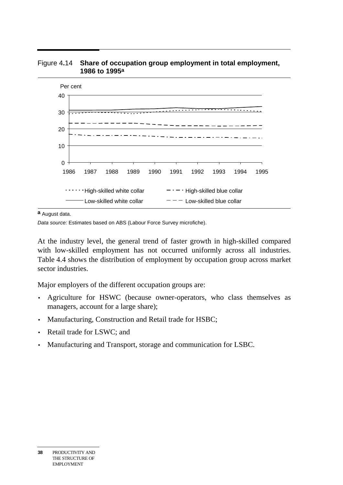

#### Figure 4**.**14 **Share of occupation group employment in total employment, 1986 to 1995a**

**a** August data.

Data source: Estimates based on ABS (Labour Force Survey microfiche).

At the industry level, the general trend of faster growth in high-skilled compared with low-skilled employment has not occurred uniformly across all industries. Table 4.4 shows the distribution of employment by occupation group across market sector industries.

Major employers of the different occupation groups are:

- Agriculture for HSWC (because owner-operators, who class themselves as managers, account for a large share);
- Manufacturing, Construction and Retail trade for HSBC;
- Retail trade for LSWC; and
- Manufacturing and Transport, storage and communication for LSBC.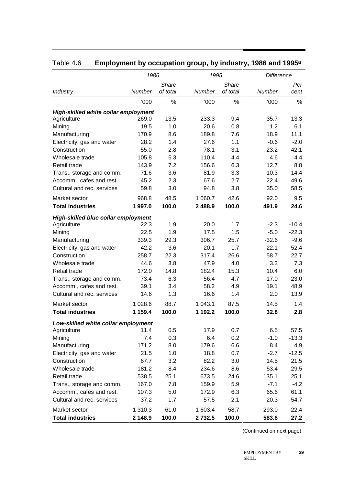|                                      | 1986        |              | 1995       |              | <b>Difference</b> |         |
|--------------------------------------|-------------|--------------|------------|--------------|-------------------|---------|
|                                      |             | <b>Share</b> |            | <b>Share</b> |                   | Per     |
| Industry                             | Number      | of total     | Number     | of total     | Number            | cent    |
|                                      | '000        | $\%$         | 000'       | %            | <b>'000</b>       | $\%$    |
| High-skilled white collar employment |             |              |            |              |                   |         |
| Agriculture                          | 269.0       | 13.5         | 233.3      | 9.4          | $-35.7$           | $-13.3$ |
| Mining                               | 19.5        | 1.0          | 20.6       | 0.8          | 1.2               | 6.1     |
| Manufacturing                        | 170.9       | 8.6          | 189.8      | 7.6          | 18.9              | 11.1    |
| Electricity, gas and water           | 28.2        | 1.4          | 27.6       | 1.1          | $-0.6$            | $-2.0$  |
| Construction                         | 55.0        | 2.8          | 78.1       | 3.1          | 23.2              | 42.1    |
| Wholesale trade                      | 105.8       | 5.3          | 110.4      | 4.4          | 4.6               | 4.4     |
| Retail trade                         | 143.9       | 7.2          | 156.6      | 6.3          | 12.7              | 8.8     |
| Trans., storage and comm.            | 71.6        | 3.6          | 81.9       | 3.3          | 10.3              | 14.4    |
| Accomm., cafes and rest.             | 45.2        | 2.3          | 67.6       | 2.7          | 22.4              | 49.6    |
| Cultural and rec. services           | 59.8        | 3.0          | 94.8       | 3.8          | 35.0              | 58.5    |
| Market sector                        | 968.8       | 48.5         | 1 0 6 0.7  | 42.6         | 92.0              | 9.5     |
| <b>Total industries</b>              | 1997.0      | 100.0        | 2 4 8 8.9  | 100.0        | 491.9             | 24.6    |
| High-skilled blue collar employment  |             |              |            |              |                   |         |
| Agriculture                          | 22.3        | 1.9          | 20.0       | 1.7          | $-2.3$            | $-10.4$ |
| Mining                               | 22.5        | 1.9          | 17.5       | 1.5          | $-5.0$            | $-22.3$ |
| Manufacturing                        | 339.3       | 29.3         | 306.7      | 25.7         | $-32.6$           | $-9.6$  |
| Electricity, gas and water           | 42.2        | 3.6          | 20.1       | 1.7          | $-22.1$           | $-52.4$ |
| Construction                         | 258.7       | 22.3         | 317.4      | 26.6         | 58.7              | 22.7    |
| Wholesale trade                      | 44.6        | 3.8          | 47.9       | 4.0          | 3.3               | 7.3     |
| Retail trade                         | 172.0       | 14.8         | 182.4      | 15.3         | 10.4              | 6.0     |
| Trans., storage and comm.            | 73.4        | 6.3          | 56.4       | 4.7          | $-17.0$           | $-23.0$ |
| Accomm., cafes and rest.             | 39.1        | 3.4          | 58.2       | 4.9          | 19.1              | 48.9    |
| Cultural and rec. services           | 14.6        | 1.3          | 16.6       | 1.4          | 2.0               | 13.9    |
| Market sector                        | 1 0 28.6    | 88.7         | 1 043.1    | 87.5         | 14.5              | 1.4     |
| <b>Total industries</b>              | 1 159.4     | 100.0        | 1 192.2    | 100.0        | 32.8              | 2.8     |
| Low-skilled white collar employment  |             |              |            |              |                   |         |
| Agriculture                          | 11.4        | 0.5          | 17.9       | 0.7          | 6.5               | 57.5    |
| Mining                               | 7.4         | 0.3          | 6.4        | 0.2          | $-1.0$            | $-13.3$ |
| Manufacturing                        | 171.2       | 8.0          | 179.6      | 6.6          | 8.4               | 4.9     |
| Electricity, gas and water           | 21.5        | 1.0          | 18.8       | 0.7          | $-2.7$            | $-12.5$ |
| Construction                         | 67.7        | 3.2          | 82.2       | 3.0          | 14.5              | 21.5    |
| Wholesale trade                      | 181.2       | 8.4          | 234.6      | 8.6          | 53.4              | 29.5    |
| Retail trade                         | 538.5       | 25.1         | 673.5      | 24.6         | 135.1             | 25.1    |
| Trans., storage and comm.            | 167.0       | 7.8          | 159.9      | 5.9          | $-7.1$            | $-4.2$  |
| Accomm., cafes and rest.             | 107.3       | 5.0          | 172.9      | 6.3          | 65.6              | 61.1    |
| Cultural and rec. services           | 37.2        | 1.7          | 57.5       | 2.1          | 20.3              | 54.7    |
| Market sector                        | 1 3 1 0 . 3 | 61.0         | 1 603.4    | 58.7         | 293.0             | 22.4    |
| <b>Total industries</b>              | 2 148.9     | 100.0        | 2 7 3 2 .5 | 100.0        | 583.6             | 27.2    |

# Table 4**.**6 **Employment by occupation group, by industry, 1986 and 1995a**

(Continued on next page)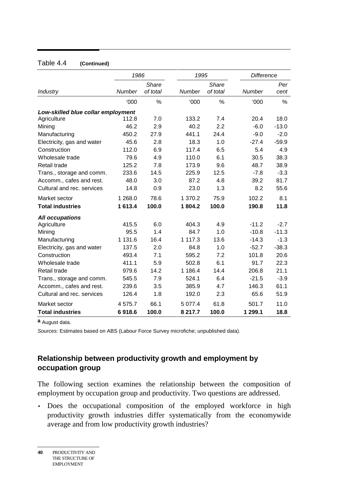#### Table 4.4 **(Continued)**

|                                    | 1986          |          | 1995        |               | <b>Difference</b> |         |
|------------------------------------|---------------|----------|-------------|---------------|-------------------|---------|
|                                    |               | Share    |             | Share         |                   | Per     |
| Industry                           | <b>Number</b> | of total | Number      | of total      | <b>Number</b>     | cent    |
|                                    | <b>'000</b>   | %        | 000'        | $\frac{0}{0}$ | <b>'000</b>       | $\%$    |
| Low-skilled blue collar employment |               |          |             |               |                   |         |
| Agriculture                        | 112.8         | 7.0      | 133.2       | 7.4           | 20.4              | 18.0    |
| Mining                             | 46.2          | 2.9      | 40.2        | 2.2           | $-6.0$            | $-13.0$ |
| Manufacturing                      | 450.2         | 27.9     | 441.1       | 24.4          | $-9.0$            | $-2.0$  |
| Electricity, gas and water         | 45.6          | 2.8      | 18.3        | 1.0           | $-27.4$           | $-59.9$ |
| Construction                       | 112.0         | 6.9      | 117.4       | 6.5           | 5.4               | 4.9     |
| Wholesale trade                    | 79.6          | 4.9      | 110.0       | 6.1           | 30.5              | 38.3    |
| Retail trade                       | 125.2         | 7.8      | 173.9       | 9.6           | 48.7              | 38.9    |
| Trans., storage and comm.          | 233.6         | 14.5     | 225.9       | 12.5          | $-7.8$            | $-3.3$  |
| Accomm., cafes and rest.           | 48.0          | 3.0      | 87.2        | 4.8           | 39.2              | 81.7    |
| Cultural and rec. services         | 14.8          | 0.9      | 23.0        | 1.3           | 8.2               | 55.6    |
| Market sector                      | 1 268.0       | 78.6     | 1 370.2     | 75.9          | 102.2             | 8.1     |
| <b>Total industries</b>            | 1 613.4       | 100.0    | 1804.2      | 100.0         | 190.8             | 11.8    |
| <b>All occupations</b>             |               |          |             |               |                   |         |
| Agriculture                        | 415.5         | 6.0      | 404.3       | 4.9           | $-11.2$           | $-2.7$  |
| Mining                             | 95.5          | 1.4      | 84.7        | 1.0           | $-10.8$           | $-11.3$ |
| Manufacturing                      | 1 131.6       | 16.4     | 1 1 1 7 . 3 | 13.6          | $-14.3$           | $-1.3$  |
| Electricity, gas and water         | 137.5         | 2.0      | 84.8        | 1.0           | $-52.7$           | $-38.3$ |
| Construction                       | 493.4         | 7.1      | 595.2       | 7.2           | 101.8             | 20.6    |
| Wholesale trade                    | 411.1         | 5.9      | 502.8       | 6.1           | 91.7              | 22.3    |
| Retail trade                       | 979.6         | 14.2     | 1 186.4     | 14.4          | 206.8             | 21.1    |
| Trans., storage and comm.          | 545.5         | 7.9      | 524.1       | 6.4           | $-21.5$           | $-3.9$  |
| Accomm., cafes and rest.           | 239.6         | 3.5      | 385.9       | 4.7           | 146.3             | 61.1    |
| Cultural and rec. services         | 126.4         | 1.8      | 192.0       | 2.3           | 65.6              | 51.9    |
| Market sector                      | 4575.7        | 66.1     | 5 0 7 7.4   | 61.8          | 501.7             | 11.0    |
| <b>Total industries</b>            | 6918.6        | 100.0    | 8 217.7     | 100.0         | 1 299.1           | 18.8    |

**a** August data.

Sources: Estimates based on ABS (Labour Force Survey microfiche; unpublished data).

#### **Relationship between productivity growth and employment by occupation group**

The following section examines the relationship between the composition of employment by occupation group and productivity. Two questions are addressed.

• Does the occupational composition of the employed workforce in high productivity growth industries differ systematically from the economywide average and from low productivity growth industries?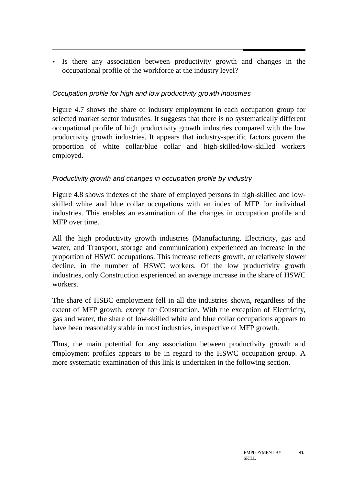• Is there any association between productivity growth and changes in the occupational profile of the workforce at the industry level?

#### Occupation profile for high and low productivity growth industries

Figure 4.7 shows the share of industry employment in each occupation group for selected market sector industries. It suggests that there is no systematically different occupational profile of high productivity growth industries compared with the low productivity growth industries. It appears that industry-specific factors govern the proportion of white collar/blue collar and high-skilled/low-skilled workers employed.

#### Productivity growth and changes in occupation profile by industry

Figure 4.8 shows indexes of the share of employed persons in high-skilled and lowskilled white and blue collar occupations with an index of MFP for individual industries. This enables an examination of the changes in occupation profile and MFP over time.

All the high productivity growth industries (Manufacturing, Electricity, gas and water, and Transport, storage and communication) experienced an increase in the proportion of HSWC occupations. This increase reflects growth, or relatively slower decline, in the number of HSWC workers. Of the low productivity growth industries, only Construction experienced an average increase in the share of HSWC workers.

The share of HSBC employment fell in all the industries shown, regardless of the extent of MFP growth, except for Construction. With the exception of Electricity, gas and water, the share of low-skilled white and blue collar occupations appears to have been reasonably stable in most industries, irrespective of MFP growth.

Thus, the main potential for any association between productivity growth and employment profiles appears to be in regard to the HSWC occupation group. A more systematic examination of this link is undertaken in the following section.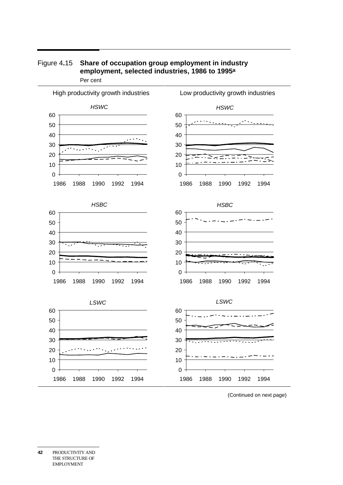

#### Figure 4**.**15 **Share of occupation group employment in industry employment, selected industries, 1986 to 1995a** Per cent

(Continued on next page)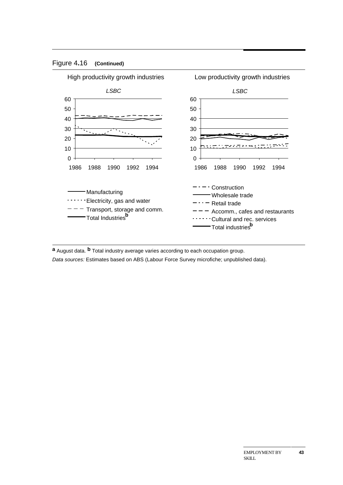



**a** August data. **b** Total industry average varies according to each occupation group.

Data sources: Estimates based on ABS (Labour Force Survey microfiche; unpublished data).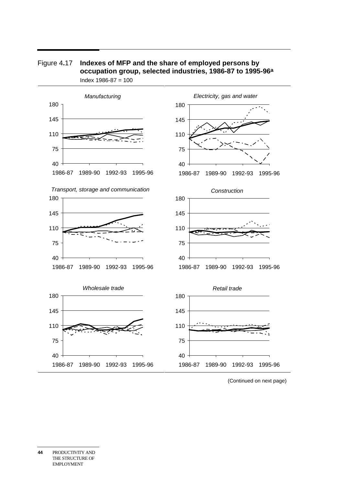



(Continued on next page)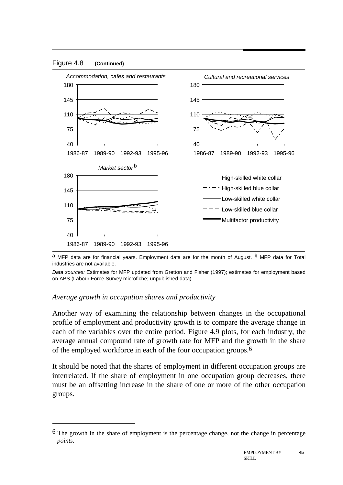



**a** MFP data are for financial years. Employment data are for the month of August. **b** MFP data for Total industries are not available.

Data sources: Estimates for MFP updated from Gretton and Fisher (1997); estimates for employment based on ABS (Labour Force Survey microfiche; unpublished data).

#### *Average growth in occupation shares and productivity*

 $\overline{a}$ 

Another way of examining the relationship between changes in the occupational profile of employment and productivity growth is to compare the average change in each of the variables over the entire period. Figure 4.9 plots, for each industry, the average annual compound rate of growth rate for MFP and the growth in the share of the employed workforce in each of the four occupation groups.6

It should be noted that the shares of employment in different occupation groups are interrelated. If the share of employment in one occupation group decreases, there must be an offsetting increase in the share of one or more of the other occupation groups.

 $6$  The growth in the share of employment is the percentage change, not the change in percentage *points*.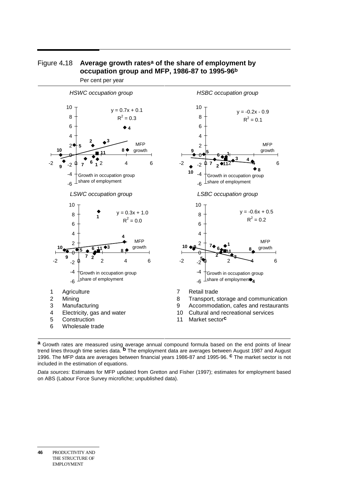

#### Figure 4**.**18 **Average growth ratesa of the share of employment by occupation group and MFP, 1986-87 to 1995-96b** Per cent per year

**a** Growth rates are measured using average annual compound formula based on the end points of linear trend lines through time series data. **b** The employment data are averages between August 1987 and August 1996. The MFP data are averages between financial years 1986-87 and 1995-96. **c** The market sector is not included in the estimation of equations.

Data sources: Estimates for MFP updated from Gretton and Fisher (1997); estimates for employment based on ABS (Labour Force Survey microfiche; unpublished data).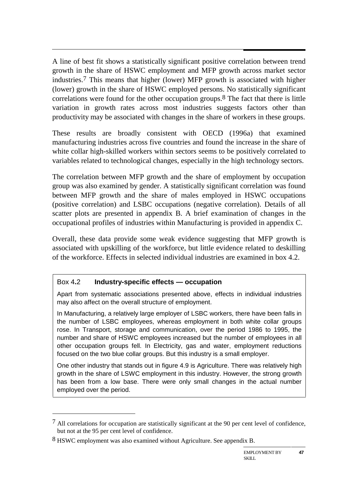A line of best fit shows a statistically significant positive correlation between trend growth in the share of HSWC employment and MFP growth across market sector industries.7 This means that higher (lower) MFP growth is associated with higher (lower) growth in the share of HSWC employed persons. No statistically significant correlations were found for the other occupation groups.8 The fact that there is little variation in growth rates across most industries suggests factors other than productivity may be associated with changes in the share of workers in these groups.

These results are broadly consistent with OECD (1996a) that examined manufacturing industries across five countries and found the increase in the share of white collar high-skilled workers within sectors seems to be positively correlated to variables related to technological changes, especially in the high technology sectors.

The correlation between MFP growth and the share of employment by occupation group was also examined by gender. A statistically significant correlation was found between MFP growth and the share of males employed in HSWC occupations (positive correlation) and LSBC occupations (negative correlation). Details of all scatter plots are presented in appendix B. A brief examination of changes in the occupational profiles of industries within Manufacturing is provided in appendix C.

Overall, these data provide some weak evidence suggesting that MFP growth is associated with upskilling of the workforce, but little evidence related to deskilling of the workforce. Effects in selected individual industries are examined in box 4.2.

#### Box 4**.**2 **Industry-specific effects — occupation**

Apart from systematic associations presented above, effects in individual industries may also affect on the overall structure of employment.

In Manufacturing, a relatively large employer of LSBC workers, there have been falls in the number of LSBC employees, whereas employment in both white collar groups rose. In Transport, storage and communication, over the period 1986 to 1995, the number and share of HSWC employees increased but the number of employees in all other occupation groups fell. In Electricity, gas and water, employment reductions focused on the two blue collar groups. But this industry is a small employer.

One other industry that stands out in figure 4.9 is Agriculture. There was relatively high growth in the share of LSWC employment in this industry. However, the strong growth has been from a low base. There were only small changes in the actual number employed over the period.

 $\overline{a}$ 

<sup>7</sup> All correlations for occupation are statistically significant at the 90 per cent level of confidence, but not at the 95 per cent level of confidence.

<sup>8</sup> HSWC employment was also examined without Agriculture. See appendix B.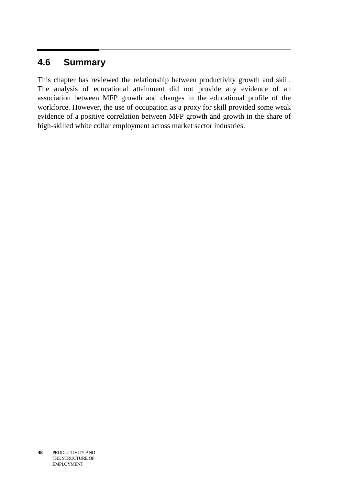# **4.6 Summary**

This chapter has reviewed the relationship between productivity growth and skill. The analysis of educational attainment did not provide any evidence of an association between MFP growth and changes in the educational profile of the workforce. However, the use of occupation as a proxy for skill provided some weak evidence of a positive correlation between MFP growth and growth in the share of high-skilled white collar employment across market sector industries.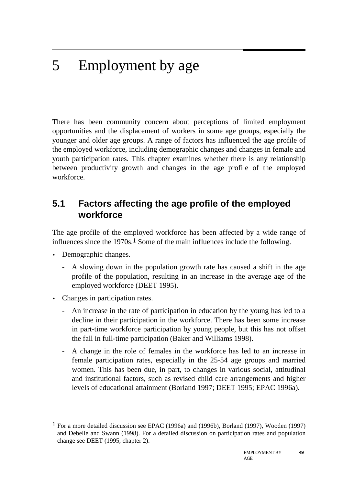# 5 Employment by age

There has been community concern about perceptions of limited employment opportunities and the displacement of workers in some age groups, especially the younger and older age groups. A range of factors has influenced the age profile of the employed workforce, including demographic changes and changes in female and youth participation rates. This chapter examines whether there is any relationship between productivity growth and changes in the age profile of the employed workforce.

# **5.1 Factors affecting the age profile of the employed workforce**

The age profile of the employed workforce has been affected by a wide range of influences since the 1970s.<sup>1</sup> Some of the main influences include the following.

• Demographic changes.

- A slowing down in the population growth rate has caused a shift in the age profile of the population, resulting in an increase in the average age of the employed workforce (DEET 1995).
- Changes in participation rates.
	- An increase in the rate of participation in education by the young has led to a decline in their participation in the workforce. There has been some increase in part-time workforce participation by young people, but this has not offset the fall in full-time participation (Baker and Williams 1998).
	- A change in the role of females in the workforce has led to an increase in female participation rates, especially in the 25-54 age groups and married women. This has been due, in part, to changes in various social, attitudinal and institutional factors, such as revised child care arrangements and higher levels of educational attainment (Borland 1997; DEET 1995; EPAC 1996a).

<sup>&</sup>lt;sup>1</sup> For a more detailed discussion see EPAC (1996a) and (1996b), Borland (1997), Wooden (1997) and Debelle and Swann (1998). For a detailed discussion on participation rates and population change see DEET (1995, chapter 2).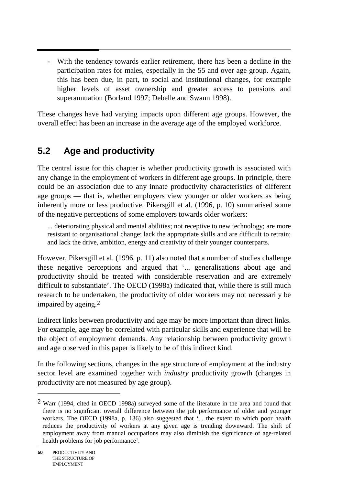- With the tendency towards earlier retirement, there has been a decline in the participation rates for males, especially in the 55 and over age group. Again, this has been due, in part, to social and institutional changes, for example higher levels of asset ownership and greater access to pensions and superannuation (Borland 1997; Debelle and Swann 1998).

These changes have had varying impacts upon different age groups. However, the overall effect has been an increase in the average age of the employed workforce.

# **5.2 Age and productivity**

The central issue for this chapter is whether productivity growth is associated with any change in the employment of workers in different age groups. In principle, there could be an association due to any innate productivity characteristics of different age groups — that is, whether employers view younger or older workers as being inherently more or less productive. Pikersgill et al. (1996, p. 10) summarised some of the negative perceptions of some employers towards older workers:

... deteriorating physical and mental abilities; not receptive to new technology; are more resistant to organisational change; lack the appropriate skills and are difficult to retrain; and lack the drive, ambition, energy and creativity of their younger counterparts.

However, Pikersgill et al. (1996, p. 11) also noted that a number of studies challenge these negative perceptions and argued that '... generalisations about age and productivity should be treated with considerable reservation and are extremely difficult to substantiate'. The OECD (1998a) indicated that, while there is still much research to be undertaken, the productivity of older workers may not necessarily be impaired by ageing.2

Indirect links between productivity and age may be more important than direct links. For example, age may be correlated with particular skills and experience that will be the object of employment demands. Any relationship between productivity growth and age observed in this paper is likely to be of this indirect kind.

In the following sections, changes in the age structure of employment at the industry sector level are examined together with *industry* productivity growth (changes in productivity are not measured by age group).

-

 $2$  Warr (1994, cited in OECD 1998a) surveyed some of the literature in the area and found that there is no significant overall difference between the job performance of older and younger workers. The OECD (1998a, p. 136) also suggested that '... the extent to which poor health reduces the productivity of workers at any given age is trending downward. The shift of employment away from manual occupations may also diminish the significance of age-related health problems for job performance'.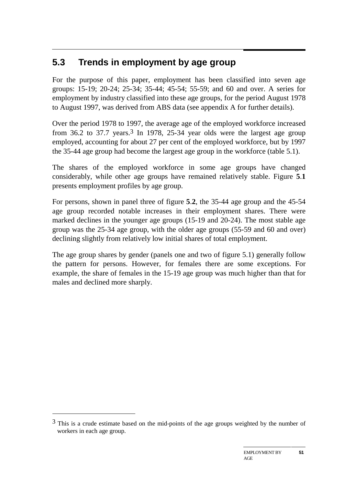# **5.3 Trends in employment by age group**

For the purpose of this paper, employment has been classified into seven age groups: 15-19; 20-24; 25-34; 35-44; 45-54; 55-59; and 60 and over. A series for employment by industry classified into these age groups, for the period August 1978 to August 1997, was derived from ABS data (see appendix A for further details).

Over the period 1978 to 1997, the average age of the employed workforce increased from 36.2 to 37.7 years.<sup>3</sup> In 1978, 25-34 year olds were the largest age group employed, accounting for about 27 per cent of the employed workforce, but by 1997 the 35-44 age group had become the largest age group in the workforce (table 5.1).

The shares of the employed workforce in some age groups have changed considerably, while other age groups have remained relatively stable. Figure **5**.**1** presents employment profiles by age group.

For persons, shown in panel three of figure **5**.**2**, the 35-44 age group and the 45-54 age group recorded notable increases in their employment shares. There were marked declines in the younger age groups (15-19 and 20-24). The most stable age group was the 25-34 age group, with the older age groups (55-59 and 60 and over) declining slightly from relatively low initial shares of total employment.

The age group shares by gender (panels one and two of figure 5.1) generally follow the pattern for persons. However, for females there are some exceptions. For example, the share of females in the 15-19 age group was much higher than that for males and declined more sharply.

 $\overline{a}$ 

 $3$  This is a crude estimate based on the mid-points of the age groups weighted by the number of workers in each age group.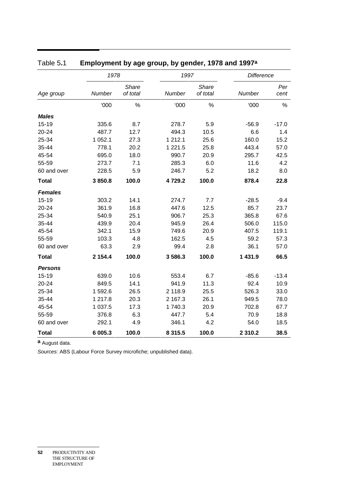|                | 1978      |                   | 1997        |                   | <b>Difference</b> |             |  |
|----------------|-----------|-------------------|-------------|-------------------|-------------------|-------------|--|
| Age group      | Number    | Share<br>of total | Number      | Share<br>of total | Number            | Per<br>cent |  |
|                | '000      | $\%$              | '000        | %                 | '000              | %           |  |
| <b>Males</b>   |           |                   |             |                   |                   |             |  |
| $15 - 19$      | 335.6     | 8.7               | 278.7       | 5.9               | $-56.9$           | $-17.0$     |  |
| 20-24          | 487.7     | 12.7              | 494.3       | 10.5              | 6.6               | 1.4         |  |
| 25-34          | 1 0 5 2.1 | 27.3              | 1 2 1 2 . 1 | 25.6              | 160.0             | 15.2        |  |
| 35-44          | 778.1     | 20.2              | 1 2 2 1 .5  | 25.8              | 443.4             | 57.0        |  |
| 45-54          | 695.0     | 18.0              | 990.7       | 20.9              | 295.7             | 42.5        |  |
| 55-59          | 273.7     | 7.1               | 285.3       | 6.0               | 11.6              | 4.2         |  |
| 60 and over    | 228.5     | 5.9               | 246.7       | 5.2               | 18.2              | 8.0         |  |
| <b>Total</b>   | 3850.8    | 100.0             | 4729.2      | 100.0             | 878.4             | 22.8        |  |
| <b>Females</b> |           |                   |             |                   |                   |             |  |
| $15 - 19$      | 303.2     | 14.1              | 274.7       | 7.7               | $-28.5$           | $-9.4$      |  |
| 20-24          | 361.9     | 16.8              | 447.6       | 12.5              | 85.7              | 23.7        |  |
| 25-34          | 540.9     | 25.1              | 906.7       | 25.3              | 365.8             | 67.6        |  |
| 35-44          | 439.9     | 20.4              | 945.9       | 26.4              | 506.0             | 115.0       |  |
| 45-54          | 342.1     | 15.9              | 749.6       | 20.9              | 407.5             | 119.1       |  |
| 55-59          | 103.3     | 4.8               | 162.5       | 4.5               | 59.2              | 57.3        |  |
| 60 and over    | 63.3      | 2.9               | 99.4        | 2.8               | 36.1              | 57.0        |  |
| <b>Total</b>   | 2 154.4   | 100.0             | 3586.3      | 100.0             | 1 431.9           | 66.5        |  |
| <b>Persons</b> |           |                   |             |                   |                   |             |  |
| $15 - 19$      | 639.0     | 10.6              | 553.4       | 6.7               | $-85.6$           | $-13.4$     |  |
| 20-24          | 849.5     | 14.1              | 941.9       | 11.3              | 92.4              | 10.9        |  |
| 25-34          | 1 592.6   | 26.5              | 2 118.9     | 25.5              | 526.3             | 33.0        |  |
| 35-44          | 1 217.8   | 20.3              | 2 167.3     | 26.1              | 949.5             | 78.0        |  |
| 45-54          | 1 0 3 7.5 | 17.3              | 1740.3      | 20.9              | 702.8             | 67.7        |  |
| 55-59          | 376.8     | 6.3               | 447.7       | 5.4               | 70.9              | 18.8        |  |
| 60 and over    | 292.1     | 4.9               | 346.1       | 4.2               | 54.0              | 18.5        |  |
| <b>Total</b>   | 6 005.3   | 100.0             | 8 3 1 5 .5  | 100.0             | 2 3 1 0.2         | 38.5        |  |

## Table 5**.**1 **Employment by age group, by gender, 1978 and 1997a**

**a** August data.

Sources: ABS (Labour Force Survey microfiche; unpublished data).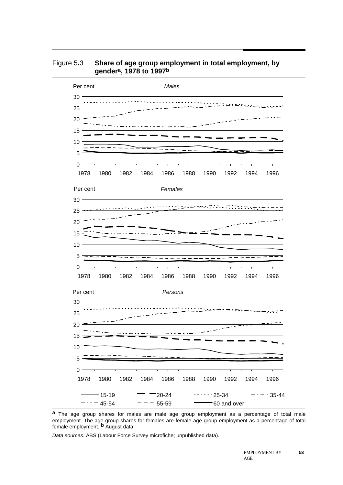



**a** The age group shares for males are male age group employment as a percentage of total male employment. The age group shares for females are female age group employment as a percentage of total female employment. **b** August data.

Data sources: ABS (Labour Force Survey microfiche; unpublished data).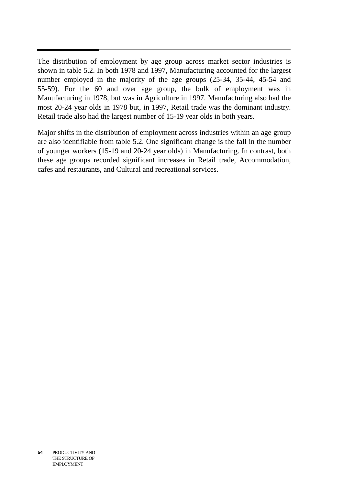The distribution of employment by age group across market sector industries is shown in table 5.2. In both 1978 and 1997, Manufacturing accounted for the largest number employed in the majority of the age groups (25-34, 35-44, 45-54 and 55-59). For the 60 and over age group, the bulk of employment was in Manufacturing in 1978, but was in Agriculture in 1997. Manufacturing also had the most 20-24 year olds in 1978 but, in 1997, Retail trade was the dominant industry. Retail trade also had the largest number of 15-19 year olds in both years.

Major shifts in the distribution of employment across industries within an age group are also identifiable from table 5.2. One significant change is the fall in the number of younger workers (15-19 and 20-24 year olds) in Manufacturing. In contrast, both these age groups recorded significant increases in Retail trade, Accommodation, cafes and restaurants, and Cultural and recreational services.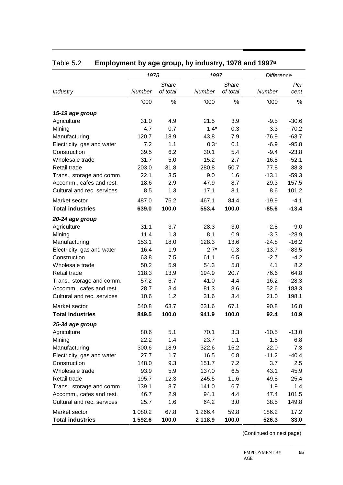|                            | 1978          |              | 1997      |              | <b>Difference</b> |         |
|----------------------------|---------------|--------------|-----------|--------------|-------------------|---------|
|                            |               | <b>Share</b> |           | <b>Share</b> |                   | Per     |
| <b>Industry</b>            | <b>Number</b> | of total     | Number    | of total     | Number            | cent    |
|                            | 000'          | %            | '000      | %            | '000              | %       |
| 15-19 age group            |               |              |           |              |                   |         |
| Agriculture                | 31.0          | 4.9          | 21.5      | 3.9          | $-9.5$            | $-30.6$ |
| Mining                     | 4.7           | 0.7          | $1.4*$    | 0.3          | $-3.3$            | $-70.2$ |
| Manufacturing              | 120.7         | 18.9         | 43.8      | 7.9          | $-76.9$           | $-63.7$ |
| Electricity, gas and water | 7.2           | 1.1          | $0.3*$    | 0.1          | $-6.9$            | $-95.8$ |
| Construction               | 39.5          | 6.2          | 30.1      | 5.4          | $-9.4$            | $-23.8$ |
| Wholesale trade            | 31.7          | 5.0          | 15.2      | 2.7          | $-16.5$           | $-52.1$ |
| Retail trade               | 203.0         | 31.8         | 280.8     | 50.7         | 77.8              | 38.3    |
| Trans., storage and comm.  | 22.1          | 3.5          | 9.0       | 1.6          | $-13.1$           | $-59.3$ |
| Accomm., cafes and rest.   | 18.6          | 2.9          | 47.9      | 8.7          | 29.3              | 157.5   |
| Cultural and rec. services | 8.5           | 1.3          | 17.1      | 3.1          | 8.6               | 101.2   |
| Market sector              | 487.0         | 76.2         | 467.1     | 84.4         | $-19.9$           | $-4.1$  |
| <b>Total industries</b>    | 639.0         | 100.0        | 553.4     | 100.0        | $-85.6$           | $-13.4$ |
|                            |               |              |           |              |                   |         |
| 20-24 age group            |               |              |           |              |                   |         |
| Agriculture                | 31.1          | 3.7          | 28.3      | 3.0          | $-2.8$            | $-9.0$  |
| Mining                     | 11.4          | 1.3          | 8.1       | 0.9          | $-3.3$            | $-28.9$ |
| Manufacturing              | 153.1         | 18.0         | 128.3     | 13.6         | $-24.8$           | $-16.2$ |
| Electricity, gas and water | 16.4          | 1.9          | $2.7*$    | 0.3          | $-13.7$           | $-83.5$ |
| Construction               | 63.8          | 7.5          | 61.1      | 6.5          | $-2.7$            | $-4.2$  |
| Wholesale trade            | 50.2          | 5.9          | 54.3      | 5.8          | 4.1               | 8.2     |
| Retail trade               | 118.3         | 13.9         | 194.9     | 20.7         | 76.6              | 64.8    |
| Trans., storage and comm.  | 57.2          | 6.7          | 41.0      | 4.4          | $-16.2$           | $-28.3$ |
| Accomm., cafes and rest.   | 28.7          | 3.4          | 81.3      | 8.6          | 52.6              | 183.3   |
| Cultural and rec. services | 10.6          | 1.2          | 31.6      | 3.4          | 21.0              | 198.1   |
| Market sector              | 540.8         | 63.7         | 631.6     | 67.1         | 90.8              | 16.8    |
| <b>Total industries</b>    | 849.5         | 100.0        | 941.9     | 100.0        | 92.4              | 10.9    |
| 25-34 age group            |               |              |           |              |                   |         |
| Agriculture                | 80.6          | 5.1          | 70.1      | 3.3          | $-10.5$           | $-13.0$ |
| Mining                     | 22.2          | 1.4          | 23.7      | 1.1          | 1.5               | 6.8     |
| Manufacturing              | 300.6         | 18.9         | 322.6     | 15.2         | 22.0              | 7.3     |
| Electricity, gas and water | 27.7          | 1.7          | 16.5      | 0.8          | $-11.2$           | $-40.4$ |
| Construction               | 148.0         | 9.3          | 151.7     | 7.2          | 3.7               | 2.5     |
| Wholesale trade            | 93.9          | 5.9          | 137.0     | 6.5          | 43.1              | 45.9    |
| Retail trade               | 195.7         | 12.3         | 245.5     | 11.6         | 49.8              | 25.4    |
| Trans., storage and comm.  | 139.1         | 8.7          | 141.0     | 6.7          | 1.9               | 1.4     |
| Accomm., cafes and rest.   | 46.7          | 2.9          | 94.1      | 4.4          | 47.4              | 101.5   |
| Cultural and rec. services | 25.7          | 1.6          | 64.2      | 3.0          | 38.5              | 149.8   |
| Market sector              | 1 080.2       | 67.8         | 1 2 6 6.4 | 59.8         | 186.2             | 17.2    |
| <b>Total industries</b>    | 1 592.6       | 100.0        | 2 118.9   | 100.0        | 526.3             | 33.0    |

## Table 5**.**2 **Employment by age group, by industry, 1978 and 1997a**

(Continued on next page)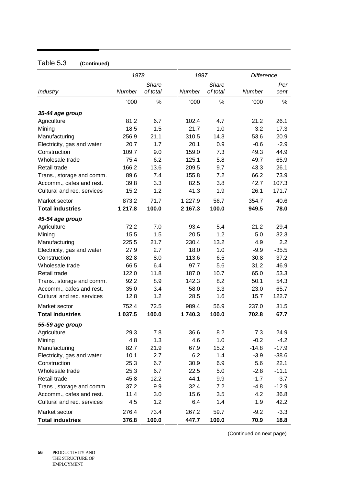### Table 5**.**3 **(Continued)**

|                            | 1978    |                          | 1997       |                          | <b>Difference</b> |             |
|----------------------------|---------|--------------------------|------------|--------------------------|-------------------|-------------|
| Industry                   | Number  | <b>Share</b><br>of total | Number     | <b>Share</b><br>of total | Number            | Per<br>cent |
|                            | '000    | $\%$                     | 000'       | %                        | <b>'000</b>       | ℅           |
| 35-44 age group            |         |                          |            |                          |                   |             |
| Agriculture                | 81.2    | 6.7                      | 102.4      | 4.7                      | 21.2              | 26.1        |
| Mining                     | 18.5    | 1.5                      | 21.7       | 1.0                      | 3.2               | 17.3        |
| Manufacturing              | 256.9   | 21.1                     | 310.5      | 14.3                     | 53.6              | 20.9        |
| Electricity, gas and water | 20.7    | 1.7                      | 20.1       | 0.9                      | $-0.6$            | $-2.9$      |
| Construction               | 109.7   | 9.0                      | 159.0      | 7.3                      | 49.3              | 44.9        |
| Wholesale trade            | 75.4    | 6.2                      | 125.1      | 5.8                      | 49.7              | 65.9        |
| Retail trade               | 166.2   | 13.6                     | 209.5      | 9.7                      | 43.3              | 26.1        |
| Trans., storage and comm.  | 89.6    | 7.4                      | 155.8      | 7.2                      | 66.2              | 73.9        |
| Accomm., cafes and rest.   | 39.8    | 3.3                      | 82.5       | 3.8                      | 42.7              | 107.3       |
| Cultural and rec. services | 15.2    | 1.2                      | 41.3       | 1.9                      | 26.1              | 171.7       |
| Market sector              | 873.2   | 71.7                     | 1 2 2 7 .9 | 56.7                     | 354.7             | 40.6        |
| <b>Total industries</b>    | 1 217.8 | 100.0                    | 2 167.3    | 100.0                    | 949.5             | 78.0        |
| 45-54 age group            |         |                          |            |                          |                   |             |
| Agriculture                | 72.2    | 7.0                      | 93.4       | 5.4                      | 21.2              | 29.4        |
| Mining                     | 15.5    | 1.5                      | 20.5       | 1.2                      | 5.0               | 32.3        |
| Manufacturing              | 225.5   | 21.7                     | 230.4      | 13.2                     | 4.9               | 2.2         |
| Electricity, gas and water | 27.9    | 2.7                      | 18.0       | 1.0                      | $-9.9$            | $-35.5$     |
| Construction               | 82.8    | 8.0                      | 113.6      | 6.5                      | 30.8              | 37.2        |
| Wholesale trade            | 66.5    | 6.4                      | 97.7       | 5.6                      | 31.2              | 46.9        |
| Retail trade               | 122.0   | 11.8                     | 187.0      | 10.7                     | 65.0              | 53.3        |
| Trans., storage and comm.  | 92.2    | 8.9                      | 142.3      | 8.2                      | 50.1              | 54.3        |
| Accomm., cafes and rest.   | 35.0    | 3.4                      | 58.0       | 3.3                      | 23.0              | 65.7        |
| Cultural and rec. services | 12.8    | 1.2                      | 28.5       | 1.6                      | 15.7              | 122.7       |
| Market sector              | 752.4   | 72.5                     | 989.4      | 56.9                     | 237.0             | 31.5        |
| <b>Total industries</b>    | 1 037.5 | 100.0                    | 1740.3     | 100.0                    | 702.8             | 67.7        |
| 55-59 age group            |         |                          |            |                          |                   |             |
| Agriculture                | 29.3    | 7.8                      | 36.6       | 8.2                      | 7.3               | 24.9        |
| Mining                     | 4.8     | 1.3                      | 4.6        | 1.0                      | $-0.2$            | $-4.2$      |
| Manufacturing              | 82.7    | 21.9                     | 67.9       | 15.2                     | $-14.8$           | $-17.9$     |
| Electricity, gas and water | 10.1    | 2.7                      | 6.2        | 1.4                      | $-3.9$            | $-38.6$     |
| Construction               | 25.3    | 6.7                      | 30.9       | 6.9                      | 5.6               | 22.1        |
| Wholesale trade            | 25.3    | 6.7                      | 22.5       | 5.0                      | $-2.8$            | $-11.1$     |
| Retail trade               | 45.8    | 12.2                     | 44.1       | 9.9                      | $-1.7$            | $-3.7$      |
| Trans., storage and comm.  | 37.2    | 9.9                      | 32.4       | 7.2                      | $-4.8$            | $-12.9$     |
| Accomm., cafes and rest.   | 11.4    | 3.0                      | 15.6       | 3.5                      | 4.2               | 36.8        |
| Cultural and rec. services | 4.5     | 1.2                      | 6.4        | 1.4                      | 1.9               | 42.2        |
| Market sector              | 276.4   | 73.4                     | 267.2      | 59.7                     | $-9.2$            | $-3.3$      |
| <b>Total industries</b>    | 376.8   | 100.0                    | 447.7      | 100.0                    | 70.9              | 18.8        |

(Continued on next page)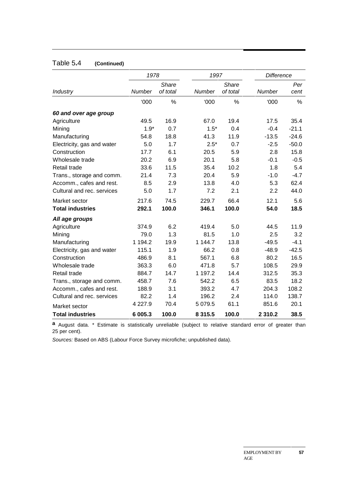|                            | 1978        |              | 1997        |              |             | <b>Difference</b> |  |
|----------------------------|-------------|--------------|-------------|--------------|-------------|-------------------|--|
|                            |             | <b>Share</b> |             | <b>Share</b> |             | Per               |  |
| Industry                   | Number      | of total     | Number      | of total     | Number      | cent              |  |
|                            | <b>'000</b> | $\%$         | <b>'000</b> | $\%$         | <b>'000</b> | $\%$              |  |
| 60 and over age group      |             |              |             |              |             |                   |  |
| Agriculture                | 49.5        | 16.9         | 67.0        | 19.4         | 17.5        | 35.4              |  |
| Mining                     | $1.9*$      | 0.7          | $1.5*$      | 0.4          | $-0.4$      | $-21.1$           |  |
| Manufacturing              | 54.8        | 18.8         | 41.3        | 11.9         | $-13.5$     | $-24.6$           |  |
| Electricity, gas and water | 5.0         | 1.7          | $2.5*$      | 0.7          | $-2.5$      | $-50.0$           |  |
| Construction               | 17.7        | 6.1          | 20.5        | 5.9          | 2.8         | 15.8              |  |
| Wholesale trade            | 20.2        | 6.9          | 20.1        | 5.8          | $-0.1$      | $-0.5$            |  |
| Retail trade               | 33.6        | 11.5         | 35.4        | 10.2         | 1.8         | 5.4               |  |
| Trans., storage and comm.  | 21.4        | 7.3          | 20.4        | 5.9          | $-1.0$      | $-4.7$            |  |
| Accomm., cafes and rest.   | 8.5         | 2.9          | 13.8        | 4.0          | 5.3         | 62.4              |  |
| Cultural and rec. services | 5.0         | 1.7          | 7.2         | 2.1          | 2.2         | 44.0              |  |
| Market sector              | 217.6       | 74.5         | 229.7       | 66.4         | 12.1        | 5.6               |  |
| <b>Total industries</b>    | 292.1       | 100.0        | 346.1       | 100.0        | 54.0        | 18.5              |  |
| All age groups             |             |              |             |              |             |                   |  |
| Agriculture                | 374.9       | 6.2          | 419.4       | 5.0          | 44.5        | 11.9              |  |
| Mining                     | 79.0        | 1.3          | 81.5        | 1.0          | 2.5         | 3.2               |  |
| Manufacturing              | 1 194.2     | 19.9         | 1 144.7     | 13.8         | $-49.5$     | $-4.1$            |  |
| Electricity, gas and water | 115.1       | 1.9          | 66.2        | 0.8          | $-48.9$     | $-42.5$           |  |
| Construction               | 486.9       | 8.1          | 567.1       | 6.8          | 80.2        | 16.5              |  |
| Wholesale trade            | 363.3       | 6.0          | 471.8       | 5.7          | 108.5       | 29.9              |  |
| Retail trade               | 884.7       | 14.7         | 1 197.2     | 14.4         | 312.5       | 35.3              |  |
| Trans., storage and comm.  | 458.7       | 7.6          | 542.2       | 6.5          | 83.5        | 18.2              |  |
| Accomm., cafes and rest.   | 188.9       | 3.1          | 393.2       | 4.7          | 204.3       | 108.2             |  |
| Cultural and rec. services | 82.2        | 1.4          | 196.2       | 2.4          | 114.0       | 138.7             |  |
| Market sector              | 4 2 2 7 .9  | 70.4         | 5 0 7 9.5   | 61.1         | 851.6       | 20.1              |  |
| <b>Total industries</b>    | 6 005.3     | 100.0        | 8 3 1 5 . 5 | 100.0        | 2 3 1 0 . 2 | 38.5              |  |

**a** August data. \* Estimate is statistically unreliable (subject to relative standard error of greater than 25 per cent).

Sources: Based on ABS (Labour Force Survey microfiche; unpublished data).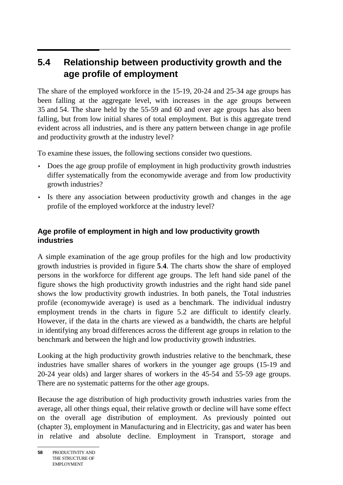# **5.4 Relationship between productivity growth and the age profile of employment**

The share of the employed workforce in the 15-19, 20-24 and 25-34 age groups has been falling at the aggregate level, with increases in the age groups between 35 and 54. The share held by the 55-59 and 60 and over age groups has also been falling, but from low initial shares of total employment. But is this aggregate trend evident across all industries, and is there any pattern between change in age profile and productivity growth at the industry level?

To examine these issues, the following sections consider two questions.

- Does the age group profile of employment in high productivity growth industries differ systematically from the economywide average and from low productivity growth industries?
- Is there any association between productivity growth and changes in the age profile of the employed workforce at the industry level?

### **Age profile of employment in high and low productivity growth industries**

A simple examination of the age group profiles for the high and low productivity growth industries is provided in figure **5**.**4**. The charts show the share of employed persons in the workforce for different age groups. The left hand side panel of the figure shows the high productivity growth industries and the right hand side panel shows the low productivity growth industries. In both panels, the Total industries profile (economywide average) is used as a benchmark. The individual industry employment trends in the charts in figure 5.2 are difficult to identify clearly. However, if the data in the charts are viewed as a bandwidth, the charts are helpful in identifying any broad differences across the different age groups in relation to the benchmark and between the high and low productivity growth industries.

Looking at the high productivity growth industries relative to the benchmark, these industries have smaller shares of workers in the younger age groups (15-19 and 20-24 year olds) and larger shares of workers in the 45-54 and 55-59 age groups. There are no systematic patterns for the other age groups.

Because the age distribution of high productivity growth industries varies from the average, all other things equal, their relative growth or decline will have some effect on the overall age distribution of employment. As previously pointed out (chapter 3), employment in Manufacturing and in Electricity, gas and water has been in relative and absolute decline. Employment in Transport, storage and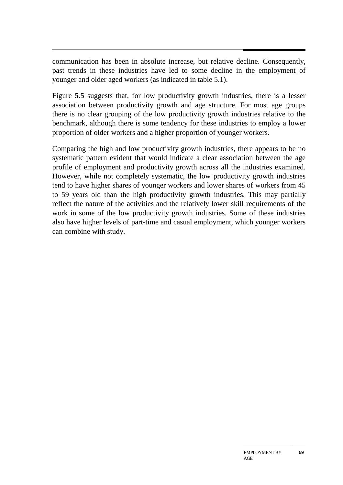communication has been in absolute increase, but relative decline. Consequently, past trends in these industries have led to some decline in the employment of younger and older aged workers (as indicated in table 5.1).

Figure **5**.**5** suggests that, for low productivity growth industries, there is a lesser association between productivity growth and age structure. For most age groups there is no clear grouping of the low productivity growth industries relative to the benchmark, although there is some tendency for these industries to employ a lower proportion of older workers and a higher proportion of younger workers.

Comparing the high and low productivity growth industries, there appears to be no systematic pattern evident that would indicate a clear association between the age profile of employment and productivity growth across all the industries examined. However, while not completely systematic, the low productivity growth industries tend to have higher shares of younger workers and lower shares of workers from 45 to 59 years old than the high productivity growth industries. This may partially reflect the nature of the activities and the relatively lower skill requirements of the work in some of the low productivity growth industries. Some of these industries also have higher levels of part-time and casual employment, which younger workers can combine with study.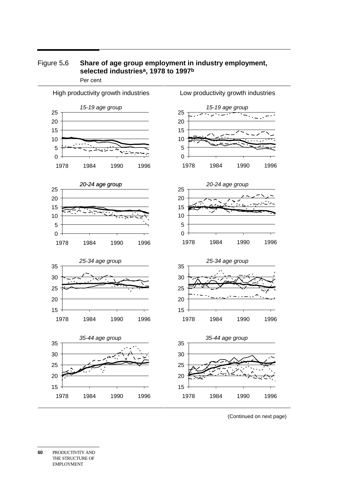

### Figure 5**.**6 **Share of age group employment in industry employment, selected industriesa, 1978 to 1997b**

(Continued on next page)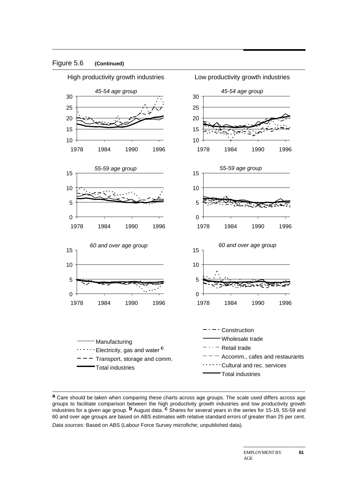#### Figure 5.6 **(Continued)**



**a** Care should be taken when comparing these charts across age groups. The scale used differs across age groups to facilitate comparison between the high productivity growth industries and low productivity growth industries for a given age group. **b** August data. **c** Shares for several years in the series for 15-19, 55-59 and 60 and over age groups are based on ABS estimates with relative standard errors of greater than 25 per cent.

Data sources: Based on ABS (Labour Force Survey microfiche; unpublished data).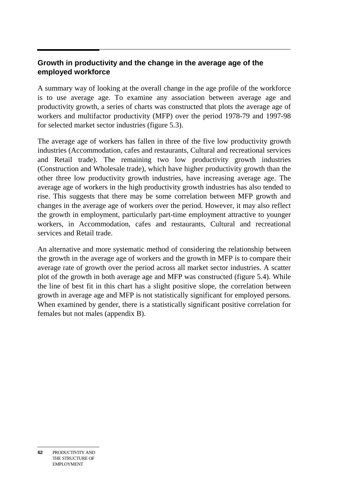### **Growth in productivity and the change in the average age of the employed workforce**

A summary way of looking at the overall change in the age profile of the workforce is to use average age. To examine any association between average age and productivity growth, a series of charts was constructed that plots the average age of workers and multifactor productivity (MFP) over the period 1978-79 and 1997-98 for selected market sector industries (figure 5.3).

The average age of workers has fallen in three of the five low productivity growth industries (Accommodation, cafes and restaurants, Cultural and recreational services and Retail trade). The remaining two low productivity growth industries (Construction and Wholesale trade), which have higher productivity growth than the other three low productivity growth industries, have increasing average age. The average age of workers in the high productivity growth industries has also tended to rise. This suggests that there may be some correlation between MFP growth and changes in the average age of workers over the period. However, it may also reflect the growth in employment, particularly part-time employment attractive to younger workers, in Accommodation, cafes and restaurants, Cultural and recreational services and Retail trade.

An alternative and more systematic method of considering the relationship between the growth in the average age of workers and the growth in MFP is to compare their average rate of growth over the period across all market sector industries. A scatter plot of the growth in both average age and MFP was constructed (figure 5.4). While the line of best fit in this chart has a slight positive slope, the correlation between growth in average age and MFP is not statistically significant for employed persons. When examined by gender, there is a statistically significant positive correlation for females but not males (appendix B).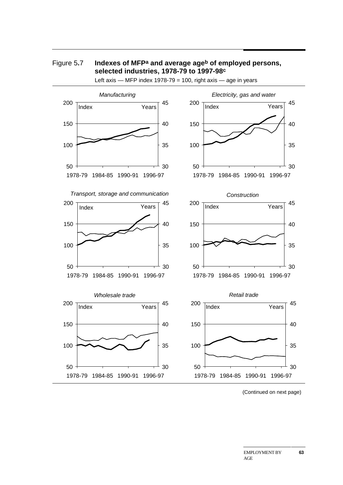

#### Figure 5**.**7 **Indexes of MFPa and average ageb of employed persons, selected industries, 1978-79 to 1997-98c**

<sup>(</sup>Continued on next page)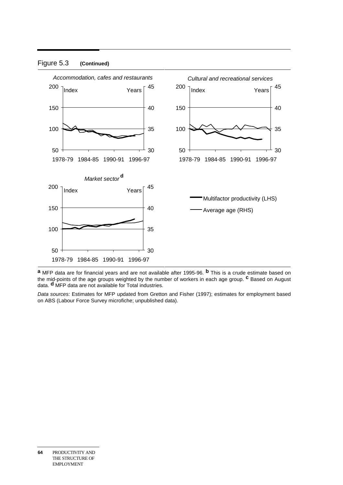

**a** MFP data are for financial years and are not available after 1995-96. **b** This is a crude estimate based on the mid-points of the age groups weighted by the number of workers in each age group. **c** Based on August data. **d** MFP data are not available for Total industries.

Data sources: Estimates for MFP updated from Gretton and Fisher (1997); estimates for employment based on ABS (Labour Force Survey microfiche; unpublished data).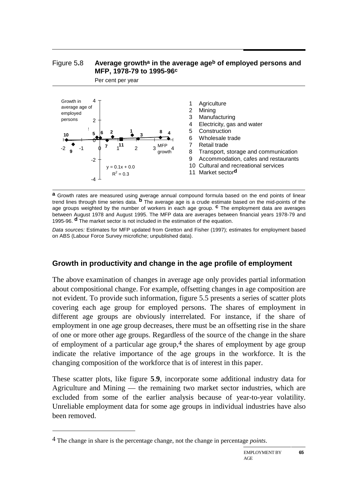#### Figure 5**.**8 **Average growtha in the average ageb of employed persons and MFP, 1978-79 to 1995-96c**

Per cent per year



**a** Growth rates are measured using average annual compound formula based on the end points of linear trend lines through time series data. **b** The average age is a crude estimate based on the mid-points of the age groups weighted by the number of workers in each age group. **c** The employment data are averages between August 1978 and August 1995. The MFP data are averages between financial years 1978-79 and 1995-96. **d** The market sector is not included in the estimation of the equation.

Data sources: Estimates for MFP updated from Gretton and Fisher (1997); estimates for employment based on ABS (Labour Force Survey microfiche; unpublished data).

#### **Growth in productivity and change in the age profile of employment**

The above examination of changes in average age only provides partial information about compositional change. For example, offsetting changes in age composition are not evident. To provide such information, figure 5.5 presents a series of scatter plots covering each age group for employed persons. The shares of employment in different age groups are obviously interrelated. For instance, if the share of employment in one age group decreases, there must be an offsetting rise in the share of one or more other age groups. Regardless of the source of the change in the share of employment of a particular age group,<sup>4</sup> the shares of employment by age group indicate the relative importance of the age groups in the workforce. It is the changing composition of the workforce that is of interest in this paper.

These scatter plots, like figure **5**.**9**, incorporate some additional industry data for Agriculture and Mining — the remaining two market sector industries, which are excluded from some of the earlier analysis because of year-to-year volatility. Unreliable employment data for some age groups in individual industries have also been removed.

 $\overline{a}$ 

<sup>4</sup> The change in share is the percentage change, not the change in percentage *points*.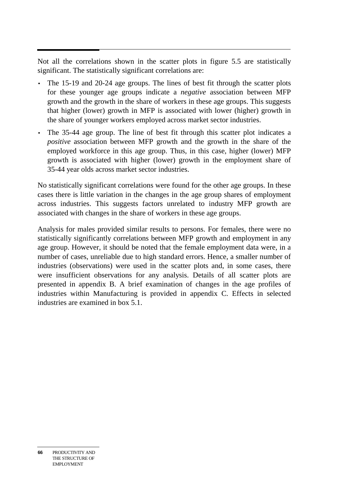Not all the correlations shown in the scatter plots in figure 5.5 are statistically significant. The statistically significant correlations are:

- The 15-19 and 20-24 age groups. The lines of best fit through the scatter plots for these younger age groups indicate a *negative* association between MFP growth and the growth in the share of workers in these age groups. This suggests that higher (lower) growth in MFP is associated with lower (higher) growth in the share of younger workers employed across market sector industries.
- The 35-44 age group. The line of best fit through this scatter plot indicates a *positive* association between MFP growth and the growth in the share of the employed workforce in this age group. Thus, in this case, higher (lower) MFP growth is associated with higher (lower) growth in the employment share of 35-44 year olds across market sector industries.

No statistically significant correlations were found for the other age groups. In these cases there is little variation in the changes in the age group shares of employment across industries. This suggests factors unrelated to industry MFP growth are associated with changes in the share of workers in these age groups.

Analysis for males provided similar results to persons. For females, there were no statistically significantly correlations between MFP growth and employment in any age group. However, it should be noted that the female employment data were, in a number of cases, unreliable due to high standard errors. Hence, a smaller number of industries (observations) were used in the scatter plots and, in some cases, there were insufficient observations for any analysis. Details of all scatter plots are presented in appendix B. A brief examination of changes in the age profiles of industries within Manufacturing is provided in appendix C. Effects in selected industries are examined in box 5.1.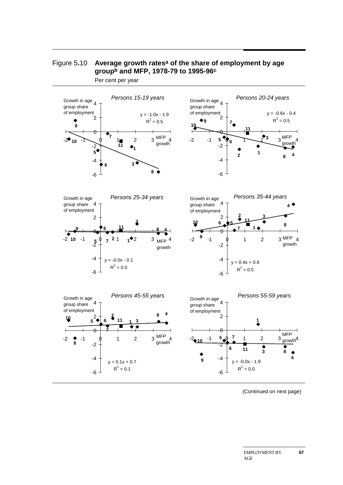#### Figure 5**.**10 **Average growth ratesa of the share of employment by age groupb and MFP, 1978-79 to 1995-96c** Per cent per year



(Continued on next page)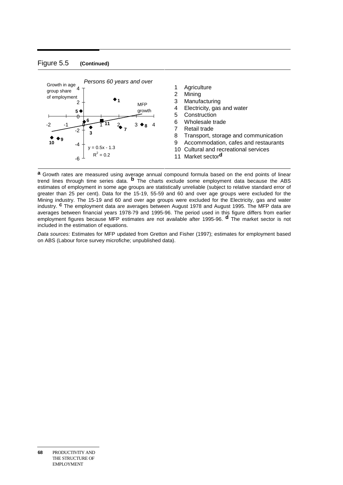#### Figure 5.5 **(Continued)**



**a** Growth rates are measured using average annual compound formula based on the end points of linear trend lines through time series data. **b** The charts exclude some employment data because the ABS estimates of employment in some age groups are statistically unreliable (subject to relative standard error of greater than 25 per cent). Data for the 15-19, 55-59 and 60 and over age groups were excluded for the Mining industry. The 15-19 and 60 and over age groups were excluded for the Electricity, gas and water industry. **c** The employment data are averages between August 1978 and August 1995. The MFP data are averages between financial years 1978-79 and 1995-96. The period used in this figure differs from earlier employment figures because MFP estimates are not available after 1995-96. **d** The market sector is not included in the estimation of equations.

Data sources: Estimates for MFP updated from Gretton and Fisher (1997); estimates for employment based on ABS (Labour force survey microfiche; unpublished data).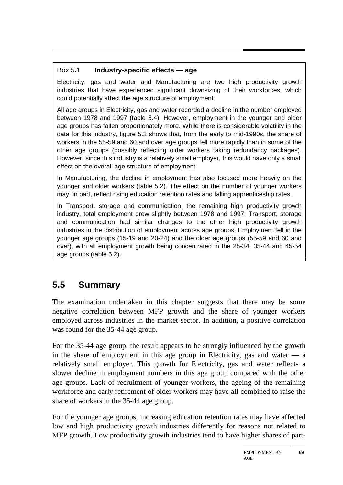#### Box 5**.**1 **Industry-specific effects — age**

Electricity, gas and water and Manufacturing are two high productivity growth industries that have experienced significant downsizing of their workforces, which could potentially affect the age structure of employment.

All age groups in Electricity, gas and water recorded a decline in the number employed between 1978 and 1997 (table 5.4). However, employment in the younger and older age groups has fallen proportionately more. While there is considerable volatility in the data for this industry, figure 5.2 shows that, from the early to mid-1990s, the share of workers in the 55-59 and 60 and over age groups fell more rapidly than in some of the other age groups (possibly reflecting older workers taking redundancy packages). However, since this industry is a relatively small employer, this would have only a small effect on the overall age structure of employment.

In Manufacturing, the decline in employment has also focused more heavily on the younger and older workers (table 5.2). The effect on the number of younger workers may, in part, reflect rising education retention rates and falling apprenticeship rates.

In Transport, storage and communication, the remaining high productivity growth industry, total employment grew slightly between 1978 and 1997. Transport, storage and communication had similar changes to the other high productivity growth industries in the distribution of employment across age groups. Employment fell in the younger age groups (15-19 and 20-24) and the older age groups (55-59 and 60 and over), with all employment growth being concentrated in the 25-34, 35-44 and 45-54 age groups (table 5.2).

# **5.5 Summary**

The examination undertaken in this chapter suggests that there may be some negative correlation between MFP growth and the share of younger workers employed across industries in the market sector. In addition, a positive correlation was found for the 35-44 age group.

For the 35-44 age group, the result appears to be strongly influenced by the growth in the share of employment in this age group in Electricity, gas and water  $\frac{1}{2}$ relatively small employer. This growth for Electricity, gas and water reflects a slower decline in employment numbers in this age group compared with the other age groups. Lack of recruitment of younger workers, the ageing of the remaining workforce and early retirement of older workers may have all combined to raise the share of workers in the 35-44 age group.

For the younger age groups, increasing education retention rates may have affected low and high productivity growth industries differently for reasons not related to MFP growth. Low productivity growth industries tend to have higher shares of part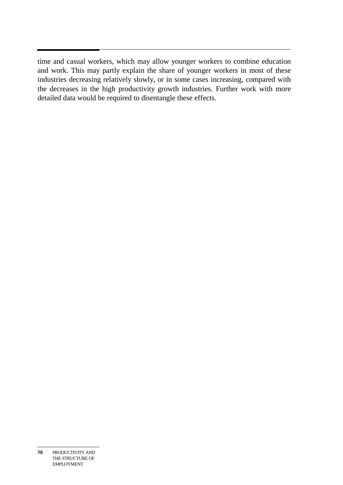time and casual workers, which may allow younger workers to combine education and work. This may partly explain the share of younger workers in most of these industries decreasing relatively slowly, or in some cases increasing, compared with the decreases in the high productivity growth industries. Further work with more detailed data would be required to disentangle these effects.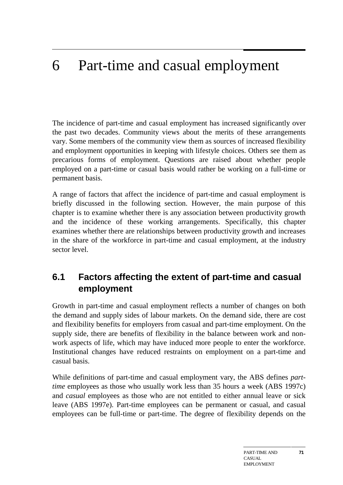# 6 Part-time and casual employment

The incidence of part-time and casual employment has increased significantly over the past two decades. Community views about the merits of these arrangements vary. Some members of the community view them as sources of increased flexibility and employment opportunities in keeping with lifestyle choices. Others see them as precarious forms of employment. Questions are raised about whether people employed on a part-time or casual basis would rather be working on a full-time or permanent basis.

A range of factors that affect the incidence of part-time and casual employment is briefly discussed in the following section. However, the main purpose of this chapter is to examine whether there is any association between productivity growth and the incidence of these working arrangements. Specifically, this chapter examines whether there are relationships between productivity growth and increases in the share of the workforce in part-time and casual employment, at the industry sector level.

# **6.1 Factors affecting the extent of part-time and casual employment**

Growth in part-time and casual employment reflects a number of changes on both the demand and supply sides of labour markets. On the demand side, there are cost and flexibility benefits for employers from casual and part-time employment. On the supply side, there are benefits of flexibility in the balance between work and nonwork aspects of life, which may have induced more people to enter the workforce. Institutional changes have reduced restraints on employment on a part-time and casual basis.

While definitions of part-time and casual employment vary, the ABS defines *parttime* employees as those who usually work less than 35 hours a week (ABS 1997c) and *casual* employees as those who are not entitled to either annual leave or sick leave (ABS 1997e). Part-time employees can be permanent or casual, and casual employees can be full-time or part-time. The degree of flexibility depends on the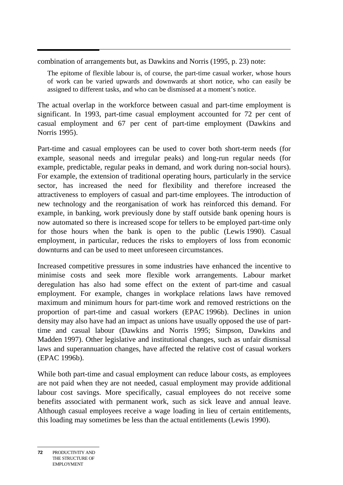combination of arrangements but, as Dawkins and Norris (1995, p. 23) note:

The epitome of flexible labour is, of course, the part-time casual worker, whose hours of work can be varied upwards and downwards at short notice, who can easily be assigned to different tasks, and who can be dismissed at a moment's notice.

The actual overlap in the workforce between casual and part-time employment is significant. In 1993, part-time casual employment accounted for 72 per cent of casual employment and 67 per cent of part-time employment (Dawkins and Norris 1995).

Part-time and casual employees can be used to cover both short-term needs (for example, seasonal needs and irregular peaks) and long-run regular needs (for example, predictable, regular peaks in demand, and work during non-social hours). For example, the extension of traditional operating hours, particularly in the service sector, has increased the need for flexibility and therefore increased the attractiveness to employers of casual and part-time employees. The introduction of new technology and the reorganisation of work has reinforced this demand. For example, in banking, work previously done by staff outside bank opening hours is now automated so there is increased scope for tellers to be employed part-time only for those hours when the bank is open to the public (Lewis 1990). Casual employment, in particular, reduces the risks to employers of loss from economic downturns and can be used to meet unforeseen circumstances.

Increased competitive pressures in some industries have enhanced the incentive to minimise costs and seek more flexible work arrangements. Labour market deregulation has also had some effect on the extent of part-time and casual employment. For example, changes in workplace relations laws have removed maximum and minimum hours for part-time work and removed restrictions on the proportion of part-time and casual workers (EPAC 1996b). Declines in union density may also have had an impact as unions have usually opposed the use of parttime and casual labour (Dawkins and Norris 1995; Simpson, Dawkins and Madden 1997). Other legislative and institutional changes, such as unfair dismissal laws and superannuation changes, have affected the relative cost of casual workers (EPAC 1996b).

While both part-time and casual employment can reduce labour costs, as employees are not paid when they are not needed, casual employment may provide additional labour cost savings. More specifically, casual employees do not receive some benefits associated with permanent work, such as sick leave and annual leave. Although casual employees receive a wage loading in lieu of certain entitlements, this loading may sometimes be less than the actual entitlements (Lewis 1990).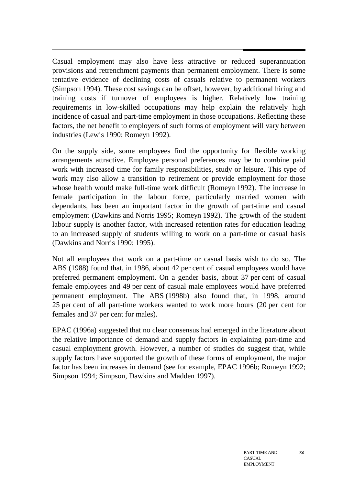Casual employment may also have less attractive or reduced superannuation provisions and retrenchment payments than permanent employment. There is some tentative evidence of declining costs of casuals relative to permanent workers (Simpson 1994). These cost savings can be offset, however, by additional hiring and training costs if turnover of employees is higher. Relatively low training requirements in low-skilled occupations may help explain the relatively high incidence of casual and part-time employment in those occupations. Reflecting these factors, the net benefit to employers of such forms of employment will vary between industries (Lewis 1990; Romeyn 1992).

On the supply side, some employees find the opportunity for flexible working arrangements attractive. Employee personal preferences may be to combine paid work with increased time for family responsibilities, study or leisure. This type of work may also allow a transition to retirement or provide employment for those whose health would make full-time work difficult (Romeyn 1992). The increase in female participation in the labour force, particularly married women with dependants, has been an important factor in the growth of part-time and casual employment (Dawkins and Norris 1995; Romeyn 1992). The growth of the student labour supply is another factor, with increased retention rates for education leading to an increased supply of students willing to work on a part-time or casual basis (Dawkins and Norris 1990; 1995).

Not all employees that work on a part-time or casual basis wish to do so. The ABS (1988) found that, in 1986, about 42 per cent of casual employees would have preferred permanent employment. On a gender basis, about 37 per cent of casual female employees and 49 per cent of casual male employees would have preferred permanent employment. The ABS (1998b) also found that, in 1998, around 25 per cent of all part-time workers wanted to work more hours (20 per cent for females and 37 per cent for males).

EPAC (1996a) suggested that no clear consensus had emerged in the literature about the relative importance of demand and supply factors in explaining part-time and casual employment growth. However, a number of studies do suggest that, while supply factors have supported the growth of these forms of employment, the major factor has been increases in demand (see for example, EPAC 1996b; Romeyn 1992; Simpson 1994; Simpson, Dawkins and Madden 1997).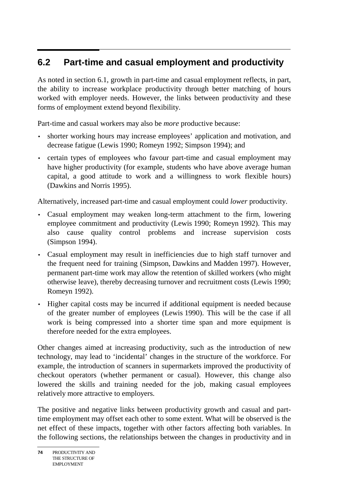# **6.2 Part-time and casual employment and productivity**

As noted in section 6.1, growth in part-time and casual employment reflects, in part, the ability to increase workplace productivity through better matching of hours worked with employer needs. However, the links between productivity and these forms of employment extend beyond flexibility.

Part-time and casual workers may also be *more* productive because:

- shorter working hours may increase employees' application and motivation, and decrease fatigue (Lewis 1990; Romeyn 1992; Simpson 1994); and
- certain types of employees who favour part-time and casual employment may have higher productivity (for example, students who have above average human capital, a good attitude to work and a willingness to work flexible hours) (Dawkins and Norris 1995).

Alternatively, increased part-time and casual employment could *lower* productivity.

- Casual employment may weaken long-term attachment to the firm, lowering employee commitment and productivity (Lewis 1990; Romeyn 1992). This may also cause quality control problems and increase supervision costs (Simpson 1994).
- Casual employment may result in inefficiencies due to high staff turnover and the frequent need for training (Simpson, Dawkins and Madden 1997). However, permanent part-time work may allow the retention of skilled workers (who might otherwise leave), thereby decreasing turnover and recruitment costs (Lewis 1990; Romeyn 1992).
- Higher capital costs may be incurred if additional equipment is needed because of the greater number of employees (Lewis 1990). This will be the case if all work is being compressed into a shorter time span and more equipment is therefore needed for the extra employees.

Other changes aimed at increasing productivity, such as the introduction of new technology, may lead to 'incidental' changes in the structure of the workforce. For example, the introduction of scanners in supermarkets improved the productivity of checkout operators (whether permanent or casual). However, this change also lowered the skills and training needed for the job, making casual employees relatively more attractive to employers.

The positive and negative links between productivity growth and casual and parttime employment may offset each other to some extent. What will be observed is the net effect of these impacts, together with other factors affecting both variables. In the following sections, the relationships between the changes in productivity and in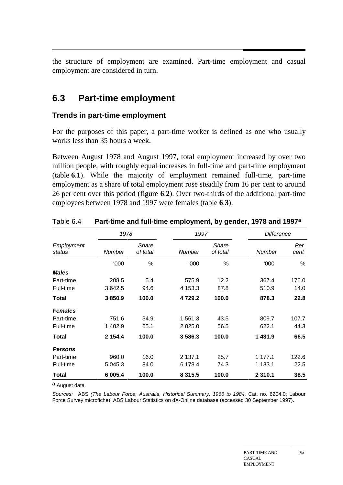the structure of employment are examined. Part-time employment and casual employment are considered in turn.

# **6.3 Part-time employment**

#### **Trends in part-time employment**

For the purposes of this paper, a part-time worker is defined as one who usually works less than 35 hours a week.

Between August 1978 and August 1997, total employment increased by over two million people, with roughly equal increases in full-time and part-time employment (table **6**.**1**). While the majority of employment remained full-time, part-time employment as a share of total employment rose steadily from 16 per cent to around 26 per cent over this period (figure **6**.**2**). Over two-thirds of the additional part-time employees between 1978 and 1997 were females (table **6**.**3**).

|                      | 1978        |                   | 1997        |                          | Difference    |             |
|----------------------|-------------|-------------------|-------------|--------------------------|---------------|-------------|
| Employment<br>status | Number      | Share<br>of total | Number      | <b>Share</b><br>of total | <b>Number</b> | Per<br>cent |
|                      | 000'        | %                 | 000'        | %                        | 000'          | %           |
| <b>Males</b>         |             |                   |             |                          |               |             |
| Part-time            | 208.5       | 5.4               | 575.9       | 12.2                     | 367.4         | 176.0       |
| Full-time            | 3642.5      | 94.6              | 4 153.3     | 87.8                     | 510.9         | 14.0        |
| Total                | 3850.9      | 100.0             | 4729.2      | 100.0                    | 878.3         | 22.8        |
| <b>Females</b>       |             |                   |             |                          |               |             |
| Part-time            | 751.6       | 34.9              | 1 561.3     | 43.5                     | 809.7         | 107.7       |
| Full-time            | 1 402.9     | 65.1              | 2 0 2 5 .0  | 56.5                     | 622.1         | 44.3        |
| <b>Total</b>         | 2 1 5 4 .4  | 100.0             | 3586.3      | 100.0                    | 1 431.9       | 66.5        |
| <b>Persons</b>       |             |                   |             |                          |               |             |
| Part-time            | 960.0       | 16.0              | 2 137.1     | 25.7                     | 1 177.1       | 122.6       |
| Full-time            | 5 0 4 5 . 3 | 84.0              | 6 178.4     | 74.3                     | 1 133.1       | 22.5        |
| <b>Total</b>         | 6 005.4     | 100.0             | 8 3 1 5 . 5 | 100.0                    | 2 3 1 0.1     | 38.5        |

#### Table 6**.**4 **Part-time and full-time employment, by gender, 1978 and 1997a**

**a** August data.

Sources: ABS (The Labour Force, Australia, Historical Summary, 1966 to 1984, Cat. no. 6204.0; Labour Force Survey microfiche); ABS Labour Statistics on dX-Online database (accessed 30 September 1997).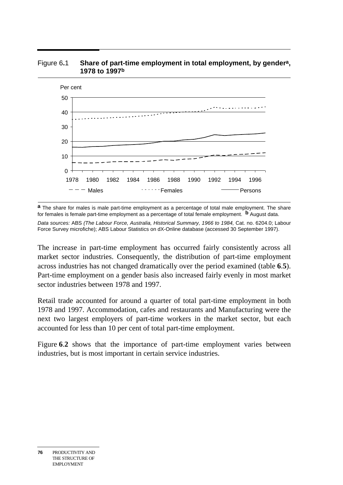

#### Figure 6**.**1 **Share of part-time employment in total employment, by gendera, 1978 to 1997b**

**a** The share for males is male part-time employment as a percentage of total male employment. The share for females is female part-time employment as a percentage of total female employment. **b** August data.

Data sources: ABS (The Labour Force, Australia, Historical Summary, 1966 to 1984, Cat. no. 6204.0; Labour Force Survey microfiche); ABS Labour Statistics on dX-Online database (accessed 30 September 1997).

The increase in part-time employment has occurred fairly consistently across all market sector industries. Consequently, the distribution of part-time employment across industries has not changed dramatically over the period examined (table **6**.**5**). Part-time employment on a gender basis also increased fairly evenly in most market sector industries between 1978 and 1997.

Retail trade accounted for around a quarter of total part-time employment in both 1978 and 1997. Accommodation, cafes and restaurants and Manufacturing were the next two largest employers of part-time workers in the market sector, but each accounted for less than 10 per cent of total part-time employment.

Figure **6**.**2** shows that the importance of part-time employment varies between industries, but is most important in certain service industries.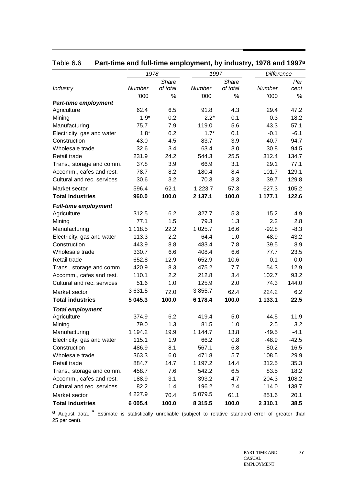|                             | 1978        |          | 1997        |          | <b>Difference</b> |         |
|-----------------------------|-------------|----------|-------------|----------|-------------------|---------|
|                             |             | Share    |             | Share    |                   | Per     |
| Industry                    | Number      | of total | Number      | of total | Number            | cent    |
|                             | 000'        | %        | <b>'000</b> | $\%$     | '000              | %       |
| <b>Part-time employment</b> |             |          |             |          |                   |         |
| Agriculture                 | 62.4        | 6.5      | 91.8        | 4.3      | 29.4              | 47.2    |
| Mining                      | $1.9*$      | 0.2      | $2.2*$      | 0.1      | 0.3               | 18.2    |
| Manufacturing               | 75.7        | 7.9      | 119.0       | 5.6      | 43.3              | 57.1    |
| Electricity, gas and water  | $1.8*$      | 0.2      | $1.7*$      | 0.1      | $-0.1$            | $-6.1$  |
| Construction                | 43.0        | 4.5      | 83.7        | 3.9      | 40.7              | 94.7    |
| Wholesale trade             | 32.6        | 3.4      | 63.4        | 3.0      | 30.8              | 94.5    |
| Retail trade                | 231.9       | 24.2     | 544.3       | 25.5     | 312.4             | 134.7   |
| Trans., storage and comm.   | 37.8        | 3.9      | 66.9        | 3.1      | 29.1              | 77.1    |
| Accomm., cafes and rest.    | 78.7        | 8.2      | 180.4       | 8.4      | 101.7             | 129.1   |
| Cultural and rec. services  | 30.6        | 3.2      | 70.3        | 3.3      | 39.7              | 129.8   |
| Market sector               | 596.4       | 62.1     | 1 2 2 3.7   | 57.3     | 627.3             | 105.2   |
| <b>Total industries</b>     | 960.0       | 100.0    | 2 137.1     | 100.0    | 1 177.1           | 122.6   |
| <b>Full-time employment</b> |             |          |             |          |                   |         |
| Agriculture                 | 312.5       | 6.2      | 327.7       | 5.3      | 15.2              | 4.9     |
| Mining                      | 77.1        | 1.5      | 79.3        | 1.3      | 2.2               | 2.8     |
| Manufacturing               | 1 1 1 8.5   | 22.2     | 1 0 25.7    | 16.6     | $-92.8$           | $-8.3$  |
| Electricity, gas and water  | 113.3       | 2.2      | 64.4        | 1.0      | $-48.9$           | $-43.2$ |
| Construction                | 443.9       | 8.8      | 483.4       | 7.8      | 39.5              | 8.9     |
| Wholesale trade             | 330.7       | 6.6      | 408.4       | 6.6      | 77.7              | 23.5    |
| Retail trade                | 652.8       | 12.9     | 652.9       | 10.6     | 0.1               | 0.0     |
| Trans., storage and comm.   | 420.9       | 8.3      | 475.2       | 7.7      | 54.3              | 12.9    |
| Accomm., cafes and rest.    | 110.1       | 2.2      | 212.8       | 3.4      | 102.7             | 93.2    |
| Cultural and rec. services  | 51.6        | 1.0      | 125.9       | 2.0      | 74.3              | 144.0   |
| Market sector               | 3631.5      | 72.0     | 3 855.7     | 62.4     | 224.2             | 6.2     |
| <b>Total industries</b>     | 5 045.3     | 100.0    | 6 178.4     | 100.0    | 1 133.1           | 22.5    |
| <b>Total employment</b>     |             |          |             |          |                   |         |
| Agriculture                 | 374.9       | 6.2      | 419.4       | 5.0      | 44.5              | 11.9    |
| Mining                      | 79.0        | 1.3      | 81.5        | 1.0      | 2.5               | 3.2     |
| Manufacturing               | 1 194.2     | 19.9     | 1 144.7     | 13.8     | $-49.5$           | $-4.1$  |
| Electricity, gas and water  | 115.1       | 1.9      | 66.2        | 0.8      | $-48.9$           | $-42.5$ |
| Construction                | 486.9       | 8.1      | 567.1       | 6.8      | 80.2              | 16.5    |
| Wholesale trade             | 363.3       | 6.0      | 471.8       | 5.7      | 108.5             | 29.9    |
| Retail trade                | 884.7       | 14.7     | 1 197.2     | 14.4     | 312.5             | 35.3    |
| Trans., storage and comm.   | 458.7       | 7.6      | 542.2       | 6.5      | 83.5              | 18.2    |
| Accomm., cafes and rest.    | 188.9       | 3.1      | 393.2       | 4.7      | 204.3             | 108.2   |
| Cultural and rec. services  | 82.2        | 1.4      | 196.2       | 2.4      | 114.0             | 138.7   |
| Market sector               | 4 2 2 7 . 9 | 70.4     | 5 0 7 9.5   | 61.1     | 851.6             | 20.1    |
| <b>Total industries</b>     | 6 005.4     | 100.0    | 8 3 1 5 . 5 | 100.0    | 2 3 1 0.1         | 38.5    |

### Table 6**.**6 **Part-time and full-time employment, by industry, 1978 and 1997a**

**a** August data. **\*** Estimate is statistically unreliable (subject to relative standard error of greater than 25 per cent).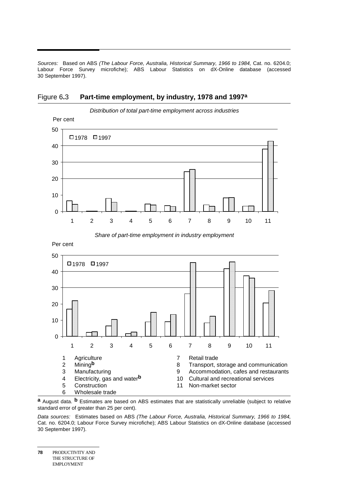Sources: Based on ABS (The Labour Force, Australia, Historical Summary, 1966 to 1984, Cat. no. 6204.0; Labour Force Survey microfiche); ABS Labour Statistics on dX-Online database (accessed 30 September 1997).







**a** August data. **b** Estimates are based on ABS estimates that are statistically unreliable (subject to relative standard error of greater than 25 per cent).

Data sources: Estimates based on ABS (The Labour Force, Australia, Historical Summary, 1966 to 1984, Cat. no. 6204.0; Labour Force Survey microfiche); ABS Labour Statistics on dX-Online database (accessed 30 September 1997).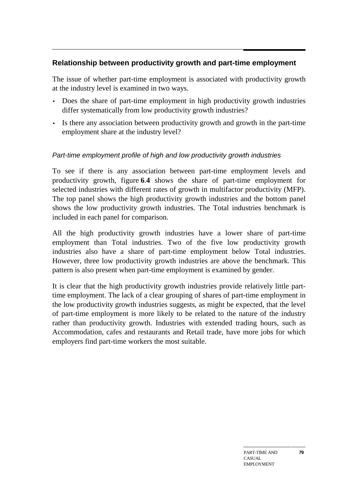### **Relationship between productivity growth and part-time employment**

The issue of whether part-time employment is associated with productivity growth at the industry level is examined in two ways.

- Does the share of part-time employment in high productivity growth industries differ systematically from low productivity growth industries?
- Is there any association between productivity growth and growth in the part-time employment share at the industry level?

#### Part-time employment profile of high and low productivity growth industries

To see if there is any association between part-time employment levels and productivity growth, figure **6**.**4** shows the share of part-time employment for selected industries with different rates of growth in multifactor productivity (MFP). The top panel shows the high productivity growth industries and the bottom panel shows the low productivity growth industries. The Total industries benchmark is included in each panel for comparison.

All the high productivity growth industries have a lower share of part-time employment than Total industries. Two of the five low productivity growth industries also have a share of part-time employment below Total industries. However, three low productivity growth industries are above the benchmark. This pattern is also present when part-time employment is examined by gender.

It is clear that the high productivity growth industries provide relatively little parttime employment. The lack of a clear grouping of shares of part-time employment in the low productivity growth industries suggests, as might be expected, that the level of part-time employment is more likely to be related to the nature of the industry rather than productivity growth. Industries with extended trading hours, such as Accommodation, cafes and restaurants and Retail trade, have more jobs for which employers find part-time workers the most suitable.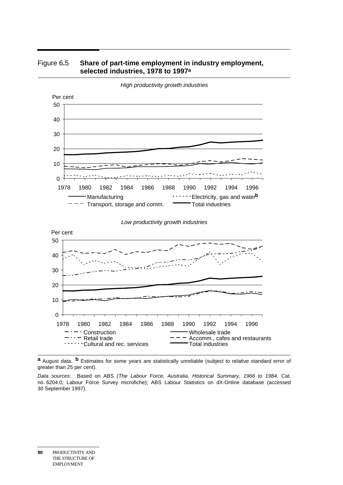

#### Figure 6**.**5 **Share of part-time employment in industry employment, selected industries, 1978 to 1997a**

**a** August data. **b** Estimates for some years are statistically unreliable (subject to relative standard error of greater than 25 per cent).

Data sources: Based on ABS (The Labour Force, Australia, Historical Summary, 1966 to 1984, Cat. no. 6204.0; Labour Force Survey microfiche); ABS Labour Statistics on dX-Online database (accessed 30 September 1997).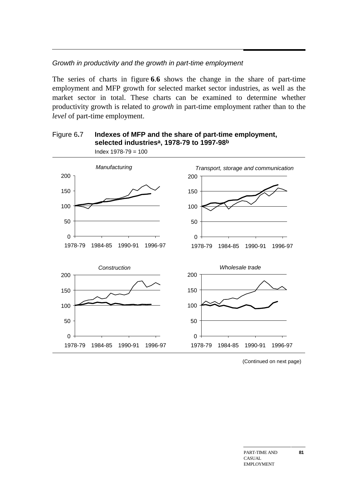#### Growth in productivity and the growth in part-time employment

The series of charts in figure **6**.**6** shows the change in the share of part-time employment and MFP growth for selected market sector industries, as well as the market sector in total. These charts can be examined to determine whether productivity growth is related to *growth* in part-time employment rather than to the *level* of part-time employment.

#### 0 50 100 150 200 1978-79 1984-85 1990-91 1996-97 **Manufacturing** 0 50 100 150 200 1978-79 1984-85 1990-91 1996-97 Transport, storage and communication 0 50 100 150 200 1978-79 1984-85 1990-91 1996-97 **Construction** 0 50 100 150 200 1978-79 1984-85 1990-91 1996-97 Wholesale trade

#### Figure 6**.**7 **Indexes of MFP and the share of part-time employment, selected industriesa, 1978-79 to 1997-98b** Index 1978-79 = 100

<sup>(</sup>Continued on next page)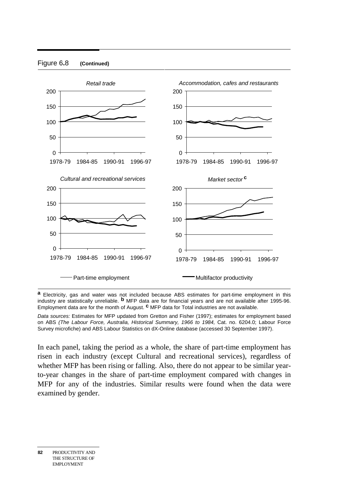#### Figure 6**.**8 **(Continued)**



**a** Electricity, gas and water was not included because ABS estimates for part-time employment in this industry are statistically unreliable. **b** MFP data are for financial years and are not available after 1995-96. Employment data are for the month of August. **c** MFP data for Total industries are not available.

Data sources: Estimates for MFP updated from Gretton and Fisher (1997); estimates for employment based on ABS (The Labour Force, Australia, Historical Summary, 1966 to 1984, Cat. no. 6204.0; Labour Force Survey microfiche) and ABS Labour Statistics on dX-Online database (accessed 30 September 1997).

In each panel, taking the period as a whole, the share of part-time employment has risen in each industry (except Cultural and recreational services), regardless of whether MFP has been rising or falling. Also, there do not appear to be similar yearto-year changes in the share of part-time employment compared with changes in MFP for any of the industries. Similar results were found when the data were examined by gender.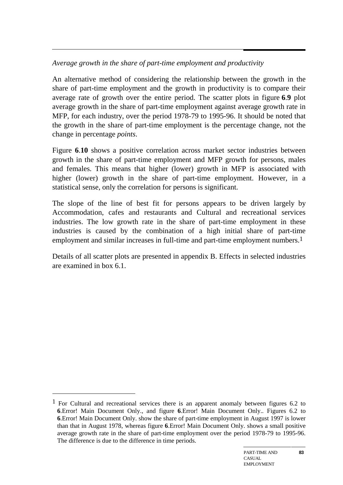### *Average growth in the share of part-time employment and productivity*

An alternative method of considering the relationship between the growth in the share of part-time employment and the growth in productivity is to compare their average rate of growth over the entire period. The scatter plots in figure **6**.**9** plot average growth in the share of part-time employment against average growth rate in MFP, for each industry, over the period 1978-79 to 1995-96. It should be noted that the growth in the share of part-time employment is the percentage change, not the change in percentage *points*.

Figure **6**.**10** shows a positive correlation across market sector industries between growth in the share of part-time employment and MFP growth for persons, males and females. This means that higher (lower) growth in MFP is associated with higher (lower) growth in the share of part-time employment. However, in a statistical sense, only the correlation for persons is significant.

The slope of the line of best fit for persons appears to be driven largely by Accommodation, cafes and restaurants and Cultural and recreational services industries. The low growth rate in the share of part-time employment in these industries is caused by the combination of a high initial share of part-time employment and similar increases in full-time and part-time employment numbers.<sup>1</sup>

Details of all scatter plots are presented in appendix B. Effects in selected industries are examined in box 6.1.

 $\overline{a}$ 

<sup>&</sup>lt;sup>1</sup> For Cultural and recreational services there is an apparent anomaly between figures 6.2 to **6**.Error! Main Document Only., and figure **6**.Error! Main Document Only.. Figures 6.2 to **6**.Error! Main Document Only. show the share of part-time employment in August 1997 is lower than that in August 1978, whereas figure **6**.Error! Main Document Only. shows a small positive average growth rate in the share of part-time employment over the period 1978-79 to 1995-96. The difference is due to the difference in time periods.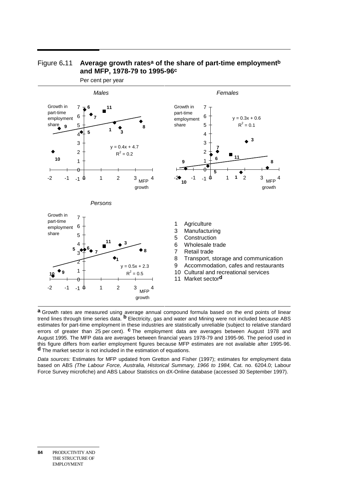

#### Figure 6**.**11 **Average growth ratesa of the share of part-time employmentb and MFP, 1978-79 to 1995-96c**

**a** Growth rates are measured using average annual compound formula based on the end points of linear trend lines through time series data. **b** Electricity, gas and water and Mining were not included because ABS estimates for part-time employment in these industries are statistically unreliable (subject to relative standard errors of greater than 25 per cent). **c** The employment data are averages between August 1978 and August 1995. The MFP data are averages between financial years 1978-79 and 1995-96. The period used in this figure differs from earlier employment figures because MFP estimates are not available after 1995-96. **d** The market sector is not included in the estimation of equations.

Data sources: Estimates for MFP updated from Gretton and Fisher (1997); estimates for employment data based on ABS (The Labour Force, Australia, Historical Summary, 1966 to 1984, Cat. no. 6204.0; Labour Force Survey microfiche) and ABS Labour Statistics on dX-Online database (accessed 30 September 1997).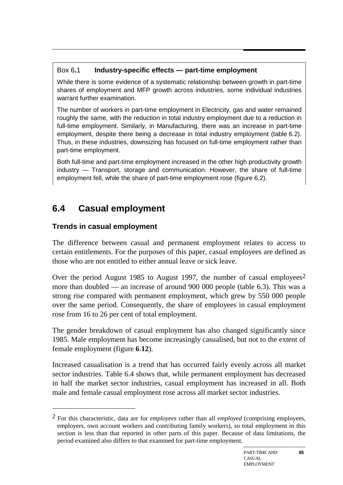### Box 6**.**1 **Industry-specific effects — part-time employment**

While there is some evidence of a systematic relationship between growth in part-time shares of employment and MFP growth across industries, some individual industries warrant further examination.

The number of workers in part-time employment in Electricity, gas and water remained roughly the same, with the reduction in total industry employment due to a reduction in full-time employment. Similarly, in Manufacturing, there was an increase in part-time employment, despite there being a decrease in total industry employment (table 6.2). Thus, in these industries, downsizing has focused on full-time employment rather than part-time employment.

Both full-time and part-time employment increased in the other high productivity growth industry — Transport, storage and communication. However, the share of full-time employment fell, while the share of part-time employment rose (figure 6.2).

# **6.4 Casual employment**

### **Trends in casual employment**

 $\overline{a}$ 

The difference between casual and permanent employment relates to access to certain entitlements. For the purposes of this paper, casual employees are defined as those who are not entitled to either annual leave or sick leave.

Over the period August 1985 to August 1997, the number of casual employees<sup>2</sup> more than doubled — an increase of around 900 000 people (table 6.3). This was a strong rise compared with permanent employment, which grew by 550 000 people over the same period. Consequently, the share of employees in casual employment rose from 16 to 26 per cent of total employment.

The gender breakdown of casual employment has also changed significantly since 1985. Male employment has become increasingly casualised, but not to the extent of female employment (figure **6**.**12**).

Increased casualisation is a trend that has occurred fairly evenly across all market sector industries. Table 6.4 shows that, while permanent employment has decreased in half the market sector industries, casual employment has increased in all. Both male and female casual employment rose across all market sector industries.

<sup>2</sup> For this characteristic, data are for *employees* rather than all *employed* (comprising employees, employers, own account workers and contributing family workers), so total employment in this section is less than that reported in other parts of this paper. Because of data limitations, the period examined also differs to that examined for part-time employment.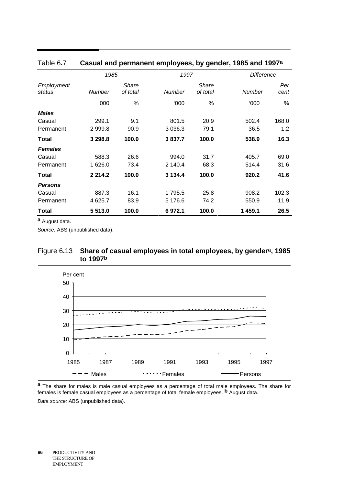|                      | 1985        |                          | 1997        |                   | Difference |             |
|----------------------|-------------|--------------------------|-------------|-------------------|------------|-------------|
| Employment<br>status | Number      | <b>Share</b><br>of total | Number      | Share<br>of total | Number     | Per<br>cent |
|                      | 000'        | %                        | 000'        | %                 | 000'       | %           |
| <b>Males</b>         |             |                          |             |                   |            |             |
| Casual               | 299.1       | 9.1                      | 801.5       | 20.9              | 502.4      | 168.0       |
| Permanent            | 2 9 9 9.8   | 90.9                     | 3 0 3 6.3   | 79.1              | 36.5       | 1.2         |
| <b>Total</b>         | 3 298.8     | 100.0                    | 3837.7      | 100.0             | 538.9      | 16.3        |
| <b>Females</b>       |             |                          |             |                   |            |             |
| Casual               | 588.3       | 26.6                     | 994.0       | 31.7              | 405.7      | 69.0        |
| Permanent            | 1 626.0     | 73.4                     | 2 140.4     | 68.3              | 514.4      | 31.6        |
| <b>Total</b>         | 2 2 1 4 . 2 | 100.0                    | 3 1 3 4 . 4 | 100.0             | 920.2      | 41.6        |
| <b>Persons</b>       |             |                          |             |                   |            |             |
| Casual               | 887.3       | 16.1                     | 1795.5      | 25.8              | 908.2      | 102.3       |
| Permanent            | 4 625.7     | 83.9                     | 5 176.6     | 74.2              | 550.9      | 11.9        |
| <b>Total</b>         | 5 513.0     | 100.0                    | 6972.1      | 100.0             | 1 459.1    | 26.5        |

#### Table 6**.**7 **Casual and permanent employees, by gender, 1985 and 1997a**

**a** August data.

Source: ABS (unpublished data).





**a** The share for males is male casual employees as a percentage of total male employees. The share for females is female casual employees as a percentage of total female employees. **b** August data.

Data source: ABS (unpublished data).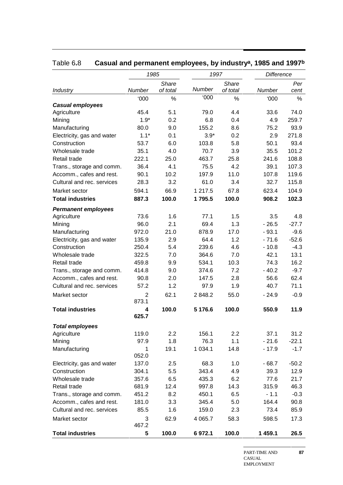|                            | 1985                    |              | 1997        |              | <b>Difference</b> |         |
|----------------------------|-------------------------|--------------|-------------|--------------|-------------------|---------|
|                            |                         | <b>Share</b> |             | <b>Share</b> |                   | Per     |
| Industry                   | Number                  | of total     | Number      | of total     | Number            | cent    |
|                            | '000                    | %            | <b>'000</b> | %            | <b>'000</b>       | %       |
| <b>Casual employees</b>    |                         |              |             |              |                   |         |
| Agriculture                | 45.4                    | 5.1          | 79.0        | 4.4          | 33.6              | 74.0    |
| Mining                     | $1.9*$                  | 0.2          | 6.8         | 0.4          | 4.9               | 259.7   |
| Manufacturing              | 80.0                    | 9.0          | 155.2       | 8.6          | 75.2              | 93.9    |
| Electricity, gas and water | $1.1*$                  | 0.1          | $3.9*$      | 0.2          | 2.9               | 271.8   |
| Construction               | 53.7                    | 6.0          | 103.8       | 5.8          | 50.1              | 93.4    |
| Wholesale trade            | 35.1                    | 4.0          | 70.7        | 3.9          | 35.5              | 101.2   |
| Retail trade               | 222.1                   | 25.0         | 463.7       | 25.8         | 241.6             | 108.8   |
| Trans., storage and comm.  | 36.4                    | 4.1          | 75.5        | 4.2          | 39.1              | 107.3   |
| Accomm., cafes and rest.   | 90.1                    | 10.2         | 197.9       | 11.0         | 107.8             | 119.6   |
| Cultural and rec. services | 28.3                    | 3.2          | 61.0        | 3.4          | 32.7              | 115.8   |
| Market sector              | 594.1                   | 66.9         | 1 217.5     | 67.8         | 623.4             | 104.9   |
| <b>Total industries</b>    | 887.3                   | 100.0        | 1795.5      | 100.0        | 908.2             | 102.3   |
| <b>Permanent employees</b> |                         |              |             |              |                   |         |
| Agriculture                | 73.6                    | 1.6          | 77.1        | 1.5          | 3.5               | 4.8     |
| Mining                     | 96.0                    | 2.1          | 69.4        | 1.3          | $-26.5$           | $-27.7$ |
| Manufacturing              | 972.0                   | 21.0         | 878.9       | 17.0         | $-93.1$           | $-9.6$  |
| Electricity, gas and water | 135.9                   | 2.9          | 64.4        | 1.2          | $-71.6$           | $-52.6$ |
| Construction               | 250.4                   | 5.4          | 239.6       | 4.6          | $-10.8$           | $-4.3$  |
| Wholesale trade            | 322.5                   | 7.0          | 364.6       | 7.0          | 42.1              | 13.1    |
| Retail trade               | 459.8                   | 9.9          | 534.1       | 10.3         | 74.3              | 16.2    |
| Trans., storage and comm.  | 414.8                   | 9.0          | 374.6       | 7.2          | $-40.2$           | $-9.7$  |
| Accomm., cafes and rest.   | 90.8                    | 2.0          | 147.5       | 2.8          | 56.6              | 62.4    |
| Cultural and rec. services | 57.2                    | 1.2          | 97.9        | 1.9          | 40.7              | 71.1    |
| Market sector              | $\overline{2}$<br>873.1 | 62.1         | 2848.2      | 55.0         | $-24.9$           | $-0.9$  |
| <b>Total industries</b>    | 4                       | 100.0        | 5 176.6     | 100.0        | 550.9             | 11.9    |
|                            | 625.7                   |              |             |              |                   |         |
| <b>Total employees</b>     |                         |              |             |              |                   |         |
| Agriculture                | 119.0                   | 2.2          | 156.1       | 2.2          | 37.1              | 31.2    |
| Mining                     | 97.9                    | 1.8          | 76.3        | 1.1          | $-21.6$           | $-22.1$ |
| Manufacturing              | 1<br>052.0              | 19.1         | 1 0 3 4 . 1 | 14.8         | $-17.9$           | $-1.7$  |
| Electricity, gas and water | 137.0                   | 2.5          | 68.3        | 1.0          | $-68.7$           | $-50.2$ |
| Construction               | 304.1                   | 5.5          | 343.4       | 4.9          | 39.3              | 12.9    |
| Wholesale trade            | 357.6                   | 6.5          | 435.3       | 6.2          | 77.6              | 21.7    |
| Retail trade               | 681.9                   | 12.4         | 997.8       | 14.3         | 315.9             | 46.3    |
| Trans., storage and comm.  | 451.2                   | 8.2          | 450.1       | 6.5          | $-1.1$            | $-0.3$  |
| Accomm., cafes and rest.   | 181.0                   | 3.3          | 345.4       | 5.0          | 164.4             | 90.8    |
| Cultural and rec. services | 85.5                    | 1.6          | 159.0       | 2.3          | 73.4              | 85.9    |
| Market sector              | 3<br>467.2              | 62.9         | 4 0 65.7    | 58.3         | 598.5             | 17.3    |
| <b>Total industries</b>    | 5                       | 100.0        | 6972.1      | 100.0        | 1 459.1           | 26.5    |

### Table 6**.**8 **Casual and permanent employees, by industrya, 1985 and 1997b**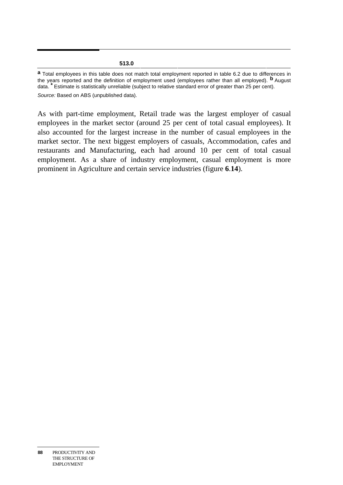#### **513.0**

**a** Total employees in this table does not match total employment reported in table 6.2 due to differences in the years reported and the definition of employment used (employees rather than all employed). **b** August data. **\*** Estimate is statistically unreliable (subject to relative standard error of greater than 25 per cent). Source: Based on ABS (unpublished data).

As with part-time employment, Retail trade was the largest employer of casual employees in the market sector (around 25 per cent of total casual employees). It also accounted for the largest increase in the number of casual employees in the market sector. The next biggest employers of casuals, Accommodation, cafes and restaurants and Manufacturing, each had around 10 per cent of total casual employment. As a share of industry employment, casual employment is more prominent in Agriculture and certain service industries (figure **6**.**14**).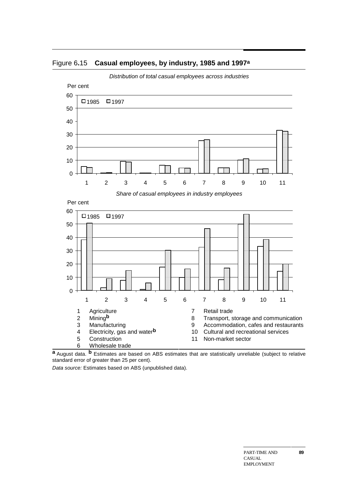Figure 6**.**15 **Casual employees, by industry, 1985 and 1997a**



Distribution of total casual employees across industries

**a** August data. **b** Estimates are based on ABS estimates that are statistically unreliable (subject to relative standard error of greater than 25 per cent).

Data source: Estimates based on ABS (unpublished data).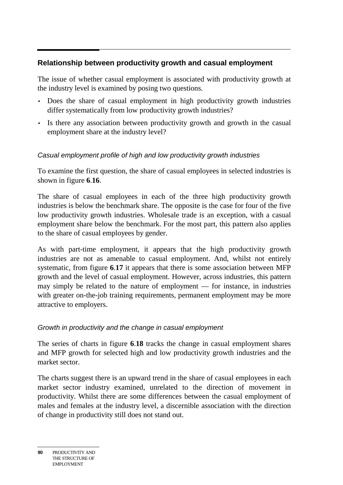## **Relationship between productivity growth and casual employment**

The issue of whether casual employment is associated with productivity growth at the industry level is examined by posing two questions.

- Does the share of casual employment in high productivity growth industries differ systematically from low productivity growth industries?
- Is there any association between productivity growth and growth in the casual employment share at the industry level?

### Casual employment profile of high and low productivity growth industries

To examine the first question, the share of casual employees in selected industries is shown in figure **6**.**16**.

The share of casual employees in each of the three high productivity growth industries is below the benchmark share. The opposite is the case for four of the five low productivity growth industries. Wholesale trade is an exception, with a casual employment share below the benchmark. For the most part, this pattern also applies to the share of casual employees by gender.

As with part-time employment, it appears that the high productivity growth industries are not as amenable to casual employment. And, whilst not entirely systematic, from figure **6**.**17** it appears that there is some association between MFP growth and the level of casual employment. However, across industries, this pattern may simply be related to the nature of employment — for instance, in industries with greater on-the-job training requirements, permanent employment may be more attractive to employers.

### Growth in productivity and the change in casual employment

The series of charts in figure **6**.**18** tracks the change in casual employment shares and MFP growth for selected high and low productivity growth industries and the market sector.

The charts suggest there is an upward trend in the share of casual employees in each market sector industry examined, unrelated to the direction of movement in productivity. Whilst there are some differences between the casual employment of males and females at the industry level, a discernible association with the direction of change in productivity still does not stand out.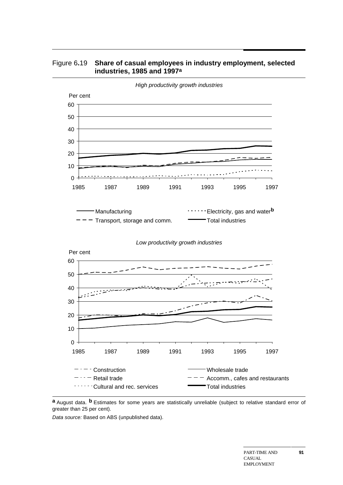



**a** August data. **b** Estimates for some years are statistically unreliable (subject to relative standard error of greater than 25 per cent).

Data source: Based on ABS (unpublished data).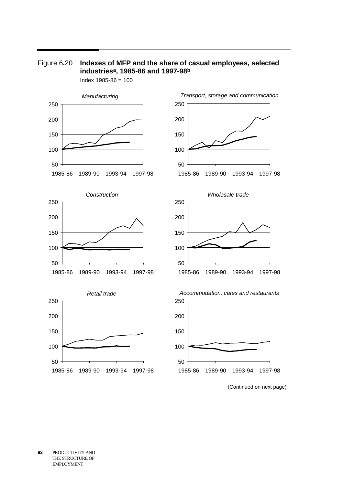

#### Figure 6**.**20 **Indexes of MFP and the share of casual employees, selected industriesa, 1985-86 and 1997-98b** Index 1985-86 = 100

(Continued on next page)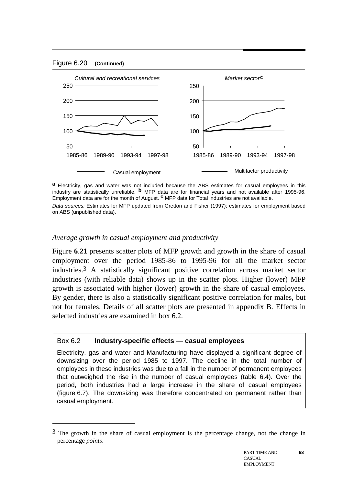Figure 6.20 **(Continued)**

 $\overline{a}$ 



**a** Electricity, gas and water was not included because the ABS estimates for casual employees in this industry are statistically unreliable. **b** MFP data are for financial years and not available after 1995-96. Employment data are for the month of August. **c** MFP data for Total industries are not available. Data sources: Estimates for MFP updated from Gretton and Fisher (1997); estimates for employment based

on ABS (unpublished data).

#### *Average growth in casual employment and productivity*

Figure **6**.**21** presents scatter plots of MFP growth and growth in the share of casual employment over the period 1985-86 to 1995-96 for all the market sector industries.3 A statistically significant positive correlation across market sector industries (with reliable data) shows up in the scatter plots. Higher (lower) MFP growth is associated with higher (lower) growth in the share of casual employees. By gender, there is also a statistically significant positive correlation for males, but not for females. Details of all scatter plots are presented in appendix B. Effects in selected industries are examined in box 6.2.

### Box 6**.**2 **Industry-specific effects — casual employees**

Electricity, gas and water and Manufacturing have displayed a significant degree of downsizing over the period 1985 to 1997. The decline in the total number of employees in these industries was due to a fall in the number of permanent employees that outweighed the rise in the number of casual employees (table 6.4). Over the period, both industries had a large increase in the share of casual employees (figure 6.7). The downsizing was therefore concentrated on permanent rather than casual employment.

 $3$  The growth in the share of casual employment is the percentage change, not the change in percentage *points*.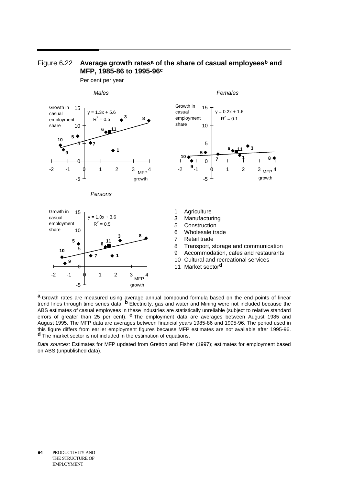#### Figure 6**.**22 **Average growth ratesa of the share of casual employeesb and MFP, 1985-86 to 1995-96c** Per cent per year



**a** Growth rates are measured using average annual compound formula based on the end points of linear trend lines through time series data. **b** Electricity, gas and water and Mining were not included because the ABS estimates of casual employees in these industries are statistically unreliable (subject to relative standard errors of greater than 25 per cent). **c** The employment data are averages between August 1985 and August 1995. The MFP data are averages between financial years 1985-86 and 1995-96. The period used in this figure differs from earlier employment figures because MFP estimates are not available after 1995-96. **d** The market sector is not included in the estimation of equations.

Data sources: Estimates for MFP updated from Gretton and Fisher (1997); estimates for employment based on ABS (unpublished data).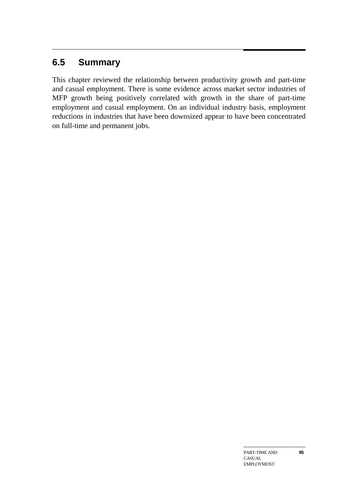# **6.5 Summary**

This chapter reviewed the relationship between productivity growth and part-time and casual employment. There is some evidence across market sector industries of MFP growth being positively correlated with growth in the share of part-time employment and casual employment. On an individual industry basis, employment reductions in industries that have been downsized appear to have been concentrated on full-time and permanent jobs.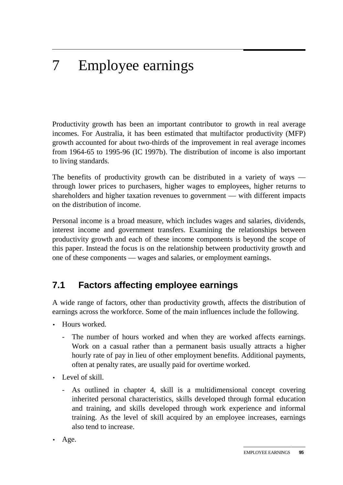# 7 Employee earnings

Productivity growth has been an important contributor to growth in real average incomes. For Australia, it has been estimated that multifactor productivity (MFP) growth accounted for about two-thirds of the improvement in real average incomes from 1964-65 to 1995-96 (IC 1997b). The distribution of income is also important to living standards.

The benefits of productivity growth can be distributed in a variety of ways through lower prices to purchasers, higher wages to employees, higher returns to shareholders and higher taxation revenues to government — with different impacts on the distribution of income.

Personal income is a broad measure, which includes wages and salaries, dividends, interest income and government transfers. Examining the relationships between productivity growth and each of these income components is beyond the scope of this paper. Instead the focus is on the relationship between productivity growth and one of these components — wages and salaries, or employment earnings.

# **7.1 Factors affecting employee earnings**

A wide range of factors, other than productivity growth, affects the distribution of earnings across the workforce. Some of the main influences include the following.

- Hours worked.
	- The number of hours worked and when they are worked affects earnings. Work on a casual rather than a permanent basis usually attracts a higher hourly rate of pay in lieu of other employment benefits. Additional payments, often at penalty rates, are usually paid for overtime worked.
- Level of skill.
	- As outlined in chapter 4, skill is a multidimensional concept covering inherited personal characteristics, skills developed through formal education and training, and skills developed through work experience and informal training. As the level of skill acquired by an employee increases, earnings also tend to increase.
- Age.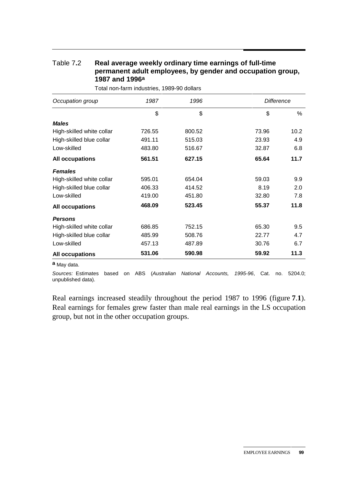#### Table 7**.**2 **Real average weekly ordinary time earnings of full-time permanent adult employees, by gender and occupation group, 1987 and 1996a**

| Occupation group          | 1987   | 1996   | <b>Difference</b> |      |
|---------------------------|--------|--------|-------------------|------|
|                           |        |        |                   |      |
|                           | \$     | \$     | \$                | %    |
| <b>Males</b>              |        |        |                   |      |
| High-skilled white collar | 726.55 | 800.52 | 73.96             | 10.2 |
| High-skilled blue collar  | 491.11 | 515.03 | 23.93             | 4.9  |
| Low-skilled               | 483.80 | 516.67 | 32.87             | 6.8  |
| <b>All occupations</b>    | 561.51 | 627.15 | 65.64             | 11.7 |
| <b>Females</b>            |        |        |                   |      |
| High-skilled white collar | 595.01 | 654.04 | 59.03             | 9.9  |
| High-skilled blue collar  | 406.33 | 414.52 | 8.19              | 2.0  |
| Low-skilled               | 419.00 | 451.80 | 32.80             | 7.8  |
| <b>All occupations</b>    | 468.09 | 523.45 | 55.37             | 11.8 |
| <b>Persons</b>            |        |        |                   |      |
| High-skilled white collar | 686.85 | 752.15 | 65.30             | 9.5  |
| High-skilled blue collar  | 485.99 | 508.76 | 22.77             | 4.7  |
| Low-skilled               | 457.13 | 487.89 | 30.76             | 6.7  |
| <b>All occupations</b>    | 531.06 | 590.98 | 59.92             | 11.3 |
| $a_{\text{Moudot}}$       |        |        |                   |      |

Total non-farm industries, 1989-90 dollars

**a** May data.

Sources: Estimates based on ABS (Australian National Accounts, 1995-96, Cat. no. 5204.0; unpublished data).

Real earnings increased steadily throughout the period 1987 to 1996 (figure **7**.**1**). Real earnings for females grew faster than male real earnings in the LS occupation group, but not in the other occupation groups.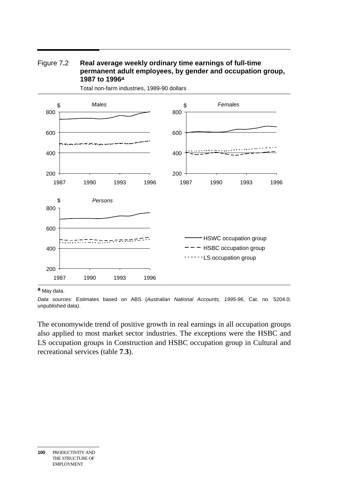#### Figure 7**.**2 **Real average weekly ordinary time earnings of full-time permanent adult employees, by gender and occupation group, 1987 to 1996a**



Total non-farm industries, 1989-90 dollars

#### **a** May data.

Data sources: Estimates based on ABS (Australian National Accounts, 1995-96, Cat. no. 5204.0; unpublished data).

The economywide trend of positive growth in real earnings in all occupation groups also applied to most market sector industries. The exceptions were the HSBC and LS occupation groups in Construction and HSBC occupation group in Cultural and recreational services (table **7**.**3**).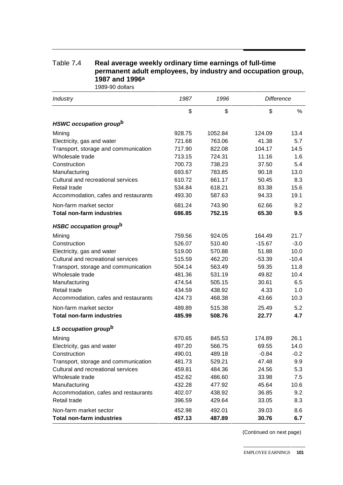| 1989-90 dollars                      |        |         |                   |         |
|--------------------------------------|--------|---------|-------------------|---------|
| <b>Industry</b>                      | 1987   | 1996    | <b>Difference</b> |         |
|                                      | \$     | \$      | \$                | %       |
| HSWC occupation groupb               |        |         |                   |         |
| Mining                               | 928.75 | 1052.84 | 124.09            | 13.4    |
| Electricity, gas and water           | 721.68 | 763.06  | 41.38             | 5.7     |
| Transport, storage and communication | 717.90 | 822.08  | 104.17            | 14.5    |
| Wholesale trade                      | 713.15 | 724.31  | 11.16             | 1.6     |
| Construction                         | 700.73 | 738.23  | 37.50             | 5.4     |
| Manufacturing                        | 693.67 | 783.85  | 90.18             | 13.0    |
| Cultural and recreational services   | 610.72 | 661.17  | 50.45             | 8.3     |
| Retail trade                         | 534.84 | 618.21  | 83.38             | 15.6    |
| Accommodation, cafes and restaurants | 493.30 | 587.63  | 94.33             | 19.1    |
| Non-farm market sector               | 681.24 | 743.90  | 62.66             | 9.2     |
| <b>Total non-farm industries</b>     | 686.85 | 752.15  | 65.30             | 9.5     |
| <b>HSBC occupation groupb</b>        |        |         |                   |         |
| Mining                               | 759.56 | 924.05  | 164.49            | 21.7    |
| Construction                         | 526.07 | 510.40  | $-15.67$          | $-3.0$  |
| Electricity, gas and water           | 519.00 | 570.88  | 51.88             | 10.0    |
| Cultural and recreational services   | 515.59 | 462.20  | $-53.39$          | $-10.4$ |
| Transport, storage and communication | 504.14 | 563.49  | 59.35             | 11.8    |
| Wholesale trade                      | 481.36 | 531.19  | 49.82             | 10.4    |
| Manufacturing                        | 474.54 | 505.15  | 30.61             | 6.5     |
| Retail trade                         | 434.59 | 438.92  | 4.33              | 1.0     |
| Accommodation, cafes and restaurants | 424.73 | 468.38  | 43.66             | 10.3    |
| Non-farm market sector               | 489.89 | 515.38  | 25.49             | 5.2     |
| <b>Total non-farm industries</b>     | 485.99 | 508.76  | 22.77             | 4.7     |
| LS occupation group <sup>b</sup>     |        |         |                   |         |
| Mining                               | 670.65 | 845.53  | 174.89            | 26.1    |
| Electricity, gas and water           | 497.20 | 566.75  | 69.55             | 14.0    |
| Construction                         | 490.01 | 489.18  | $-0.84$           | $-0.2$  |
| Transport, storage and communication | 481.73 | 529.21  | 47.48             | 9.9     |
| Cultural and recreational services   | 459.81 | 484.36  | 24.56             | 5.3     |
| Wholesale trade                      | 452.62 | 486.60  | 33.98             | 7.5     |
| Manufacturing                        | 432.28 | 477.92  | 45.64             | 10.6    |
| Accommodation, cafes and restaurants | 402.07 | 438.92  | 36.85             | 9.2     |
| Retail trade                         | 396.59 | 429.64  | 33.05             | 8.3     |
| Non-farm market sector               | 452.98 | 492.01  | 39.03             | 8.6     |
| <b>Total non-farm industries</b>     | 457.13 | 487.89  | 30.76             | 6.7     |

Table 7**.**4 **Real average weekly ordinary time earnings of full-time permanent adult employees, by industry and occupation group, 1987 and 1996a**

(Continued on next page)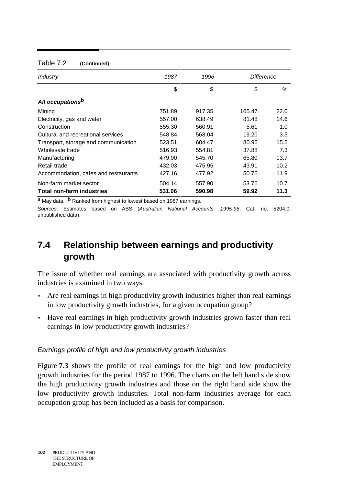#### Table 7.2 **(Continued)**

| <i>Industry</i>                      | 1987   | 1996   | Difference |      |
|--------------------------------------|--------|--------|------------|------|
|                                      | \$     | \$     | \$         | $\%$ |
| All occupationsb                     |        |        |            |      |
| Mining                               | 751.89 | 917.35 | 165.47     | 22.0 |
| Electricity, gas and water           | 557.00 | 638.49 | 81.48      | 14.6 |
| Construction                         | 555.30 | 560.91 | 5.61       | 1.0  |
| Cultural and recreational services   | 548.84 | 568.04 | 19.20      | 3.5  |
| Transport, storage and communication | 523.51 | 604.47 | 80.96      | 15.5 |
| Wholesale trade                      | 516.93 | 554.81 | 37.88      | 7.3  |
| Manufacturing                        | 479.90 | 545.70 | 65.80      | 13.7 |
| Retail trade                         | 432.03 | 475.95 | 43.91      | 10.2 |
| Accommodation, cafes and restaurants | 427.16 | 477.92 | 50.76      | 11.9 |
| Non-farm market sector               | 504.14 | 557.90 | 53.76      | 10.7 |
| <b>Total non-farm industries</b>     | 531.06 | 590.98 | 59.92      | 11.3 |

**a** May data. **b** Ranked from highest to lowest based on 1987 earnings.

Sources: Estimates based on ABS (Australian National Accounts, 1995-96, Cat. no. 5204.0; unpublished data).

# **7.4 Relationship between earnings and productivity growth**

The issue of whether real earnings are associated with productivity growth across industries is examined in two ways.

- Are real earnings in high productivity growth industries higher than real earnings in low productivity growth industries, for a given occupation group?
- Have real earnings in high productivity growth industries grown faster than real earnings in low productivity growth industries?

### Earnings profile of high and low productivity growth industries

Figure **7**.**3** shows the profile of real earnings for the high and low productivity growth industries for the period 1987 to 1996. The charts on the left hand side show the high productivity growth industries and those on the right hand side show the low productivity growth industries. Total non-farm industries average for each occupation group has been included as a basis for comparison.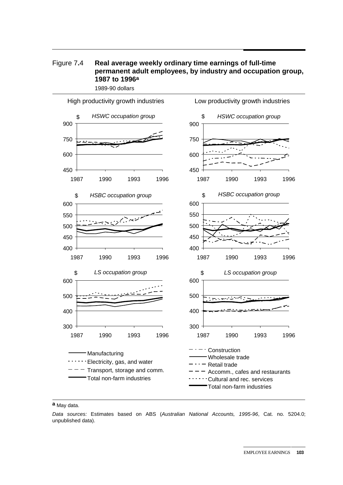#### Figure 7**.**4 **Real average weekly ordinary time earnings of full-time permanent adult employees, by industry and occupation group, 1987 to 1996a**

1989-90 dollars



#### **a** May data.

Data sources: Estimates based on ABS (Australian National Accounts, 1995-96, Cat. no. 5204.0; unpublished data).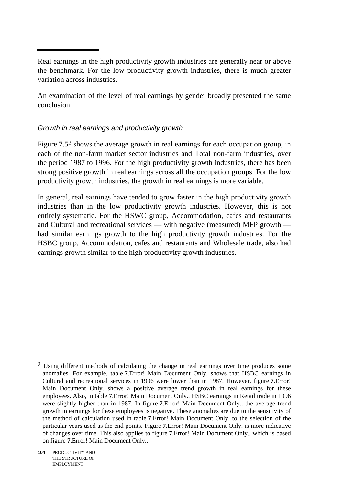Real earnings in the high productivity growth industries are generally near or above the benchmark. For the low productivity growth industries, there is much greater variation across industries.

An examination of the level of real earnings by gender broadly presented the same conclusion.

### Growth in real earnings and productivity growth

Figure **7**.**5**2 shows the average growth in real earnings for each occupation group, in each of the non-farm market sector industries and Total non-farm industries, over the period 1987 to 1996. For the high productivity growth industries, there has been strong positive growth in real earnings across all the occupation groups. For the low productivity growth industries, the growth in real earnings is more variable.

In general, real earnings have tended to grow faster in the high productivity growth industries than in the low productivity growth industries. However, this is not entirely systematic. For the HSWC group, Accommodation, cafes and restaurants and Cultural and recreational services — with negative (measured) MFP growth had similar earnings growth to the high productivity growth industries. For the HSBC group, Accommodation, cafes and restaurants and Wholesale trade, also had earnings growth similar to the high productivity growth industries.

-

<sup>2</sup> Using different methods of calculating the change in real earnings over time produces some anomalies. For example, table **7**.Error! Main Document Only. shows that HSBC earnings in Cultural and recreational services in 1996 were lower than in 1987. However, figure **7**.Error! Main Document Only. shows a positive average trend growth in real earnings for these employees. Also, in table **7**.Error! Main Document Only., HSBC earnings in Retail trade in 1996 were slightly higher than in 1987. In figure **7**.Error! Main Document Only., the average trend growth in earnings for these employees is negative. These anomalies are due to the sensitivity of the method of calculation used in table **7**.Error! Main Document Only. to the selection of the particular years used as the end points. Figure **7**.Error! Main Document Only. is more indicative of changes over time. This also applies to figure **7**.Error! Main Document Only., which is based on figure **7**.Error! Main Document Only..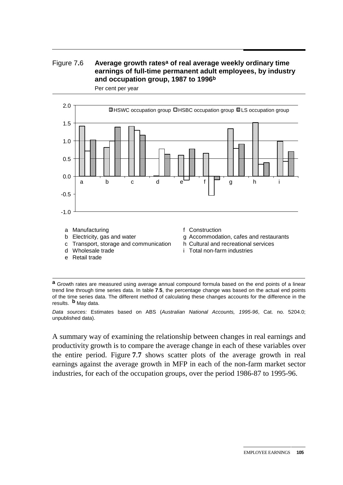### Figure 7**.**6 **Average growth ratesa of real average weekly ordinary time earnings of full-time permanent adult employees, by industry and occupation group, 1987 to 1996b**

Per cent per year



- b Electricity, gas and water
- c Transport, storage and communication
- d Wholesale trade
- e Retail trade
- f Construction
- g Accommodation, cafes and restaurants
- h Cultural and recreational services
- i Total non-farm industries

**a** Growth rates are measured using average annual compound formula based on the end points of a linear trend line through time series data. In table **7**.**5**, the percentage change was based on the actual end points of the time series data. The different method of calculating these changes accounts for the difference in the results. **b** May data.

Data sources: Estimates based on ABS (Australian National Accounts, 1995-96, Cat. no. 5204.0; unpublished data).

A summary way of examining the relationship between changes in real earnings and productivity growth is to compare the average change in each of these variables over the entire period. Figure **7**.**7** shows scatter plots of the average growth in real earnings against the average growth in MFP in each of the non-farm market sector industries, for each of the occupation groups, over the period 1986-87 to 1995-96.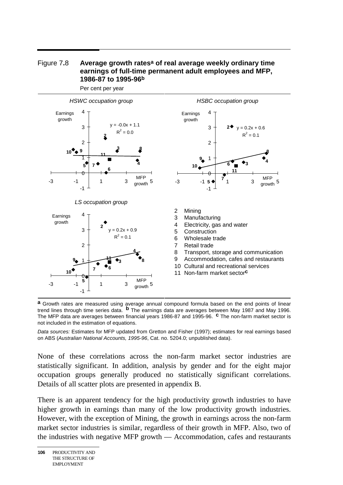#### Figure 7**.**8 **Average growth ratesa of real average weekly ordinary time earnings of full-time permanent adult employees and MFP, 1986-87 to 1995-96b**



**a** Growth rates are measured using average annual compound formula based on the end points of linear trend lines through time series data. **b** The earnings data are averages between May 1987 and May 1996. The MFP data are averages between financial years 1986-87 and 1995-96. **c** The non-farm market sector is not included in the estimation of equations.

Data sources: Estimates for MFP updated from Gretton and Fisher (1997); estimates for real earnings based on ABS (Australian National Accounts, 1995-96, Cat. no. 5204.0; unpublished data).

None of these correlations across the non-farm market sector industries are statistically significant. In addition, analysis by gender and for the eight major occupation groups generally produced no statistically significant correlations. Details of all scatter plots are presented in appendix B.

There is an apparent tendency for the high productivity growth industries to have higher growth in earnings than many of the low productivity growth industries. However, with the exception of Mining, the growth in earnings across the non-farm market sector industries is similar, regardless of their growth in MFP. Also, two of the industries with negative MFP growth — Accommodation, cafes and restaurants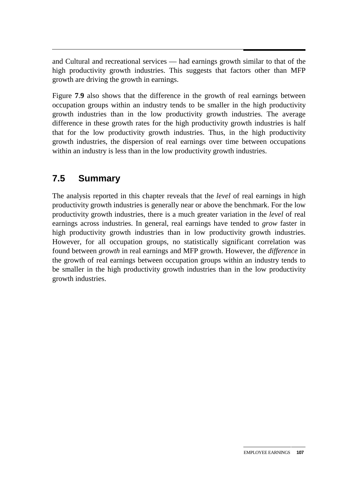and Cultural and recreational services — had earnings growth similar to that of the high productivity growth industries. This suggests that factors other than MFP growth are driving the growth in earnings.

Figure **7**.**9** also shows that the difference in the growth of real earnings between occupation groups within an industry tends to be smaller in the high productivity growth industries than in the low productivity growth industries. The average difference in these growth rates for the high productivity growth industries is half that for the low productivity growth industries. Thus, in the high productivity growth industries, the dispersion of real earnings over time between occupations within an industry is less than in the low productivity growth industries.

# **7.5 Summary**

The analysis reported in this chapter reveals that the *level* of real earnings in high productivity growth industries is generally near or above the benchmark. For the low productivity growth industries, there is a much greater variation in the *level* of real earnings across industries. In general, real earnings have tended to *grow* faster in high productivity growth industries than in low productivity growth industries. However, for all occupation groups, no statistically significant correlation was found between *growth* in real earnings and MFP growth. However, the *difference* in the growth of real earnings between occupation groups within an industry tends to be smaller in the high productivity growth industries than in the low productivity growth industries.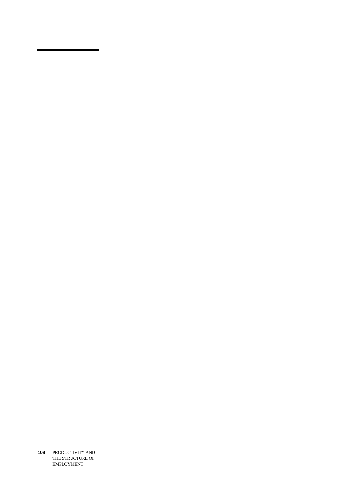**<sup>108</sup>** PRODUCTIVITY AND THE STRUCTURE OF EMPLOYMENT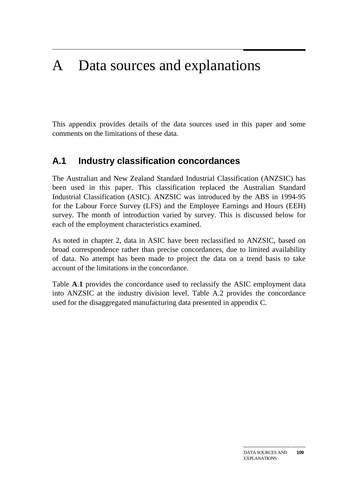# A Data sources and explanations

This appendix provides details of the data sources used in this paper and some comments on the limitations of these data.

# **A.1 Industry classification concordances**

The Australian and New Zealand Standard Industrial Classification (ANZSIC) has been used in this paper. This classification replaced the Australian Standard Industrial Classification (ASIC). ANZSIC was introduced by the ABS in 1994-95 for the Labour Force Survey (LFS) and the Employee Earnings and Hours (EEH) survey. The month of introduction varied by survey. This is discussed below for each of the employment characteristics examined.

As noted in chapter 2, data in ASIC have been reclassified to ANZSIC, based on broad correspondence rather than precise concordances, due to limited availability of data. No attempt has been made to project the data on a trend basis to take account of the limitations in the concordance.

Table **A**.**1** provides the concordance used to reclassify the ASIC employment data into ANZSIC at the industry division level. Table A.2 provides the concordance used for the disaggregated manufacturing data presented in appendix C.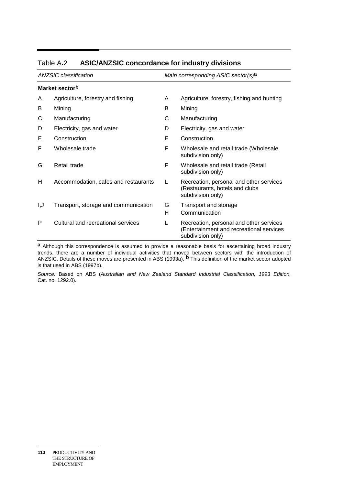| ANZSIC classification |                                      | Main corresponding ASIC sector(s) <sup>a</sup> |                                                                                                          |
|-----------------------|--------------------------------------|------------------------------------------------|----------------------------------------------------------------------------------------------------------|
|                       | Market sector <sup>b</sup>           |                                                |                                                                                                          |
| A                     | Agriculture, forestry and fishing    | A                                              | Agriculture, forestry, fishing and hunting                                                               |
| B                     | Mining                               | B                                              | Mining                                                                                                   |
| С                     | Manufacturing                        | С                                              | Manufacturing                                                                                            |
| D                     | Electricity, gas and water           | D                                              | Electricity, gas and water                                                                               |
| Е                     | Construction                         | Е                                              | Construction                                                                                             |
| F                     | Wholesale trade                      | F                                              | Wholesale and retail trade (Wholesale<br>subdivision only)                                               |
| G                     | Retail trade                         | F                                              | Wholesale and retail trade (Retail<br>subdivision only)                                                  |
| н                     | Accommodation, cafes and restaurants | L                                              | Recreation, personal and other services<br>(Restaurants, hotels and clubs<br>subdivision only)           |
| I,J                   | Transport, storage and communication | G<br>н                                         | Transport and storage<br>Communication                                                                   |
| P                     | Cultural and recreational services   | L                                              | Recreation, personal and other services<br>(Entertainment and recreational services<br>subdivision only) |

## Table A**.**2 **ASIC/ANZSIC concordance for industry divisions**

**a** Although this correspondence is assumed to provide a reasonable basis for ascertaining broad industry trends, there are a number of individual activities that moved between sectors with the introduction of ANZSIC. Details of these moves are presented in ABS (1993a). **b** This definition of the market sector adopted is that used in ABS (1997b).

Source: Based on ABS (Australian and New Zealand Standard Industrial Classification, 1993 Edition, Cat. no. 1292.0).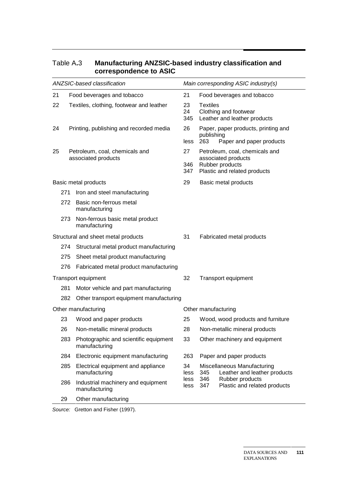| ANZSIC-based classification         |     | Main corresponding ASIC industry(s)                    |                           |                                                                                                          |
|-------------------------------------|-----|--------------------------------------------------------|---------------------------|----------------------------------------------------------------------------------------------------------|
| 21                                  |     | Food beverages and tobacco                             | 21                        | Food beverages and tobacco                                                                               |
| 22                                  |     | Textiles, clothing, footwear and leather               | 23<br>24<br>345           | <b>Textiles</b><br>Clothing and footwear<br>Leather and leather products                                 |
| 24                                  |     | Printing, publishing and recorded media                | 26<br>less                | Paper, paper products, printing and<br>publishing<br>263<br>Paper and paper products                     |
| 25                                  |     | Petroleum, coal, chemicals and<br>associated products  | 27<br>346<br>347          | Petroleum, coal, chemicals and<br>associated products<br>Rubber products<br>Plastic and related products |
|                                     |     | Basic metal products                                   | 29                        | Basic metal products                                                                                     |
|                                     | 271 | Iron and steel manufacturing                           |                           |                                                                                                          |
|                                     |     | 272 Basic non-ferrous metal<br>manufacturing           |                           |                                                                                                          |
|                                     | 273 | Non-ferrous basic metal product<br>manufacturing       |                           |                                                                                                          |
| Structural and sheet metal products |     | 31                                                     | Fabricated metal products |                                                                                                          |
|                                     |     | 274 Structural metal product manufacturing             |                           |                                                                                                          |
|                                     | 275 | Sheet metal product manufacturing                      |                           |                                                                                                          |
|                                     | 276 | Fabricated metal product manufacturing                 |                           |                                                                                                          |
|                                     |     | Transport equipment                                    | 32                        | Transport equipment                                                                                      |
|                                     | 281 | Motor vehicle and part manufacturing                   |                           |                                                                                                          |
|                                     | 282 | Other transport equipment manufacturing                |                           |                                                                                                          |
|                                     |     | Other manufacturing                                    |                           | Other manufacturing                                                                                      |
|                                     | 23  | Wood and paper products                                | 25                        | Wood, wood products and furniture                                                                        |
|                                     | 26  | Non-metallic mineral products                          | 28                        | Non-metallic mineral products                                                                            |
|                                     | 283 | Photographic and scientific equipment<br>manufacturing | 33                        | Other machinery and equipment                                                                            |
|                                     | 284 | Electronic equipment manufacturing                     | 263                       | Paper and paper products                                                                                 |
|                                     | 285 | Electrical equipment and appliance<br>manufacturing    | 34<br>less                | Miscellaneous Manufacturing<br>345<br>Leather and leather products                                       |
|                                     | 286 | Industrial machinery and equipment<br>manufacturing    | less<br>less              | 346<br>Rubber products<br>347<br>Plastic and related products                                            |
|                                     | 29  | Other manufacturing                                    |                           |                                                                                                          |
|                                     |     |                                                        |                           |                                                                                                          |

### Table A**.**3 **Manufacturing ANZSIC-based industry classification and correspondence to ASIC**

Source: Gretton and Fisher (1997).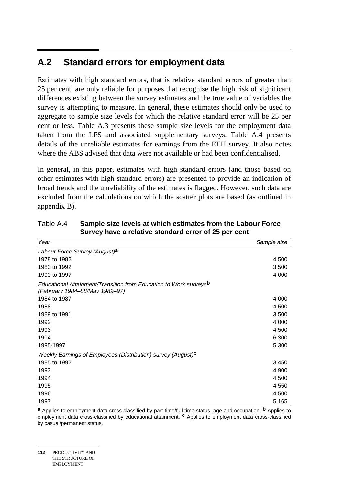# **A.2 Standard errors for employment data**

Estimates with high standard errors, that is relative standard errors of greater than 25 per cent, are only reliable for purposes that recognise the high risk of significant differences existing between the survey estimates and the true value of variables the survey is attempting to measure. In general, these estimates should only be used to aggregate to sample size levels for which the relative standard error will be 25 per cent or less. Table A.3 presents these sample size levels for the employment data taken from the LFS and associated supplementary surveys. Table A.4 presents details of the unreliable estimates for earnings from the EEH survey. It also notes where the ABS advised that data were not available or had been confidentialised.

In general, in this paper, estimates with high standard errors (and those based on other estimates with high standard errors) are presented to provide an indication of broad trends and the unreliability of the estimates is flagged. However, such data are excluded from the calculations on which the scatter plots are based (as outlined in appendix B).

| Year                                                                                                            | Sample size |
|-----------------------------------------------------------------------------------------------------------------|-------------|
| Labour Force Survey (August) <sup>a</sup>                                                                       |             |
| 1978 to 1982                                                                                                    | 4 500       |
| 1983 to 1992                                                                                                    | 3500        |
| 1993 to 1997                                                                                                    | 4 0 0 0     |
| Educational Attainment/Transition from Education to Work surveys <sup>b</sup><br>(February 1984–88/May 1989–97) |             |
| 1984 to 1987                                                                                                    | 4 0 0 0     |
| 1988                                                                                                            | 4 500       |
| 1989 to 1991                                                                                                    | 3500        |
| 1992                                                                                                            | 4 0 0 0     |
| 1993                                                                                                            | 4 500       |
| 1994                                                                                                            | 6 300       |
| 1995-1997                                                                                                       | 5 300       |
| Weekly Earnings of Employees (Distribution) survey (August) <sup>c</sup>                                        |             |
| 1985 to 1992                                                                                                    | 3 4 5 0     |
| 1993                                                                                                            | 4 900       |
| 1994                                                                                                            | 4 500       |
| 1995                                                                                                            | 4 5 5 0     |
| 1996                                                                                                            | 4 500       |
| 1997                                                                                                            | 5 1 6 5     |

Table A**.**4 **Sample size levels at which estimates from the Labour Force Survey have a relative standard error of 25 per cent**

**a** Applies to employment data cross-classified by part-time/full-time status, age and occupation. **b** Applies to employment data cross-classified by educational attainment. **c** Applies to employment data cross-classified by casual/permanent status.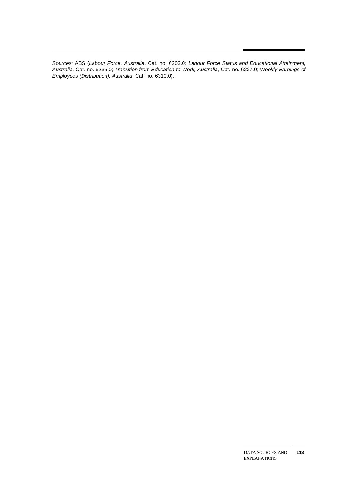Sources: ABS (Labour Force, Australia, Cat. no. 6203.0; Labour Force Status and Educational Attainment, Australia, Cat. no. 6235.0; Transition from Education to Work, Australia, Cat. no. 6227.0; Weekly Earnings of Employees (Distribution), Australia, Cat. no. 6310.0).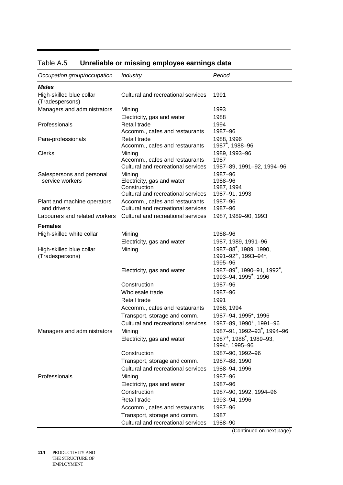| Occupation group/occupation                  | <b>Industry</b>                                                                            | Period                                                                                   |
|----------------------------------------------|--------------------------------------------------------------------------------------------|------------------------------------------------------------------------------------------|
| <b>Males</b>                                 |                                                                                            |                                                                                          |
| High-skilled blue collar<br>(Tradespersons)  | Cultural and recreational services                                                         | 1991                                                                                     |
| Managers and administrators                  | Mining                                                                                     | 1993                                                                                     |
|                                              | Electricity, gas and water                                                                 | 1988                                                                                     |
| Professionals                                | Retail trade<br>Accomm., cafes and restaurants                                             | 1994<br>1987-96                                                                          |
| Para-professionals                           | Retail trade<br>Accomm., cafes and restaurants                                             | 1988, 1996<br>1987, 1988-96                                                              |
| <b>Clerks</b>                                | Mining<br>Accomm., cafes and restaurants<br>Cultural and recreational services             | 1989, 1993-96<br>1987<br>1987-89, 1991-92, 1994-96                                       |
| Salespersons and personal<br>service workers | Mining<br>Electricity, gas and water<br>Construction<br>Cultural and recreational services | 1987-96<br>1988-96<br>1987, 1994<br>1987-91, 1993                                        |
| Plant and machine operators<br>and drivers   | Accomm., cafes and restaurants<br>Cultural and recreational services                       | 1987-96<br>1987-96                                                                       |
| Labourers and related workers                | Cultural and recreational services                                                         | 1987, 1989-90, 1993                                                                      |
| <b>Females</b>                               |                                                                                            |                                                                                          |
| High-skilled white collar                    | Mining                                                                                     | 1988-96                                                                                  |
|                                              | Electricity, gas and water                                                                 | 1987, 1989, 1991-96                                                                      |
| High-skilled blue collar<br>(Tradespersons)  | Mining                                                                                     | 1987-88 <sup>*</sup> , 1989, 1990,<br>1991-92+, 1993-94*,<br>1995-96                     |
|                                              | Electricity, gas and water                                                                 | 1987-89 <sup>*</sup> , 1990-91, 1992 <sup>*</sup> ,<br>1993-94, 1995 <sup>*</sup> , 1996 |
|                                              | Construction                                                                               | 1987-96                                                                                  |
|                                              | Wholesale trade                                                                            | 1987-96                                                                                  |
|                                              | Retail trade                                                                               | 1991                                                                                     |
|                                              | Accomm., cafes and restaurants                                                             | 1988, 1994                                                                               |
|                                              | Transport, storage and comm.                                                               | 1987-94, 1995*, 1996                                                                     |
|                                              | Cultural and recreational services                                                         | 1987-89, 1990+, 1991-96                                                                  |
| Managers and administrators                  | Mining                                                                                     | 1987-91, 1992-93 <sup>*</sup> , 1994-96                                                  |
|                                              | Electricity, gas and water                                                                 | 1987+, 1988 <sup>*</sup> , 1989–93,<br>1994*, 1995-96                                    |
|                                              | Construction                                                                               | 1987-90, 1992-96                                                                         |
|                                              | Transport, storage and comm.                                                               | 1987-88, 1990                                                                            |
|                                              | Cultural and recreational services                                                         | 1988-94, 1996                                                                            |
| Professionals                                | Mining                                                                                     | 1987-96                                                                                  |
|                                              | Electricity, gas and water                                                                 | 1987-96                                                                                  |
|                                              | Construction                                                                               | 1987-90, 1992, 1994-96                                                                   |
|                                              | Retail trade                                                                               | 1993-94, 1996                                                                            |
|                                              | Accomm., cafes and restaurants                                                             | 1987-96                                                                                  |
|                                              | Transport, storage and comm.                                                               | 1987                                                                                     |
|                                              | Cultural and recreational services                                                         | 1988-90                                                                                  |

# Table A**.**5 **Unreliable or missing employee earnings data**

(Continued on next page)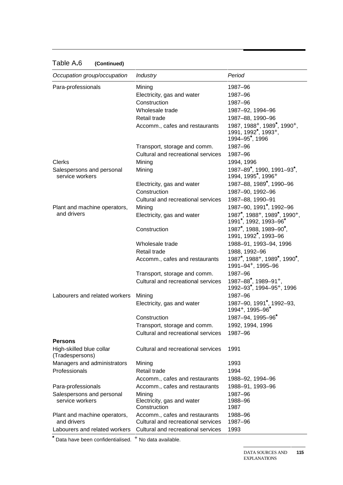| Occupation group/occupation                  | <b>Industry</b>                                                      | Period                                                                                                                               |
|----------------------------------------------|----------------------------------------------------------------------|--------------------------------------------------------------------------------------------------------------------------------------|
| Para-professionals                           | Mining                                                               | 1987-96                                                                                                                              |
|                                              | Electricity, gas and water                                           | 1987-96                                                                                                                              |
|                                              | Construction                                                         | 1987-96                                                                                                                              |
|                                              | Wholesale trade                                                      | 1987-92, 1994-96                                                                                                                     |
|                                              | Retail trade                                                         | 1987-88, 1990-96                                                                                                                     |
|                                              | Accomm., cafes and restaurants                                       | 1987, 1988 <sup>+</sup> , 1989 <sup>*</sup> , 1990 <sup>+</sup> ,<br>1991, 1992 <sup>*</sup> , 1993 <sup>+</sup> ,<br>1994-95*, 1996 |
|                                              | Transport, storage and comm.                                         | 1987-96                                                                                                                              |
|                                              | Cultural and recreational services                                   | 1987-96                                                                                                                              |
| <b>Clerks</b>                                | Mining                                                               | 1994, 1996                                                                                                                           |
| Salespersons and personal<br>service workers | Mining                                                               | 1987-89 <sup>*</sup> , 1990, 1991-93 <sup>*</sup> ,<br>1994, 1995 <sup>*</sup> , 1996 <sup>+</sup>                                   |
|                                              | Electricity, gas and water                                           | 1987-88, 1989 <sup>*</sup> , 1990-96                                                                                                 |
|                                              | Construction                                                         | 1987-90, 1992-96                                                                                                                     |
|                                              | Cultural and recreational services                                   | 1987-88, 1990-91                                                                                                                     |
| Plant and machine operators,                 | Mining                                                               | 1987-90, 1991 <sup>*</sup> , 1992-96                                                                                                 |
| and drivers                                  | Electricity, gas and water                                           | 1987*, 1988+, 1989*, 1990+,<br>1991, 1992, 1993-96*                                                                                  |
|                                              | Construction                                                         | 1987 <sup>*</sup> , 1988, 1989-90 <sup>*</sup> ,<br>1991, 1992 <sup>*</sup> , 1993-96                                                |
|                                              | Wholesale trade                                                      | 1988-91, 1993-94, 1996                                                                                                               |
|                                              | Retail trade                                                         | 1988, 1992-96                                                                                                                        |
|                                              | Accomm., cafes and restaurants                                       | 1987 <sup>*</sup> , 1988 <sup>+</sup> , 1989 <sup>*</sup> , 1990 <sup>*</sup> ,<br>1991-94+, 1995-96                                 |
|                                              | Transport, storage and comm.                                         | 1987-96                                                                                                                              |
|                                              | Cultural and recreational services                                   | 1987–88 <sup>*</sup> , 1989–91 <sup>+</sup> ,<br>1992–93 <sup>*</sup> , 1994–95 <sup>+</sup> , 1996                                  |
| Labourers and related workers                | Mining                                                               | 1987-96                                                                                                                              |
|                                              | Electricity, gas and water                                           | 1987-90, 1991, 1992-93,<br>1994+, 1995-96*                                                                                           |
|                                              | Construction                                                         | 1987-94, 1995-96*                                                                                                                    |
|                                              | Transport, storage and comm.                                         | 1992, 1994, 1996                                                                                                                     |
|                                              | Cultural and recreational services                                   | 1987-96                                                                                                                              |
| <b>Persons</b>                               |                                                                      |                                                                                                                                      |
| High-skilled blue collar<br>(Tradespersons)  | Cultural and recreational services                                   | 1991                                                                                                                                 |
| Managers and administrators                  | Mining                                                               | 1993                                                                                                                                 |
| Professionals                                | Retail trade                                                         | 1994                                                                                                                                 |
|                                              | Accomm., cafes and restaurants                                       | 1988-92, 1994-96                                                                                                                     |
| Para-professionals                           | Accomm., cafes and restaurants                                       | 1988-91, 1993-96                                                                                                                     |
| Salespersons and personal                    | Mining                                                               | 1987-96                                                                                                                              |
| service workers                              | Electricity, gas and water                                           | 1988-96                                                                                                                              |
|                                              | Construction                                                         | 1987<br>1988-96                                                                                                                      |
| Plant and machine operators,<br>and drivers  | Accomm., cafes and restaurants<br>Cultural and recreational services | 1987-96                                                                                                                              |
| Labourers and related workers                | Cultural and recreational services                                   | 1993                                                                                                                                 |

## Table A**.**6 **(Continued)**

**\*** Data have been confidentialised. + No data available.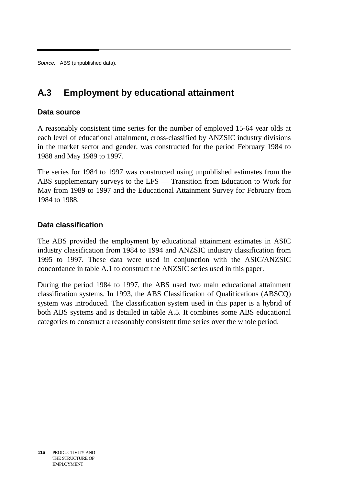Source: ABS (unpublished data).

# **A.3 Employment by educational attainment**

### **Data source**

A reasonably consistent time series for the number of employed 15-64 year olds at each level of educational attainment, cross-classified by ANZSIC industry divisions in the market sector and gender, was constructed for the period February 1984 to 1988 and May 1989 to 1997.

The series for 1984 to 1997 was constructed using unpublished estimates from the ABS supplementary surveys to the LFS — Transition from Education to Work for May from 1989 to 1997 and the Educational Attainment Survey for February from 1984 to 1988.

### **Data classification**

The ABS provided the employment by educational attainment estimates in ASIC industry classification from 1984 to 1994 and ANZSIC industry classification from 1995 to 1997. These data were used in conjunction with the ASIC/ANZSIC concordance in table A.1 to construct the ANZSIC series used in this paper.

During the period 1984 to 1997, the ABS used two main educational attainment classification systems. In 1993, the ABS Classification of Qualifications (ABSCQ) system was introduced. The classification system used in this paper is a hybrid of both ABS systems and is detailed in table A.5. It combines some ABS educational categories to construct a reasonably consistent time series over the whole period.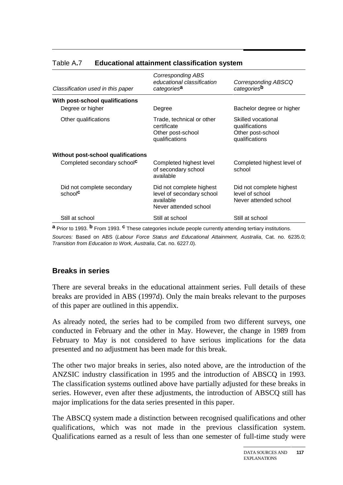| Classification used in this paper                 | <b>Corresponding ABS</b><br>educational classification<br>categories <sup>a</sup>           | <b>Corresponding ABSCQ</b><br>categories <sup>b</sup>                       |
|---------------------------------------------------|---------------------------------------------------------------------------------------------|-----------------------------------------------------------------------------|
| With post-school qualifications                   |                                                                                             |                                                                             |
| Degree or higher                                  | Degree                                                                                      | Bachelor degree or higher                                                   |
| Other qualifications                              | Trade, technical or other<br>certificate<br>Other post-school<br>qualifications             | Skilled vocational<br>qualifications<br>Other post-school<br>qualifications |
| Without post-school qualifications                |                                                                                             |                                                                             |
| Completed secondary school <sup>c</sup>           | Completed highest level<br>of secondary school<br>available                                 | Completed highest level of<br>school                                        |
| Did not complete secondary<br>school <sup>c</sup> | Did not complete highest<br>level of secondary school<br>available<br>Never attended school | Did not complete highest<br>level of school<br>Never attended school        |
| Still at school                                   | Still at school                                                                             | Still at school                                                             |

#### Table A**.**7 **Educational attainment classification system**

**a** Prior to 1993. **b** From 1993. **c** These categories include people currently attending tertiary institutions.

Sources: Based on ABS (Labour Force Status and Educational Attainment, Australia, Cat. no. 6235.0; Transition from Education to Work, Australia, Cat. no. 6227.0).

### **Breaks in series**

There are several breaks in the educational attainment series. Full details of these breaks are provided in ABS (1997d). Only the main breaks relevant to the purposes of this paper are outlined in this appendix.

As already noted, the series had to be compiled from two different surveys, one conducted in February and the other in May. However, the change in 1989 from February to May is not considered to have serious implications for the data presented and no adjustment has been made for this break.

The other two major breaks in series, also noted above, are the introduction of the ANZSIC industry classification in 1995 and the introduction of ABSCQ in 1993. The classification systems outlined above have partially adjusted for these breaks in series. However, even after these adjustments, the introduction of ABSCQ still has major implications for the data series presented in this paper.

The ABSCQ system made a distinction between recognised qualifications and other qualifications, which was not made in the previous classification system. Qualifications earned as a result of less than one semester of full-time study were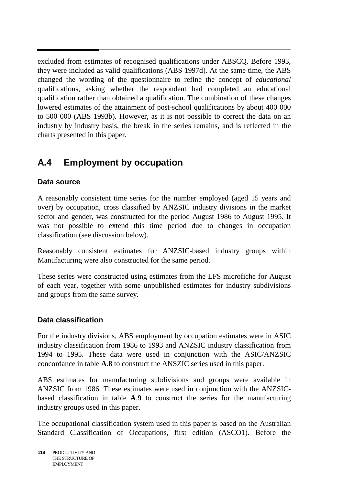excluded from estimates of recognised qualifications under ABSCQ. Before 1993, they were included as valid qualifications (ABS 1997d). At the same time, the ABS changed the wording of the questionnaire to refine the concept of *educational* qualifications, asking whether the respondent had completed an educational qualification rather than obtained a qualification. The combination of these changes lowered estimates of the attainment of post-school qualifications by about 400 000 to 500 000 (ABS 1993b). However, as it is not possible to correct the data on an industry by industry basis, the break in the series remains, and is reflected in the charts presented in this paper.

# **A.4 Employment by occupation**

### **Data source**

A reasonably consistent time series for the number employed (aged 15 years and over) by occupation, cross classified by ANZSIC industry divisions in the market sector and gender, was constructed for the period August 1986 to August 1995. It was not possible to extend this time period due to changes in occupation classification (see discussion below).

Reasonably consistent estimates for ANZSIC-based industry groups within Manufacturing were also constructed for the same period.

These series were constructed using estimates from the LFS microfiche for August of each year, together with some unpublished estimates for industry subdivisions and groups from the same survey.

### **Data classification**

For the industry divisions, ABS employment by occupation estimates were in ASIC industry classification from 1986 to 1993 and ANZSIC industry classification from 1994 to 1995. These data were used in conjunction with the ASIC/ANZSIC concordance in table **A**.**8** to construct the ANSZIC series used in this paper.

ABS estimates for manufacturing subdivisions and groups were available in ANZSIC from 1986. These estimates were used in conjunction with the ANZSICbased classification in table **A**.**9** to construct the series for the manufacturing industry groups used in this paper.

The occupational classification system used in this paper is based on the Australian Standard Classification of Occupations, first edition (ASCO1). Before the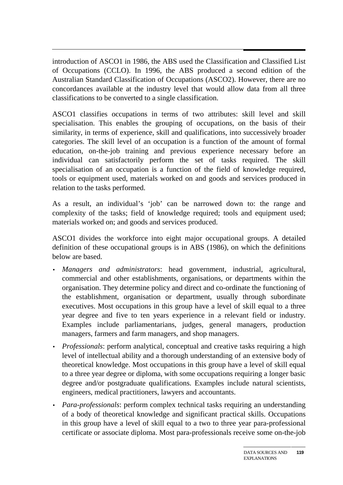introduction of ASCO1 in 1986, the ABS used the Classification and Classified List of Occupations (CCLO). In 1996, the ABS produced a second edition of the Australian Standard Classification of Occupations (ASCO2). However, there are no concordances available at the industry level that would allow data from all three classifications to be converted to a single classification.

ASCO1 classifies occupations in terms of two attributes: skill level and skill specialisation. This enables the grouping of occupations, on the basis of their similarity, in terms of experience, skill and qualifications, into successively broader categories. The skill level of an occupation is a function of the amount of formal education, on-the-job training and previous experience necessary before an individual can satisfactorily perform the set of tasks required. The skill specialisation of an occupation is a function of the field of knowledge required, tools or equipment used, materials worked on and goods and services produced in relation to the tasks performed.

As a result, an individual's 'job' can be narrowed down to: the range and complexity of the tasks; field of knowledge required; tools and equipment used; materials worked on; and goods and services produced.

ASCO1 divides the workforce into eight major occupational groups. A detailed definition of these occupational groups is in ABS (1986), on which the definitions below are based.

- *Managers and administrators*: head government, industrial, agricultural, commercial and other establishments, organisations, or departments within the organisation. They determine policy and direct and co-ordinate the functioning of the establishment, organisation or department, usually through subordinate executives. Most occupations in this group have a level of skill equal to a three year degree and five to ten years experience in a relevant field or industry. Examples include parliamentarians, judges, general managers, production managers, farmers and farm managers, and shop managers.
- *Professionals:* perform analytical, conceptual and creative tasks requiring a high level of intellectual ability and a thorough understanding of an extensive body of theoretical knowledge. Most occupations in this group have a level of skill equal to a three year degree or diploma, with some occupations requiring a longer basic degree and/or postgraduate qualifications. Examples include natural scientists, engineers, medical practitioners, lawyers and accountants.
- *Para-professionals*: perform complex technical tasks requiring an understanding of a body of theoretical knowledge and significant practical skills. Occupations in this group have a level of skill equal to a two to three year para-professional certificate or associate diploma. Most para-professionals receive some on-the-job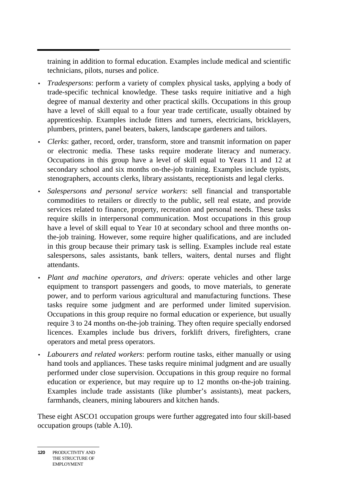training in addition to formal education. Examples include medical and scientific technicians, pilots, nurses and police.

- *Tradespersons*: perform a variety of complex physical tasks, applying a body of trade-specific technical knowledge. These tasks require initiative and a high degree of manual dexterity and other practical skills. Occupations in this group have a level of skill equal to a four year trade certificate, usually obtained by apprenticeship. Examples include fitters and turners, electricians, bricklayers, plumbers, printers, panel beaters, bakers, landscape gardeners and tailors.
- *Clerks*: gather, record, order, transform, store and transmit information on paper or electronic media. These tasks require moderate literacy and numeracy. Occupations in this group have a level of skill equal to Years 11 and 12 at secondary school and six months on-the-job training. Examples include typists, stenographers, accounts clerks, library assistants, receptionists and legal clerks.
- *Salespersons and personal service workers*: sell financial and transportable commodities to retailers or directly to the public, sell real estate, and provide services related to finance, property, recreation and personal needs. These tasks require skills in interpersonal communication. Most occupations in this group have a level of skill equal to Year 10 at secondary school and three months onthe-job training. However, some require higher qualifications, and are included in this group because their primary task is selling. Examples include real estate salespersons, sales assistants, bank tellers, waiters, dental nurses and flight attendants.
- *Plant and machine operators, and drivers*: operate vehicles and other large equipment to transport passengers and goods, to move materials, to generate power, and to perform various agricultural and manufacturing functions. These tasks require some judgment and are performed under limited supervision. Occupations in this group require no formal education or experience, but usually require 3 to 24 months on-the-job training. They often require specially endorsed licences. Examples include bus drivers, forklift drivers, firefighters, crane operators and metal press operators.
- *Labourers and related workers*: perform routine tasks, either manually or using hand tools and appliances. These tasks require minimal judgment and are usually performed under close supervision. Occupations in this group require no formal education or experience, but may require up to 12 months on-the-job training. Examples include trade assistants (like plumber's assistants), meat packers, farmhands, cleaners, mining labourers and kitchen hands.

These eight ASCO1 occupation groups were further aggregated into four skill-based occupation groups (table A.10).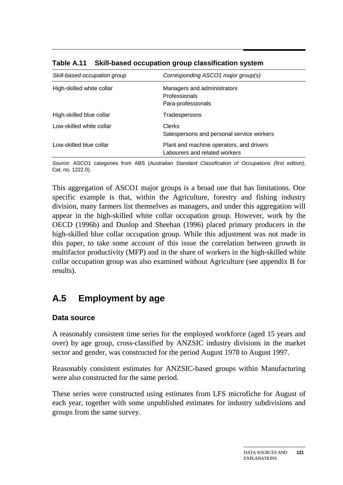| Skill-based occupation group | Corresponding ASCO1 major group(s)                                        |
|------------------------------|---------------------------------------------------------------------------|
| High-skilled white collar    | Managers and administrators<br>Professionals<br>Para-professionals        |
| High-skilled blue collar     | Tradespersons                                                             |
| Low-skilled white collar     | <b>Clerks</b><br>Salespersons and personal service workers                |
| Low-skilled blue collar      | Plant and machine operators, and drivers<br>Labourers and related workers |

**Table A.11 Skill-based occupation group classification system**

Source: ASCO1 categories from ABS (Australian Standard Classification of Occupations (first edition), Cat. no. 1222.0).

This aggregation of ASCO1 major groups is a broad one that has limitations. One specific example is that, within the Agriculture, forestry and fishing industry division, many farmers list themselves as managers, and under this aggregation will appear in the high-skilled white collar occupation group. However, work by the OECD (1996b) and Dunlop and Sheehan (1996) placed primary producers in the high-skilled blue collar occupation group. While this adjustment was not made in this paper, to take some account of this issue the correlation between growth in multifactor productivity (MFP) and in the share of workers in the high-skilled white collar occupation group was also examined without Agriculture (see appendix B for results).

# **A.5 Employment by age**

### **Data source**

A reasonably consistent time series for the employed workforce (aged 15 years and over) by age group, cross-classified by ANZSIC industry divisions in the market sector and gender, was constructed for the period August 1978 to August 1997.

Reasonably consistent estimates for ANZSIC-based groups within Manufacturing were also constructed for the same period.

These series were constructed using estimates from LFS microfiche for August of each year, together with some unpublished estimates for industry subdivisions and groups from the same survey.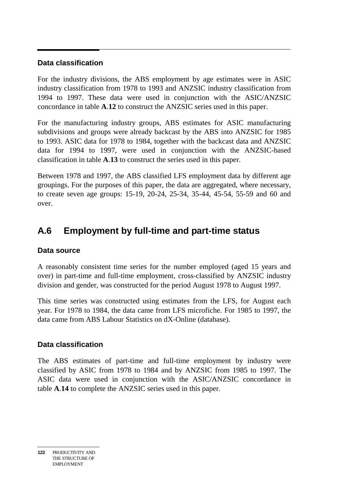### **Data classification**

For the industry divisions, the ABS employment by age estimates were in ASIC industry classification from 1978 to 1993 and ANZSIC industry classification from 1994 to 1997. These data were used in conjunction with the ASIC/ANZSIC concordance in table **A**.**12** to construct the ANZSIC series used in this paper.

For the manufacturing industry groups, ABS estimates for ASIC manufacturing subdivisions and groups were already backcast by the ABS into ANZSIC for 1985 to 1993. ASIC data for 1978 to 1984, together with the backcast data and ANZSIC data for 1994 to 1997, were used in conjunction with the ANZSIC-based classification in table **A**.**13** to construct the series used in this paper.

Between 1978 and 1997, the ABS classified LFS employment data by different age groupings. For the purposes of this paper, the data are aggregated, where necessary, to create seven age groups: 15-19, 20-24, 25-34, 35-44, 45-54, 55-59 and 60 and over.

# **A.6 Employment by full-time and part-time status**

### **Data source**

A reasonably consistent time series for the number employed (aged 15 years and over) in part-time and full-time employment, cross-classified by ANZSIC industry division and gender, was constructed for the period August 1978 to August 1997.

This time series was constructed using estimates from the LFS, for August each year. For 1978 to 1984, the data came from LFS microfiche. For 1985 to 1997, the data came from ABS Labour Statistics on dX-Online (database).

### **Data classification**

The ABS estimates of part-time and full-time employment by industry were classified by ASIC from 1978 to 1984 and by ANZSIC from 1985 to 1997. The ASIC data were used in conjunction with the ASIC/ANZSIC concordance in table **A**.**14** to complete the ANZSIC series used in this paper.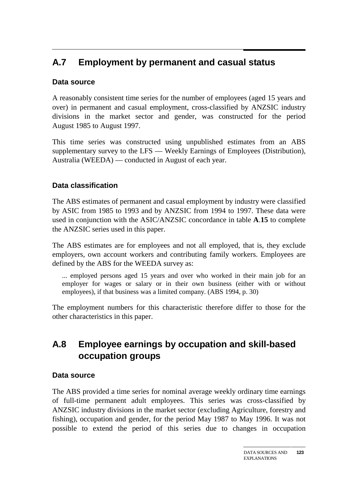# **A.7 Employment by permanent and casual status**

### **Data source**

A reasonably consistent time series for the number of employees (aged 15 years and over) in permanent and casual employment, cross-classified by ANZSIC industry divisions in the market sector and gender, was constructed for the period August 1985 to August 1997.

This time series was constructed using unpublished estimates from an ABS supplementary survey to the LFS — Weekly Earnings of Employees (Distribution), Australia (WEEDA) — conducted in August of each year.

### **Data classification**

The ABS estimates of permanent and casual employment by industry were classified by ASIC from 1985 to 1993 and by ANZSIC from 1994 to 1997. These data were used in conjunction with the ASIC/ANZSIC concordance in table **A**.**15** to complete the ANZSIC series used in this paper.

The ABS estimates are for employees and not all employed, that is, they exclude employers, own account workers and contributing family workers. Employees are defined by the ABS for the WEEDA survey as:

... employed persons aged 15 years and over who worked in their main job for an employer for wages or salary or in their own business (either with or without employees), if that business was a limited company. (ABS 1994, p. 30)

The employment numbers for this characteristic therefore differ to those for the other characteristics in this paper.

# **A.8 Employee earnings by occupation and skill-based occupation groups**

### **Data source**

The ABS provided a time series for nominal average weekly ordinary time earnings of full-time permanent adult employees. This series was cross-classified by ANZSIC industry divisions in the market sector (excluding Agriculture, forestry and fishing), occupation and gender, for the period May 1987 to May 1996. It was not possible to extend the period of this series due to changes in occupation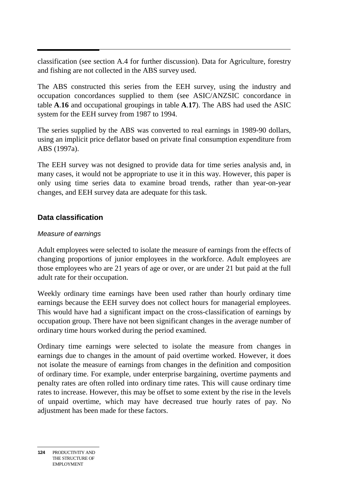classification (see section A.4 for further discussion). Data for Agriculture, forestry and fishing are not collected in the ABS survey used.

The ABS constructed this series from the EEH survey, using the industry and occupation concordances supplied to them (see ASIC/ANZSIC concordance in table **A**.**16** and occupational groupings in table **A**.**17**). The ABS had used the ASIC system for the EEH survey from 1987 to 1994.

The series supplied by the ABS was converted to real earnings in 1989-90 dollars, using an implicit price deflator based on private final consumption expenditure from ABS (1997a).

The EEH survey was not designed to provide data for time series analysis and, in many cases, it would not be appropriate to use it in this way. However, this paper is only using time series data to examine broad trends, rather than year-on-year changes, and EEH survey data are adequate for this task.

### **Data classification**

### Measure of earnings

Adult employees were selected to isolate the measure of earnings from the effects of changing proportions of junior employees in the workforce. Adult employees are those employees who are 21 years of age or over, or are under 21 but paid at the full adult rate for their occupation.

Weekly ordinary time earnings have been used rather than hourly ordinary time earnings because the EEH survey does not collect hours for managerial employees. This would have had a significant impact on the cross-classification of earnings by occupation group. There have not been significant changes in the average number of ordinary time hours worked during the period examined.

Ordinary time earnings were selected to isolate the measure from changes in earnings due to changes in the amount of paid overtime worked. However, it does not isolate the measure of earnings from changes in the definition and composition of ordinary time. For example, under enterprise bargaining, overtime payments and penalty rates are often rolled into ordinary time rates. This will cause ordinary time rates to increase. However, this may be offset to some extent by the rise in the levels of unpaid overtime, which may have decreased true hourly rates of pay. No adjustment has been made for these factors.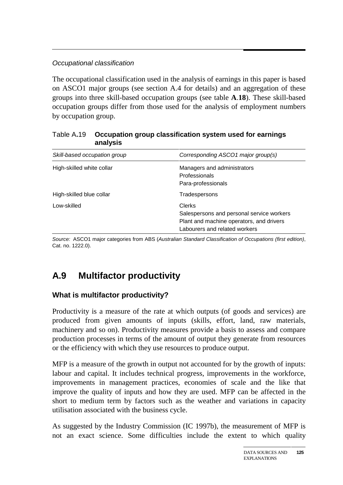### Occupational classification

The occupational classification used in the analysis of earnings in this paper is based on ASCO1 major groups (see section A.4 for details) and an aggregation of these groups into three skill-based occupation groups (see table **A**.**18**). These skill-based occupation groups differ from those used for the analysis of employment numbers by occupation group.

| analysis                     |                                                                                                                                  |
|------------------------------|----------------------------------------------------------------------------------------------------------------------------------|
| Skill-based occupation group | Corresponding ASCO1 major group(s)                                                                                               |
| High-skilled white collar    | Managers and administrators<br>Professionals<br>Para-professionals                                                               |
| High-skilled blue collar     | Tradespersons                                                                                                                    |
| Low-skilled                  | Clerks<br>Salespersons and personal service workers<br>Plant and machine operators, and drivers<br>Labourers and related workers |

Table A**.**19 **Occupation group classification system used for earnings analysis**

Source: ASCO1 major categories from ABS (Australian Standard Classification of Occupations (first edition), Cat. no. 1222.0).

# **A.9 Multifactor productivity**

### **What is multifactor productivity?**

Productivity is a measure of the rate at which outputs (of goods and services) are produced from given amounts of inputs (skills, effort, land, raw materials, machinery and so on). Productivity measures provide a basis to assess and compare production processes in terms of the amount of output they generate from resources or the efficiency with which they use resources to produce output.

MFP is a measure of the growth in output not accounted for by the growth of inputs: labour and capital. It includes technical progress, improvements in the workforce, improvements in management practices, economies of scale and the like that improve the quality of inputs and how they are used. MFP can be affected in the short to medium term by factors such as the weather and variations in capacity utilisation associated with the business cycle.

As suggested by the Industry Commission (IC 1997b), the measurement of MFP is not an exact science. Some difficulties include the extent to which quality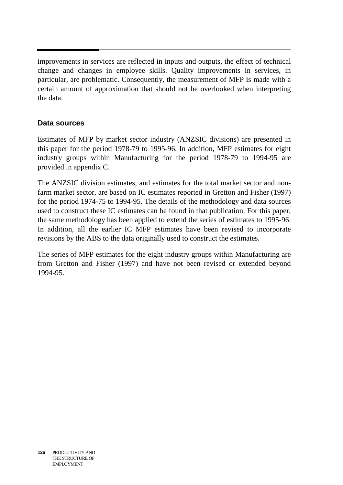improvements in services are reflected in inputs and outputs, the effect of technical change and changes in employee skills. Quality improvements in services, in particular, are problematic. Consequently, the measurement of MFP is made with a certain amount of approximation that should not be overlooked when interpreting the data.

### **Data sources**

Estimates of MFP by market sector industry (ANZSIC divisions) are presented in this paper for the period 1978-79 to 1995-96. In addition, MFP estimates for eight industry groups within Manufacturing for the period 1978-79 to 1994-95 are provided in appendix C.

The ANZSIC division estimates, and estimates for the total market sector and nonfarm market sector, are based on IC estimates reported in Gretton and Fisher (1997) for the period 1974-75 to 1994-95. The details of the methodology and data sources used to construct these IC estimates can be found in that publication. For this paper, the same methodology has been applied to extend the series of estimates to 1995-96. In addition, all the earlier IC MFP estimates have been revised to incorporate revisions by the ABS to the data originally used to construct the estimates.

The series of MFP estimates for the eight industry groups within Manufacturing are from Gretton and Fisher (1997) and have not been revised or extended beyond 1994-95.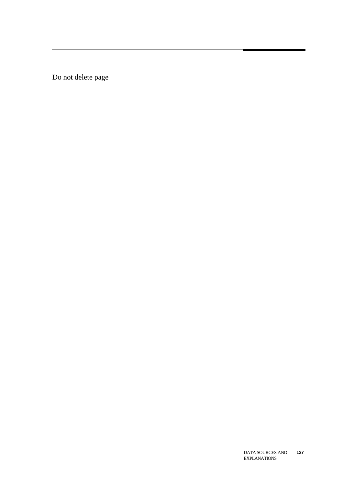Do not delete page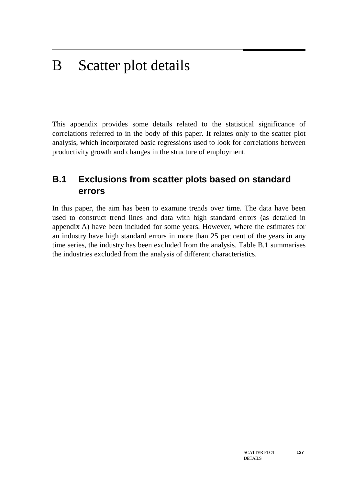# B Scatter plot details

This appendix provides some details related to the statistical significance of correlations referred to in the body of this paper. It relates only to the scatter plot analysis, which incorporated basic regressions used to look for correlations between productivity growth and changes in the structure of employment.

## **B.1 Exclusions from scatter plots based on standard errors**

In this paper, the aim has been to examine trends over time. The data have been used to construct trend lines and data with high standard errors (as detailed in appendix A) have been included for some years. However, where the estimates for an industry have high standard errors in more than 25 per cent of the years in any time series, the industry has been excluded from the analysis. Table B.1 summarises the industries excluded from the analysis of different characteristics.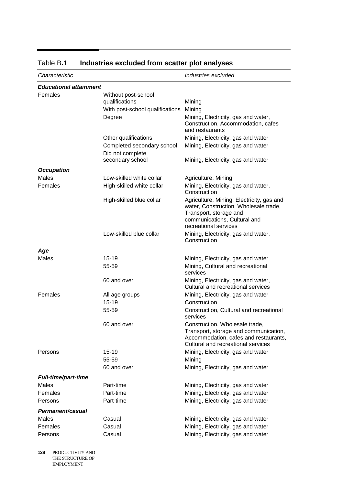| Characteristic                |                                                | Industries excluded                                                                                                                                                   |
|-------------------------------|------------------------------------------------|-----------------------------------------------------------------------------------------------------------------------------------------------------------------------|
| <b>Educational attainment</b> |                                                |                                                                                                                                                                       |
| Females                       | Without post-school<br>qualifications          | Mining                                                                                                                                                                |
|                               | With post-school qualifications                | Mining                                                                                                                                                                |
|                               | Degree                                         | Mining, Electricity, gas and water,<br>Construction, Accommodation, cafes<br>and restaurants                                                                          |
|                               | Other qualifications                           | Mining, Electricity, gas and water                                                                                                                                    |
|                               | Completed secondary school<br>Did not complete | Mining, Electricity, gas and water                                                                                                                                    |
|                               | secondary school                               | Mining, Electricity, gas and water                                                                                                                                    |
| <b>Occupation</b>             |                                                |                                                                                                                                                                       |
| <b>Males</b>                  | Low-skilled white collar                       | Agriculture, Mining                                                                                                                                                   |
| Females                       | High-skilled white collar                      | Mining, Electricity, gas and water,<br>Construction                                                                                                                   |
|                               | High-skilled blue collar                       | Agriculture, Mining, Electricity, gas and<br>water, Construction, Wholesale trade,<br>Transport, storage and<br>communications, Cultural and<br>recreational services |
|                               | Low-skilled blue collar                        | Mining, Electricity, gas and water,<br>Construction                                                                                                                   |
| Age                           |                                                |                                                                                                                                                                       |
| Males                         | $15 - 19$                                      | Mining, Electricity, gas and water                                                                                                                                    |
|                               | 55-59                                          | Mining, Cultural and recreational<br>services                                                                                                                         |
|                               | 60 and over                                    | Mining, Electricity, gas and water,<br>Cultural and recreational services                                                                                             |
| Females                       | All age groups                                 | Mining, Electricity, gas and water                                                                                                                                    |
|                               | $15 - 19$                                      | Construction                                                                                                                                                          |
|                               | 55-59                                          | Construction, Cultural and recreational<br>services                                                                                                                   |
|                               | 60 and over                                    | Construction, Wholesale trade,<br>Transport, storage and communication,<br>Accommodation, cafes and restaurants,<br>Cultural and recreational services                |
| Persons                       | $15 - 19$                                      | Mining, Electricity, gas and water                                                                                                                                    |
|                               | 55-59                                          | Mining                                                                                                                                                                |
|                               | 60 and over                                    | Mining, Electricity, gas and water                                                                                                                                    |
| Full-time/part-time           |                                                |                                                                                                                                                                       |
| Males                         | Part-time                                      | Mining, Electricity, gas and water                                                                                                                                    |
| Females                       | Part-time                                      | Mining, Electricity, gas and water                                                                                                                                    |
| Persons                       | Part-time                                      | Mining, Electricity, gas and water                                                                                                                                    |
| Permanent/casual              |                                                |                                                                                                                                                                       |
| Males                         | Casual                                         | Mining, Electricity, gas and water                                                                                                                                    |
| Females                       | Casual                                         | Mining, Electricity, gas and water                                                                                                                                    |
| Persons                       | Casual                                         | Mining, Electricity, gas and water                                                                                                                                    |

### Table B**.**1 **Industries excluded from scatter plot analyses**

**128** PRODUCTIVITY AND THE STRUCTURE OF EMPLOYMENT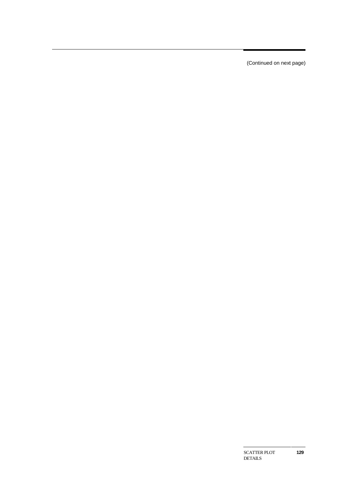(Continued on next page)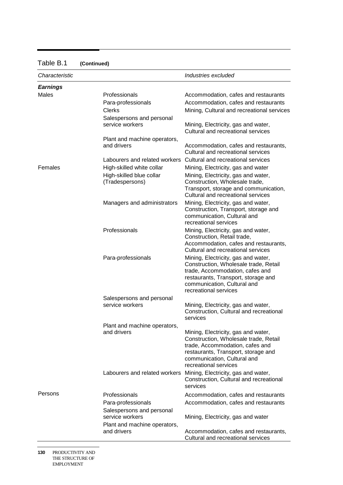| Characteristic  |                                                                                   | Industries excluded                                                                                                                                                                                            |
|-----------------|-----------------------------------------------------------------------------------|----------------------------------------------------------------------------------------------------------------------------------------------------------------------------------------------------------------|
| <b>Earnings</b> |                                                                                   |                                                                                                                                                                                                                |
| Males           | Professionals<br>Para-professionals<br><b>Clerks</b><br>Salespersons and personal | Accommodation, cafes and restaurants<br>Accommodation, cafes and restaurants<br>Mining, Cultural and recreational services                                                                                     |
|                 | service workers                                                                   | Mining, Electricity, gas and water,<br>Cultural and recreational services                                                                                                                                      |
|                 | Plant and machine operators,<br>and drivers                                       | Accommodation, cafes and restaurants,<br>Cultural and recreational services                                                                                                                                    |
|                 | Labourers and related workers                                                     | Cultural and recreational services                                                                                                                                                                             |
| Females         | High-skilled white collar                                                         | Mining, Electricity, gas and water                                                                                                                                                                             |
|                 | High-skilled blue collar<br>(Tradespersons)                                       | Mining, Electricity, gas and water,<br>Construction, Wholesale trade,<br>Transport, storage and communication,<br>Cultural and recreational services                                                           |
|                 | Managers and administrators                                                       | Mining, Electricity, gas and water,<br>Construction, Transport, storage and<br>communication, Cultural and<br>recreational services                                                                            |
|                 | Professionals                                                                     | Mining, Electricity, gas and water,<br>Construction, Retail trade,<br>Accommodation, cafes and restaurants,<br>Cultural and recreational services                                                              |
|                 | Para-professionals                                                                | Mining, Electricity, gas and water,<br>Construction, Wholesale trade, Retail<br>trade, Accommodation, cafes and<br>restaurants, Transport, storage and<br>communication, Cultural and<br>recreational services |
|                 | Salespersons and personal                                                         |                                                                                                                                                                                                                |
|                 | service workers                                                                   | Mining, Electricity, gas and water,<br>Construction, Cultural and recreational<br>services                                                                                                                     |
|                 | Plant and machine operators,<br>and drivers                                       | Mining, Electricity, gas and water,<br>Construction, Wholesale trade, Retail<br>trade, Accommodation, cafes and<br>restaurants, Transport, storage and<br>communication, Cultural and<br>recreational services |
|                 | Labourers and related workers                                                     | Mining, Electricity, gas and water,<br>Construction, Cultural and recreational<br>services                                                                                                                     |
| Persons         | Professionals                                                                     | Accommodation, cafes and restaurants                                                                                                                                                                           |
|                 | Para-professionals                                                                | Accommodation, cafes and restaurants                                                                                                                                                                           |
|                 | Salespersons and personal<br>service workers                                      | Mining, Electricity, gas and water                                                                                                                                                                             |
|                 | Plant and machine operators,<br>and drivers                                       | Accommodation, cafes and restaurants,<br>Cultural and recreational services                                                                                                                                    |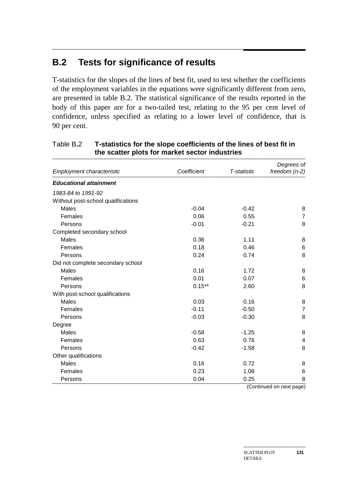# **B.2 Tests for significance of results**

T-statistics for the slopes of the lines of best fit, used to test whether the coefficients of the employment variables in the equations were significantly different from zero, are presented in table B.2. The statistical significance of the results reported in the body of this paper are for a two-tailed test, relating to the 95 per cent level of confidence, unless specified as relating to a lower level of confidence, that is 90 per cent.

| Employment characteristic          | Coefficient | T-statistic | Degrees of<br>freedom $(n-2)$ |
|------------------------------------|-------------|-------------|-------------------------------|
| <b>Educational attainment</b>      |             |             |                               |
| 1983-84 to 1991-92                 |             |             |                               |
| Without post-school qualifications |             |             |                               |
| <b>Males</b>                       | $-0.04$     | $-0.42$     | 8                             |
| Females                            | 0.06        | 0.55        | $\overline{7}$                |
| Persons                            | $-0.01$     | $-0.21$     | 8                             |
| Completed secondary school         |             |             |                               |
| Males                              | 0.36        | 1.11        | 8                             |
| Females                            | 0.18        | 0.46        | 6                             |
| Persons                            | 0.24        | 0.74        | 8                             |
| Did not complete secondary school  |             |             |                               |
| Males                              | 0.16        | 1.72        | 8                             |
| Females                            | 0.01        | 0.07        | 6                             |
| Persons                            | $0.15***$   | 2.60        | 8                             |
| With post-school qualifications    |             |             |                               |
| <b>Males</b>                       | 0.03        | 0.16        | 8                             |
| Females                            | $-0.11$     | $-0.50$     | $\overline{7}$                |
| Persons                            | $-0.03$     | $-0.30$     | 8                             |
| Degree                             |             |             |                               |
| Males                              | $-0.58$     | $-1.25$     | 8                             |
| Females                            | 0.63        | 0.76        | 4                             |
| Persons                            | $-0.42$     | $-1.58$     | 8                             |
| Other qualifications               |             |             |                               |
| Males                              | 0.16        | 0.72        | 8                             |
| Females                            | 0.23        | 1.08        | $6\phantom{1}6$               |
| Persons                            | 0.04        | 0.25        | 8                             |

#### Table B**.**2 **T-statistics for the slope coefficients of the lines of best fit in the scatter plots for market sector industries**

(Continued on next page)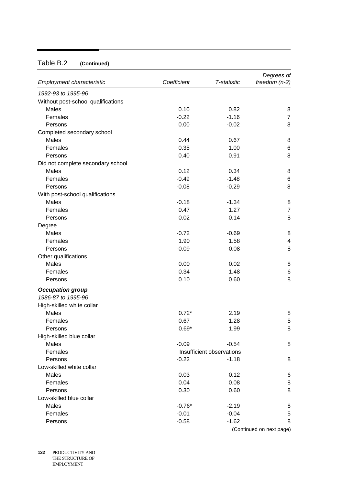| Employment characteristic                                                  | Coefficient | T-statistic               | Degrees of<br>freedom $(n-2)$ |
|----------------------------------------------------------------------------|-------------|---------------------------|-------------------------------|
| 1992-93 to 1995-96                                                         |             |                           |                               |
| Without post-school qualifications                                         |             |                           |                               |
| Males                                                                      | 0.10        | 0.82                      | 8                             |
| Females                                                                    | $-0.22$     | $-1.16$                   | $\overline{7}$                |
| Persons                                                                    | 0.00        | $-0.02$                   | 8                             |
| Completed secondary school                                                 |             |                           |                               |
| Males                                                                      | 0.44        | 0.67                      | 8                             |
| Females                                                                    | 0.35        | 1.00                      | $\,6$                         |
| Persons                                                                    | 0.40        | 0.91                      | 8                             |
| Did not complete secondary school                                          |             |                           |                               |
| Males                                                                      | 0.12        | 0.34                      | 8                             |
| Females                                                                    | $-0.49$     | $-1.48$                   | 6                             |
| Persons                                                                    | $-0.08$     | $-0.29$                   | 8                             |
| With post-school qualifications                                            |             |                           |                               |
| Males                                                                      | $-0.18$     | $-1.34$                   | 8                             |
| Females                                                                    | 0.47        | 1.27                      | $\overline{7}$                |
| Persons                                                                    | 0.02        | 0.14                      | 8                             |
| Degree                                                                     |             |                           |                               |
| Males                                                                      | $-0.72$     | $-0.69$                   | 8                             |
| Females                                                                    | 1.90        | 1.58                      | 4                             |
| Persons                                                                    | $-0.09$     | $-0.08$                   | 8                             |
| Other qualifications                                                       |             |                           |                               |
| Males                                                                      | 0.00        | 0.02                      | 8                             |
| Females                                                                    | 0.34        | 1.48                      | 6                             |
| Persons                                                                    | 0.10        | 0.60                      | 8                             |
| <b>Occupation group</b><br>1986-87 to 1995-96<br>High-skilled white collar |             |                           |                               |
| Males                                                                      | $0.72*$     | 2.19                      | 8                             |
| Females                                                                    | 0.67        | 1.28                      | 5                             |
| Persons                                                                    | $0.69*$     | 1.99                      | 8                             |
| High-skilled blue collar                                                   |             |                           |                               |
| Males                                                                      | $-0.09$     | $-0.54$                   | 8                             |
| Females                                                                    |             | Insufficient observations |                               |
| Persons                                                                    | $-0.22$     | $-1.18$                   | 8                             |
| Low-skilled white collar                                                   |             |                           |                               |
| Males                                                                      | 0.03        | 0.12                      | 6                             |
| Females                                                                    | 0.04        | 0.08                      | 8                             |
| Persons                                                                    | 0.30        | 0.60                      | 8                             |
| Low-skilled blue collar                                                    |             |                           |                               |
| Males                                                                      | $-0.76*$    | $-2.19$                   | 8                             |
| Females                                                                    | $-0.01$     | $-0.04$                   | 5                             |
| Persons                                                                    | $-0.58$     | $-1.62$                   | 8                             |

(Continued on next page)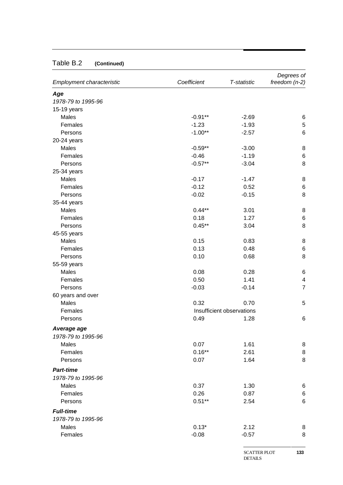| Employment characteristic         | Coefficient     | T-statistic               | Degrees of<br>freedom $(n-2)$ |
|-----------------------------------|-----------------|---------------------------|-------------------------------|
| Age                               |                 |                           |                               |
| 1978-79 to 1995-96                |                 |                           |                               |
| 15-19 years                       |                 |                           |                               |
| Males                             | $-0.91**$       | $-2.69$                   | 6                             |
| Females                           | $-1.23$         | $-1.93$                   | $\,$ 5 $\,$                   |
| Persons                           | $-1.00**$       | $-2.57$                   | 6                             |
| 20-24 years                       |                 |                           |                               |
| Males                             | $-0.59**$       | $-3.00$                   | 8                             |
| Females                           | $-0.46$         | $-1.19$                   | 6                             |
| Persons                           | $-0.57**$       | $-3.04$                   | 8                             |
| 25-34 years                       |                 |                           |                               |
| Males                             | $-0.17$         | $-1.47$                   | 8                             |
| Females                           | $-0.12$         | 0.52                      | 6                             |
| Persons                           | $-0.02$         | $-0.15$                   | 8                             |
| 35-44 years                       |                 |                           |                               |
| Males                             | $0.44**$        | 3.01                      | 8                             |
| Females                           | 0.18            | 1.27                      | 6                             |
| Persons                           | $0.45**$        | 3.04                      | 8                             |
| 45-55 years                       |                 |                           |                               |
| <b>Males</b>                      | 0.15            | 0.83                      | 8                             |
| Females                           | 0.13            | 0.48                      | 6                             |
| Persons                           | 0.10            | 0.68                      | 8                             |
| 55-59 years                       |                 |                           |                               |
| Males                             | 0.08            | 0.28                      | 6                             |
| Females                           | 0.50<br>$-0.03$ | 1.41                      | 4<br>$\overline{7}$           |
| Persons                           |                 | $-0.14$                   |                               |
| 60 years and over<br>Males        | 0.32            | 0.70                      | 5                             |
| Females                           |                 | Insufficient observations |                               |
| Persons                           | 0.49            | 1.28                      | 6                             |
|                                   |                 |                           |                               |
| Average age<br>1978-79 to 1995-96 |                 |                           |                               |
| Males                             | 0.07            | 1.61                      | 8                             |
| Females                           | $0.16***$       | 2.61                      | 8                             |
| Persons                           | 0.07            | 1.64                      | 8                             |
| <b>Part-time</b>                  |                 |                           |                               |
| 1978-79 to 1995-96                |                 |                           |                               |
| Males                             | 0.37            | 1.30                      | 6                             |
| Females                           | 0.26            | 0.87                      | 6                             |
| Persons                           | $0.51***$       | 2.54                      | 6                             |
| <b>Full-time</b>                  |                 |                           |                               |
| 1978-79 to 1995-96                |                 |                           |                               |
| Males                             | $0.13*$         | 2.12                      | 8                             |
| Females                           | $-0.08$         | $-0.57$                   | 8                             |
|                                   |                 |                           |                               |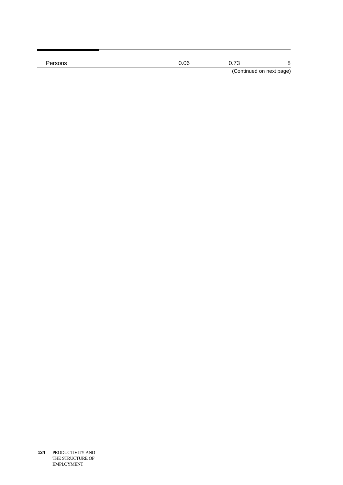|         |      |      | (Continued on next page) |
|---------|------|------|--------------------------|
| Persons | 0.06 | 0.73 |                          |
|         |      |      |                          |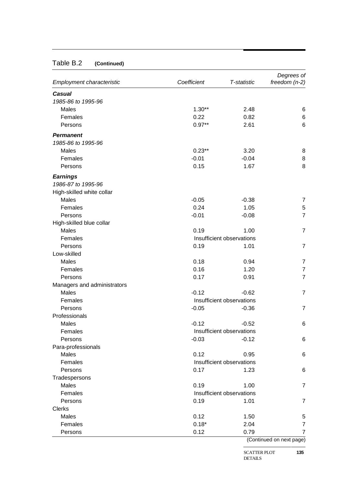| Employment characteristic   | Coefficient | T-statistic                          | Degrees of<br>freedom $(n-2)$ |
|-----------------------------|-------------|--------------------------------------|-------------------------------|
| <b>Casual</b>               |             |                                      |                               |
| 1985-86 to 1995-96          |             |                                      |                               |
| Males                       | $1.30**$    | 2.48                                 | 6                             |
| Females                     | 0.22        | 0.82                                 | 6                             |
| Persons                     | $0.97**$    | 2.61                                 | 6                             |
| <b>Permanent</b>            |             |                                      |                               |
| 1985-86 to 1995-96          |             |                                      |                               |
| Males                       | $0.23**$    | 3.20                                 | 8                             |
| Females                     | $-0.01$     | $-0.04$                              | 8                             |
| Persons                     | 0.15        | 1.67                                 | 8                             |
| <b>Earnings</b>             |             |                                      |                               |
| 1986-87 to 1995-96          |             |                                      |                               |
| High-skilled white collar   |             |                                      |                               |
| <b>Males</b>                | $-0.05$     | $-0.38$                              | 7                             |
| Females                     | 0.24        | 1.05                                 | $\mathbf 5$                   |
| Persons                     | $-0.01$     | $-0.08$                              | $\overline{7}$                |
| High-skilled blue collar    |             |                                      |                               |
| Males                       | 0.19        | 1.00                                 | $\overline{7}$                |
| Females                     |             | Insufficient observations            |                               |
| Persons                     | 0.19        | 1.01                                 | $\overline{7}$                |
| Low-skilled                 |             |                                      |                               |
| Males                       | 0.18        | 0.94                                 | 7                             |
| Females                     | 0.16        | 1.20                                 | $\overline{7}$                |
| Persons                     | 0.17        | 0.91                                 | $\overline{7}$                |
| Managers and administrators |             |                                      |                               |
| Males                       | $-0.12$     | $-0.62$                              | $\overline{7}$                |
| Females                     |             | Insufficient observations            |                               |
| Persons<br>Professionals    | $-0.05$     | $-0.36$                              | $\overline{7}$                |
| <b>Males</b>                | $-0.12$     |                                      | 6                             |
| Females                     |             | $-0.52$<br>Insufficient observations |                               |
| Persons                     | $-0.03$     | $-0.12$                              | 6                             |
| Para-professionals          |             |                                      |                               |
| Males                       | 0.12        | 0.95                                 | 6                             |
| Females                     |             | Insufficient observations            |                               |
| Persons                     | 0.17        | 1.23                                 | 6                             |
| Tradespersons               |             |                                      |                               |
| Males                       | 0.19        | 1.00                                 | $\overline{7}$                |
| Females                     |             | Insufficient observations            |                               |
| Persons                     | 0.19        | 1.01                                 | 7                             |
| <b>Clerks</b>               |             |                                      |                               |
| Males                       | 0.12        | 1.50                                 | 5                             |
| Females                     | $0.18*$     | 2.04                                 | $\overline{7}$                |
| Persons                     | 0.12        | 0.79                                 | $\overline{7}$                |

(Continued on next page)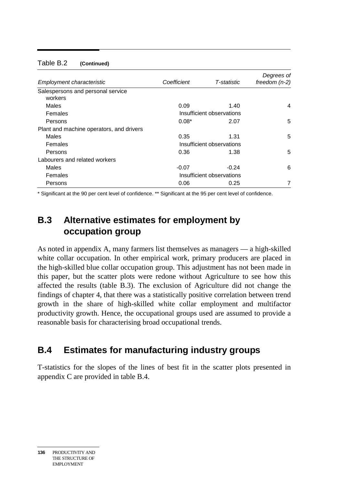| Employment characteristic                    | Coefficient               | T-statistic               | Degrees of<br>freedom $(n-2)$ |  |
|----------------------------------------------|---------------------------|---------------------------|-------------------------------|--|
| Salespersons and personal service<br>workers |                           |                           |                               |  |
| Males                                        | 0.09                      | 1.40                      | 4                             |  |
| Females                                      |                           | Insufficient observations |                               |  |
| Persons                                      | $0.08*$                   | 2.07                      | 5                             |  |
| Plant and machine operators, and drivers     |                           |                           |                               |  |
| Males                                        | 0.35                      | 1.31                      | 5                             |  |
| Females                                      | Insufficient observations |                           |                               |  |
| Persons                                      | 0.36                      | 1.38                      | 5                             |  |
| Labourers and related workers                |                           |                           |                               |  |
| Males                                        | $-0.07$                   | $-0.24$                   | 6                             |  |
| Females                                      |                           | Insufficient observations |                               |  |
| Persons                                      | 0.06                      | 0.25                      |                               |  |

\* Significant at the 90 per cent level of confidence. \*\* Significant at the 95 per cent level of confidence.

## **B.3 Alternative estimates for employment by occupation group**

As noted in appendix A, many farmers list themselves as managers — a high-skilled white collar occupation. In other empirical work, primary producers are placed in the high-skilled blue collar occupation group. This adjustment has not been made in this paper, but the scatter plots were redone without Agriculture to see how this affected the results (table B.3). The exclusion of Agriculture did not change the findings of chapter 4, that there was a statistically positive correlation between trend growth in the share of high-skilled white collar employment and multifactor productivity growth. Hence, the occupational groups used are assumed to provide a reasonable basis for characterising broad occupational trends.

### **B.4 Estimates for manufacturing industry groups**

T-statistics for the slopes of the lines of best fit in the scatter plots presented in appendix C are provided in table B.4.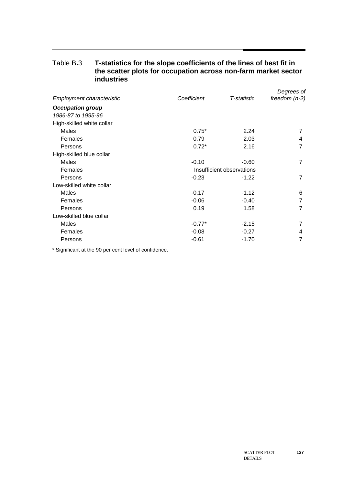#### Table B**.**3 **T-statistics for the slope coefficients of the lines of best fit in the scatter plots for occupation across non-farm market sector industries**

|                           |                           |             | Degrees of      |  |
|---------------------------|---------------------------|-------------|-----------------|--|
| Employment characteristic | Coefficient               | T-statistic | freedom $(n-2)$ |  |
| <b>Occupation group</b>   |                           |             |                 |  |
| 1986-87 to 1995-96        |                           |             |                 |  |
| High-skilled white collar |                           |             |                 |  |
| Males                     | $0.75*$                   | 2.24        |                 |  |
| Females                   | 0.79                      | 2.03        | 4               |  |
| Persons                   | $0.72*$                   | 2.16        | 7               |  |
| High-skilled blue collar  |                           |             |                 |  |
| Males                     | $-0.10$                   | $-0.60$     | 7               |  |
| Females                   | Insufficient observations |             |                 |  |
| Persons                   | $-0.23$                   | $-1.22$     | 7               |  |
| Low-skilled white collar  |                           |             |                 |  |
| Males                     | $-0.17$                   | $-1.12$     | 6               |  |
| Females                   | $-0.06$                   | $-0.40$     |                 |  |
| Persons                   | 0.19                      | 1.58        | 7               |  |
| Low-skilled blue collar   |                           |             |                 |  |
| <b>Males</b>              | $-0.77*$                  | $-2.15$     |                 |  |
| Females                   | $-0.08$                   | $-0.27$     | 4               |  |
| Persons                   | $-0.61$                   | $-1.70$     |                 |  |

\* Significant at the 90 per cent level of confidence.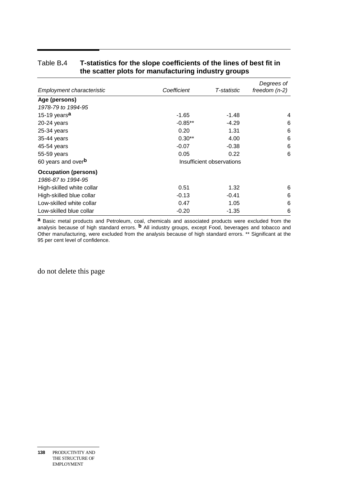### Table B**.**4 **T-statistics for the slope coefficients of the lines of best fit in the scatter plots for manufacturing industry groups**

| Employment characteristic      | Coefficient               | T-statistic | Degrees of<br>freedom $(n-2)$ |  |
|--------------------------------|---------------------------|-------------|-------------------------------|--|
| Age (persons)                  |                           |             |                               |  |
| 1978-79 to 1994-95             |                           |             |                               |  |
| 15-19 years <sup>a</sup>       | $-1.65$                   | $-1.48$     | 4                             |  |
| $20-24$ years                  | $-0.85**$                 | $-4.29$     | 6                             |  |
| 25-34 years                    | 0.20                      | 1.31        | 6                             |  |
| 35-44 years                    | $0.30**$                  | 4.00        | 6                             |  |
| 45-54 years                    | $-0.07$                   | $-0.38$     | 6                             |  |
| 55-59 years                    | 0.05                      | 0.22        | 6                             |  |
| 60 years and over <sup>b</sup> | Insufficient observations |             |                               |  |
| <b>Occupation (persons)</b>    |                           |             |                               |  |
| 1986-87 to 1994-95             |                           |             |                               |  |
| High-skilled white collar      | 0.51                      | 1.32        | 6                             |  |
| High-skilled blue collar       | $-0.13$                   | $-0.41$     | 6                             |  |
| Low-skilled white collar       | 0.47                      | 1.05        | 6                             |  |
| Low-skilled blue collar        | $-0.20$                   | -1.35       | 6                             |  |

**a** Basic metal products and Petroleum, coal, chemicals and associated products were excluded from the analysis because of high standard errors. **b** All industry groups, except Food, beverages and tobacco and Other manufacturing, were excluded from the analysis because of high standard errors. \*\* Significant at the 95 per cent level of confidence.

do not delete this page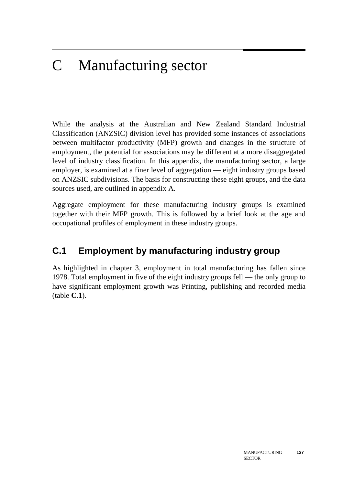# C Manufacturing sector

While the analysis at the Australian and New Zealand Standard Industrial Classification (ANZSIC) division level has provided some instances of associations between multifactor productivity (MFP) growth and changes in the structure of employment, the potential for associations may be different at a more disaggregated level of industry classification. In this appendix, the manufacturing sector, a large employer, is examined at a finer level of aggregation — eight industry groups based on ANZSIC subdivisions. The basis for constructing these eight groups, and the data sources used, are outlined in appendix A.

Aggregate employment for these manufacturing industry groups is examined together with their MFP growth. This is followed by a brief look at the age and occupational profiles of employment in these industry groups.

# **C.1 Employment by manufacturing industry group**

As highlighted in chapter 3, employment in total manufacturing has fallen since 1978. Total employment in five of the eight industry groups fell — the only group to have significant employment growth was Printing, publishing and recorded media (table **C**.**1**).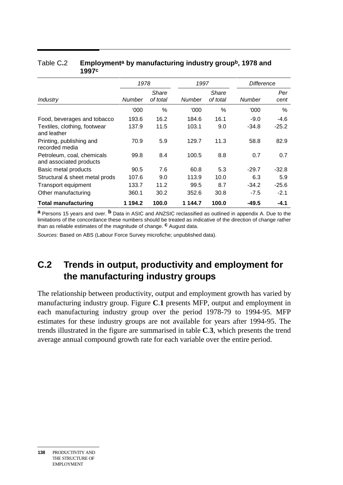|                                                       |         | 1978              |         | 1997              |         | <b>Difference</b> |  |
|-------------------------------------------------------|---------|-------------------|---------|-------------------|---------|-------------------|--|
| Industry                                              | Number  | Share<br>of total | Number  | Share<br>of total | Number  | Per<br>cent       |  |
|                                                       | '000    | $\%$              | 000'    | $\%$              | 000'    | $\%$              |  |
| Food, beverages and tobacco                           | 193.6   | 16.2              | 184.6   | 16.1              | $-9.0$  | -4.6              |  |
| Textiles, clothing, footwear<br>and leather           | 137.9   | 11.5              | 103.1   | 9.0               | $-34.8$ | $-25.2$           |  |
| Printing, publishing and<br>recorded media            | 70.9    | 5.9               | 129.7   | 11.3              | 58.8    | 82.9              |  |
| Petroleum, coal, chemicals<br>and associated products | 99.8    | 8.4               | 100.5   | 8.8               | 0.7     | 0.7               |  |
| Basic metal products                                  | 90.5    | 7.6               | 60.8    | 5.3               | $-29.7$ | $-32.8$           |  |
| Structural & sheet metal prods                        | 107.6   | 9.0               | 113.9   | 10.0              | 6.3     | 5.9               |  |
| Transport equipment                                   | 133.7   | 11.2              | 99.5    | 8.7               | $-34.2$ | $-25.6$           |  |
| Other manufacturing                                   | 360.1   | 30.2              | 352.6   | 30.8              | $-7.5$  | $-2.1$            |  |
| <b>Total manufacturing</b>                            | 1 194.2 | 100.0             | 1 144.7 | 100.0             | -49.5   | $-4.1$            |  |

### Table C**.**2 **Employmenta by manufacturing industry groupb, 1978 and 1997c**

**a** Persons 15 years and over. **b** Data in ASIC and ANZSIC reclassified as outlined in appendix A. Due to the limitations of the concordance these numbers should be treated as indicative of the direction of change rather than as reliable estimates of the magnitude of change. **c** August data.

Sources: Based on ABS (Labour Force Survey microfiche; unpublished data).

# **C.2 Trends in output, productivity and employment for the manufacturing industry groups**

The relationship between productivity, output and employment growth has varied by manufacturing industry group. Figure **C**.**1** presents MFP, output and employment in each manufacturing industry group over the period 1978-79 to 1994-95. MFP estimates for these industry groups are not available for years after 1994-95. The trends illustrated in the figure are summarised in table **C**.**3**, which presents the trend average annual compound growth rate for each variable over the entire period.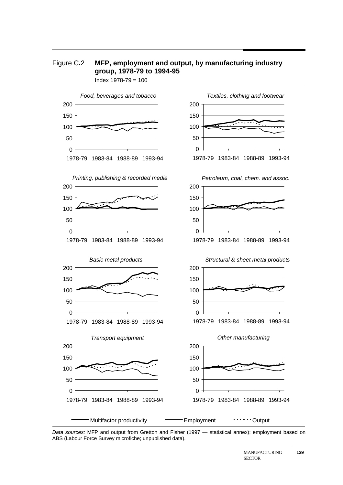

### Figure C**.**2 **MFP, employment and output, by manufacturing industry group, 1978-79 to 1994-95**

Data sources: MFP and output from Gretton and Fisher (1997 - statistical annex); employment based on ABS (Labour Force Survey microfiche; unpublished data).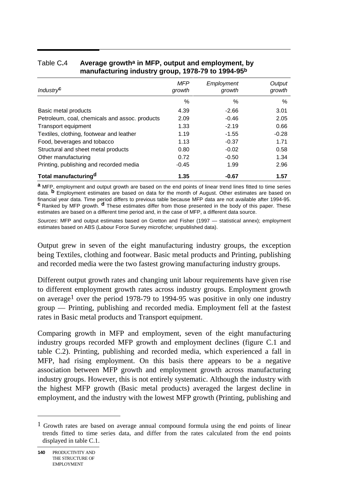| <i>Industry</i> <sup>C</sup>                   | <b>MFP</b><br>growth | Employment<br>growth | Output<br>growth |
|------------------------------------------------|----------------------|----------------------|------------------|
|                                                | %                    | %                    | $\%$             |
| Basic metal products                           | 4.39                 | $-2.66$              | 3.01             |
| Petroleum, coal, chemicals and assoc. products | 2.09                 | $-0.46$              | 2.05             |
| Transport equipment                            | 1.33                 | $-2.19$              | 0.66             |
| Textiles, clothing, footwear and leather       | 1.19                 | $-1.55$              | $-0.28$          |
| Food, beverages and tobacco                    | 1.13                 | $-0.37$              | 1.71             |
| Structural and sheet metal products            | 0.80                 | $-0.02$              | 0.58             |
| Other manufacturing                            | 0.72                 | $-0.50$              | 1.34             |
| Printing, publishing and recorded media        | $-0.45$              | 1.99                 | 2.96             |
| Total manufacturing <sup>d</sup>               | 1.35                 | $-0.67$              | 1.57             |

### Table C**.**4 **Average growtha in MFP, output and employment, by manufacturing industry group, 1978-79 to 1994-95b**

**a** MFP, employment and output growth are based on the end points of linear trend lines fitted to time series data. **b** Employment estimates are based on data for the month of August. Other estimates are based on financial year data. Time period differs to previous table because MFP data are not available after 1994-95. **c** Ranked by MFP growth. **d** These estimates differ from those presented in the body of this paper. These estimates are based on a different time period and, in the case of MFP, a different data source.

Sources: MFP and output estimates based on Gretton and Fisher (1997 - statistical annex); employment estimates based on ABS (Labour Force Survey microfiche; unpublished data).

Output grew in seven of the eight manufacturing industry groups, the exception being Textiles, clothing and footwear. Basic metal products and Printing, publishing and recorded media were the two fastest growing manufacturing industry groups.

Different output growth rates and changing unit labour requirements have given rise to different employment growth rates across industry groups. Employment growth on average1 over the period 1978-79 to 1994-95 was positive in only one industry group — Printing, publishing and recorded media. Employment fell at the fastest rates in Basic metal products and Transport equipment.

Comparing growth in MFP and employment, seven of the eight manufacturing industry groups recorded MFP growth and employment declines (figure C.1 and table C.2). Printing, publishing and recorded media, which experienced a fall in MFP, had rising employment. On this basis there appears to be a negative association between MFP growth and employment growth across manufacturing industry groups. However, this is not entirely systematic. Although the industry with the highest MFP growth (Basic metal products) averaged the largest decline in employment, and the industry with the lowest MFP growth (Printing, publishing and

 $\overline{a}$ 

<sup>1</sup> Growth rates are based on average annual compound formula using the end points of linear trends fitted to time series data, and differ from the rates calculated from the end points displayed in table C.1.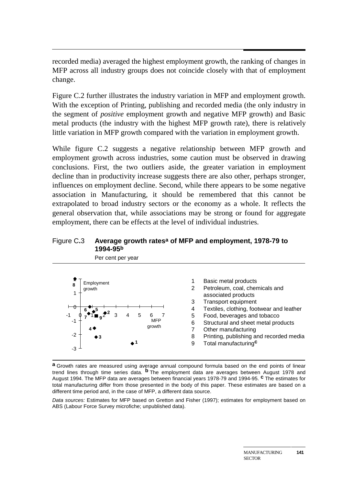recorded media) averaged the highest employment growth, the ranking of changes in MFP across all industry groups does not coincide closely with that of employment change.

Figure C.2 further illustrates the industry variation in MFP and employment growth. With the exception of Printing, publishing and recorded media (the only industry in the segment of *positive* employment growth and negative MFP growth) and Basic metal products (the industry with the highest MFP growth rate), there is relatively little variation in MFP growth compared with the variation in employment growth.

While figure C.2 suggests a negative relationship between MFP growth and employment growth across industries, some caution must be observed in drawing conclusions. First, the two outliers aside, the greater variation in employment decline than in productivity increase suggests there are also other, perhaps stronger, influences on employment decline. Second, while there appears to be some negative association in Manufacturing, it should be remembered that this cannot be extrapolated to broad industry sectors or the economy as a whole. It reflects the general observation that, while associations may be strong or found for aggregate employment, there can be effects at the level of individual industries.

### Figure C**.**3 **Average growth ratesa of MFP and employment, 1978-79 to 1994-95b**



**a** Growth rates are measured using average annual compound formula based on the end points of linear trend lines through time series data. **b** The employment data are averages between August 1978 and August 1994. The MFP data are averages between financial years 1978-79 and 1994-95. **c** The estimates for total manufacturing differ from those presented in the body of this paper. These estimates are based on a different time period and, in the case of MFP, a different data source.

Data sources: Estimates for MFP based on Gretton and Fisher (1997); estimates for employment based on ABS (Labour Force Survey microfiche; unpublished data).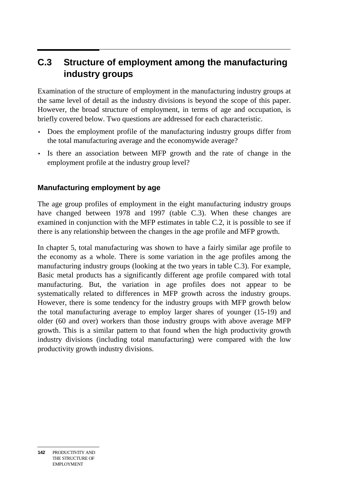# **C.3 Structure of employment among the manufacturing industry groups**

Examination of the structure of employment in the manufacturing industry groups at the same level of detail as the industry divisions is beyond the scope of this paper. However, the broad structure of employment, in terms of age and occupation, is briefly covered below. Two questions are addressed for each characteristic.

- Does the employment profile of the manufacturing industry groups differ from the total manufacturing average and the economywide average?
- Is there an association between MFP growth and the rate of change in the employment profile at the industry group level?

### **Manufacturing employment by age**

The age group profiles of employment in the eight manufacturing industry groups have changed between 1978 and 1997 (table C.3). When these changes are examined in conjunction with the MFP estimates in table C.2, it is possible to see if there is any relationship between the changes in the age profile and MFP growth.

In chapter 5, total manufacturing was shown to have a fairly similar age profile to the economy as a whole. There is some variation in the age profiles among the manufacturing industry groups (looking at the two years in table C.3). For example, Basic metal products has a significantly different age profile compared with total manufacturing. But, the variation in age profiles does not appear to be systematically related to differences in MFP growth across the industry groups. However, there is some tendency for the industry groups with MFP growth below the total manufacturing average to employ larger shares of younger (15-19) and older (60 and over) workers than those industry groups with above average MFP growth. This is a similar pattern to that found when the high productivity growth industry divisions (including total manufacturing) were compared with the low productivity growth industry divisions.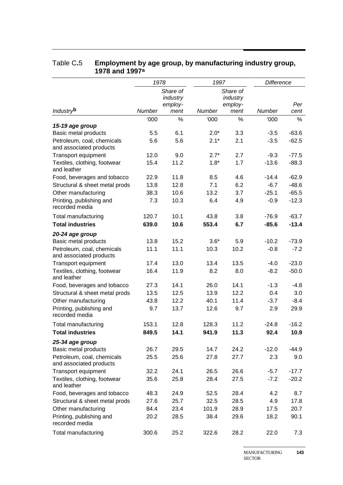|                                                       | 1978   |                                 |             | 1997                            |         | <b>Difference</b> |  |
|-------------------------------------------------------|--------|---------------------------------|-------------|---------------------------------|---------|-------------------|--|
|                                                       |        | Share of<br>industry<br>employ- |             | Share of<br>industry<br>employ- |         | Per               |  |
| Industryb                                             | Number | ment                            | Number      | ment                            | Number  | cent              |  |
|                                                       | 000'   | %                               | <b>'000</b> | %                               | 000'    | $\%$              |  |
| 15-19 age group                                       |        |                                 |             |                                 |         |                   |  |
| Basic metal products                                  | 5.5    | 6.1                             | $2.0*$      | 3.3                             | $-3.5$  | $-63.6$           |  |
| Petroleum, coal, chemicals<br>and associated products | 5.6    | 5.6                             | $2.1*$      | 2.1                             | $-3.5$  | $-62.5$           |  |
| Transport equipment                                   | 12.0   | 9.0                             | $2.7*$      | 2.7                             | $-9.3$  | $-77.5$           |  |
| Textiles, clothing, footwear<br>and leather           | 15.4   | 11.2                            | $1.8*$      | 1.7                             | $-13.6$ | $-88.3$           |  |
| Food, beverages and tobacco                           | 22.9   | 11.8                            | 8.5         | 4.6                             | $-14.4$ | $-62.9$           |  |
| Structural & sheet metal prods                        | 13.8   | 12.8                            | 7.1         | 6.2                             | $-6.7$  | $-48.6$           |  |
| Other manufacturing                                   | 38.3   | 10.6                            | 13.2        | 3.7                             | $-25.1$ | $-65.5$           |  |
| Printing, publishing and<br>recorded media            | 7.3    | 10.3                            | 6.4         | 4.9                             | $-0.9$  | $-12.3$           |  |
| <b>Total manufacturing</b>                            | 120.7  | 10.1                            | 43.8        | 3.8                             | $-76.9$ | $-63.7$           |  |
| <b>Total industries</b>                               | 639.0  | 10.6                            | 553.4       | 6.7                             | $-85.6$ | $-13.4$           |  |
| 20-24 age group                                       |        |                                 |             |                                 |         |                   |  |
| Basic metal products                                  | 13.8   | 15.2                            | $3.6*$      | 5.9                             | $-10.2$ | $-73.9$           |  |
| Petroleum, coal, chemicals<br>and associated products | 11.1   | 11.1                            | 10.3        | 10.2                            | $-0.8$  | $-7.2$            |  |
| Transport equipment                                   | 17.4   | 13.0                            | 13.4        | 13.5                            | $-4.0$  | $-23.0$           |  |
| Textiles, clothing, footwear<br>and leather           | 16.4   | 11.9                            | 8.2         | 8.0                             | $-8.2$  | $-50.0$           |  |
| Food, beverages and tobacco                           | 27.3   | 14.1                            | 26.0        | 14.1                            | $-1.3$  | $-4.8$            |  |
| Structural & sheet metal prods                        | 13.5   | 12.5                            | 13.9        | 12.2                            | 0.4     | 3.0               |  |
| Other manufacturing                                   | 43.8   | 12.2                            | 40.1        | 11.4                            | $-3.7$  | $-8.4$            |  |
| Printing, publishing and<br>recorded media            | 9.7    | 13.7                            | 12.6        | 9.7                             | 2.9     | 29.9              |  |
| Total manufacturing                                   | 153.1  | 12.8                            | 128.3       | 11.2                            | $-24.8$ | $-16.2$           |  |
| <b>Total industries</b>                               | 849.5  | 14.1                            | 941.9       | 11.3                            | 92.4    | 10.9              |  |
| 25-34 age group                                       |        |                                 |             |                                 |         |                   |  |
| Basic metal products                                  | 26.7   | 29.5                            | 14.7        | 24.2                            | $-12.0$ | $-44.9$           |  |
| Petroleum, coal, chemicals<br>and associated products | 25.5   | 25.6                            | 27.8        | 27.7                            | 2.3     | 9.0               |  |
| Transport equipment                                   | 32.2   | 24.1                            | 26.5        | 26.6                            | $-5.7$  | $-17.7$           |  |
| Textiles, clothing, footwear<br>and leather           | 35.6   | 25.8                            | 28.4        | 27.5                            | $-7.2$  | $-20.2$           |  |
| Food, beverages and tobacco                           | 48.3   | 24.9                            | 52.5        | 28.4                            | 4.2     | 8.7               |  |
| Structural & sheet metal prods                        | 27.6   | 25.7                            | 32.5        | 28.5                            | 4.9     | 17.8              |  |
| Other manufacturing                                   | 84.4   | 23.4                            | 101.9       | 28.9                            | 17.5    | 20.7              |  |
| Printing, publishing and<br>recorded media            | 20.2   | 28.5                            | 38.4        | 29.6                            | 18.2    | 90.1              |  |
| Total manufacturing                                   | 300.6  | 25.2                            | 322.6       | 28.2                            | 22.0    | 7.3               |  |

#### Table C**.**5 **Employment by age group, by manufacturing industry group, 1978 and 1997a**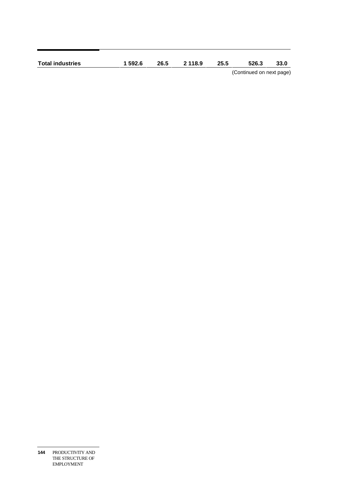| <b>Total industries</b> | 1 592.6 | 26.5 | 2 118.9 | 25.5 | 526.3 | 33.0 |
|-------------------------|---------|------|---------|------|-------|------|
|                         |         |      |         |      |       |      |

(Continued on next page)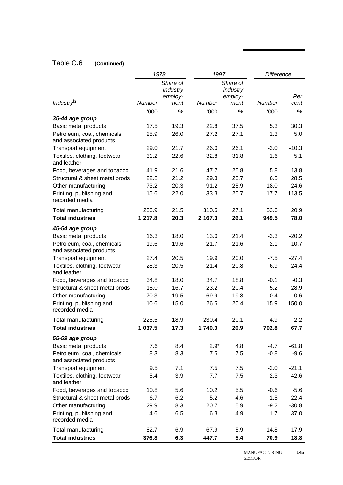|                                                       | 1978        |                      |             | 1997                 |               | <b>Difference</b> |  |
|-------------------------------------------------------|-------------|----------------------|-------------|----------------------|---------------|-------------------|--|
|                                                       |             | Share of<br>industry |             | Share of<br>industry |               |                   |  |
|                                                       | Number      | employ-              | Number      | employ-              |               | Per               |  |
| Industryb                                             |             | ment<br>%            |             | ment<br>$\%$         | <b>Number</b> | cent<br>$\%$      |  |
| 35-44 age group                                       | <b>'000</b> |                      | <b>'000</b> |                      | <b>'000</b>   |                   |  |
| Basic metal products                                  | 17.5        | 19.3                 | 22.8        | 37.5                 | 5.3           | 30.3              |  |
| Petroleum, coal, chemicals<br>and associated products | 25.9        | 26.0                 | 27.2        | 27.1                 | 1.3           | 5.0               |  |
| Transport equipment                                   | 29.0        | 21.7                 | 26.0        | 26.1                 | $-3.0$        | $-10.3$           |  |
| Textiles, clothing, footwear<br>and leather           | 31.2        | 22.6                 | 32.8        | 31.8                 | 1.6           | 5.1               |  |
| Food, beverages and tobacco                           | 41.9        | 21.6                 | 47.7        | 25.8                 | 5.8           | 13.8              |  |
| Structural & sheet metal prods                        | 22.8        | 21.2                 | 29.3        | 25.7                 | 6.5           | 28.5              |  |
| Other manufacturing                                   | 73.2        | 20.3                 | 91.2        | 25.9                 | 18.0          | 24.6              |  |
| Printing, publishing and<br>recorded media            | 15.6        | 22.0                 | 33.3        | 25.7                 | 17.7          | 113.5             |  |
| Total manufacturing                                   | 256.9       | 21.5                 | 310.5       | 27.1                 | 53.6          | 20.9              |  |
| <b>Total industries</b>                               | 1 217.8     | 20.3                 | 2 167.3     | 26.1                 | 949.5         | 78.0              |  |
| 45-54 age group                                       |             |                      |             |                      |               |                   |  |
| Basic metal products                                  | 16.3        | 18.0                 | 13.0        | 21.4                 | $-3.3$        | $-20.2$           |  |
| Petroleum, coal, chemicals<br>and associated products | 19.6        | 19.6                 | 21.7        | 21.6                 | 2.1           | 10.7              |  |
| Transport equipment                                   | 27.4        | 20.5                 | 19.9        | 20.0                 | $-7.5$        | $-27.4$           |  |
| Textiles, clothing, footwear<br>and leather           | 28.3        | 20.5                 | 21.4        | 20.8                 | $-6.9$        | $-24.4$           |  |
| Food, beverages and tobacco                           | 34.8        | 18.0                 | 34.7        | 18.8                 | $-0.1$        | $-0.3$            |  |
| Structural & sheet metal prods                        | 18.0        | 16.7                 | 23.2        | 20.4                 | 5.2           | 28.9              |  |
| Other manufacturing                                   | 70.3        | 19.5                 | 69.9        | 19.8                 | $-0.4$        | $-0.6$            |  |
| Printing, publishing and<br>recorded media            | 10.6        | 15.0                 | 26.5        | 20.4                 | 15.9          | 150.0             |  |
| Total manufacturing                                   | 225.5       | 18.9                 | 230.4       | 20.1                 | 4.9           | 2.2               |  |
| <b>Total industries</b>                               | 1 037.5     | 17.3                 | 1 740.3     | 20.9                 | 702.8         | 67.7              |  |
| 55-59 age group                                       |             |                      |             |                      |               |                   |  |
| Basic metal products                                  | 7.6         | 8.4                  | $2.9*$      | 4.8                  | $-4.7$        | $-61.8$           |  |
| Petroleum, coal, chemicals<br>and associated products | 8.3         | 8.3                  | 7.5         | 7.5                  | $-0.8$        | $-9.6$            |  |
| Transport equipment                                   | 9.5         | 7.1                  | 7.5         | 7.5                  | $-2.0$        | $-21.1$           |  |
| Textiles, clothing, footwear<br>and leather           | 5.4         | 3.9                  | 7.7         | 7.5                  | 2.3           | 42.6              |  |
| Food, beverages and tobacco                           | 10.8        | 5.6                  | 10.2        | 5.5                  | $-0.6$        | $-5.6$            |  |
| Structural & sheet metal prods                        | 6.7         | 6.2                  | 5.2         | 4.6                  | $-1.5$        | $-22.4$           |  |
| Other manufacturing                                   | 29.9        | 8.3                  | 20.7        | 5.9                  | $-9.2$        | $-30.8$           |  |
| Printing, publishing and<br>recorded media            | 4.6         | 6.5                  | 6.3         | 4.9                  | 1.7           | 37.0              |  |
| Total manufacturing                                   | 82.7        | 6.9                  | 67.9        | 5.9                  | $-14.8$       | $-17.9$           |  |
| <b>Total industries</b>                               | 376.8       | 6.3                  | 447.7       | 5.4                  | 70.9          | 18.8              |  |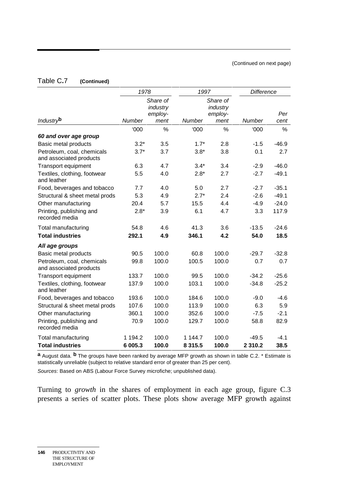|                                                       | 1978        |                      |             | 1997                 |           | <b>Difference</b> |  |
|-------------------------------------------------------|-------------|----------------------|-------------|----------------------|-----------|-------------------|--|
|                                                       |             | Share of<br>industry |             | Share of<br>industry |           |                   |  |
|                                                       |             | employ-              |             | employ-              |           | Per               |  |
| Industry <b>b</b>                                     | Number      | ment                 | Number      | ment                 | Number    | cent              |  |
|                                                       | <b>'000</b> | $\%$                 | <b>'000</b> | %                    | '000      | %                 |  |
| 60 and over age group                                 |             |                      |             |                      |           |                   |  |
| Basic metal products                                  | $3.2*$      | 3.5                  | $1.7*$      | 2.8                  | $-1.5$    | $-46.9$           |  |
| Petroleum, coal, chemicals                            | $3.7*$      | 3.7                  | $3.8*$      | 3.8                  | 0.1       | 2.7               |  |
| and associated products                               |             |                      |             |                      |           |                   |  |
| <b>Transport equipment</b>                            | 6.3         | 4.7                  | $3.4*$      | 3.4                  | $-2.9$    | $-46.0$           |  |
| Textiles, clothing, footwear<br>and leather           | 5.5         | 4.0                  | $2.8*$      | 2.7                  | $-2.7$    | $-49.1$           |  |
| Food, beverages and tobacco                           | 7.7         | 4.0                  | 5.0         | 2.7                  | $-2.7$    | $-35.1$           |  |
| Structural & sheet metal prods                        | 5.3         | 4.9                  | $2.7*$      | 2.4                  | $-2.6$    | $-49.1$           |  |
| Other manufacturing                                   | 20.4        | 5.7                  | 15.5        | 4.4                  | $-4.9$    | $-24.0$           |  |
| Printing, publishing and<br>recorded media            | $2.8*$      | 3.9                  | 6.1         | 4.7                  | 3.3       | 117.9             |  |
| Total manufacturing                                   | 54.8        | 4.6                  | 41.3        | 3.6                  | $-13.5$   | $-24.6$           |  |
| <b>Total industries</b>                               | 292.1       | 4.9                  | 346.1       | 4.2                  | 54.0      | 18.5              |  |
| All age groups                                        |             |                      |             |                      |           |                   |  |
| Basic metal products                                  | 90.5        | 100.0                | 60.8        | 100.0                | $-29.7$   | $-32.8$           |  |
| Petroleum, coal, chemicals<br>and associated products | 99.8        | 100.0                | 100.5       | 100.0                | 0.7       | 0.7               |  |
| Transport equipment                                   | 133.7       | 100.0                | 99.5        | 100.0                | $-34.2$   | $-25.6$           |  |
| Textiles, clothing, footwear<br>and leather           | 137.9       | 100.0                | 103.1       | 100.0                | $-34.8$   | $-25.2$           |  |
| Food, beverages and tobacco                           | 193.6       | 100.0                | 184.6       | 100.0                | $-9.0$    | $-4.6$            |  |
| Structural & sheet metal prods                        | 107.6       | 100.0                | 113.9       | 100.0                | 6.3       | 5.9               |  |
| Other manufacturing                                   | 360.1       | 100.0                | 352.6       | 100.0                | $-7.5$    | $-2.1$            |  |
| Printing, publishing and<br>recorded media            | 70.9        | 100.0                | 129.7       | 100.0                | 58.8      | 82.9              |  |
| Total manufacturing                                   | 1 194.2     | 100.0                | 1 144.7     | 100.0                | $-49.5$   | $-4.1$            |  |
| <b>Total industries</b>                               | 6 005.3     | 100.0                | 8 3 1 5 . 5 | 100.0                | 2 3 1 0.2 | 38.5              |  |

**a** August data. **b** The groups have been ranked by average MFP growth as shown in table C.2. \* Estimate is statistically unreliable (subject to relative standard error of greater than 25 per cent).

Sources: Based on ABS (Labour Force Survey microfiche; unpublished data).

Turning to *growth* in the shares of employment in each age group, figure C.3 presents a series of scatter plots. These plots show average MFP growth against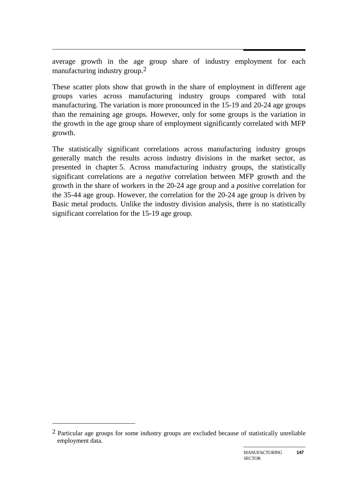average growth in the age group share of industry employment for each manufacturing industry group.2

These scatter plots show that growth in the share of employment in different age groups varies across manufacturing industry groups compared with total manufacturing. The variation is more pronounced in the 15-19 and 20-24 age groups than the remaining age groups. However, only for some groups is the variation in the growth in the age group share of employment significantly correlated with MFP growth.

The statistically significant correlations across manufacturing industry groups generally match the results across industry divisions in the market sector, as presented in chapter 5. Across manufacturing industry groups, the statistically significant correlations are a *negative* correlation between MFP growth and the growth in the share of workers in the 20-24 age group and a *positive* correlation for the 35-44 age group. However, the correlation for the 20-24 age group is driven by Basic metal products. Unlike the industry division analysis, there is no statistically significant correlation for the 15-19 age group.

 $\overline{a}$ 

<sup>2</sup> Particular age groups for some industry groups are excluded because of statistically unreliable employment data.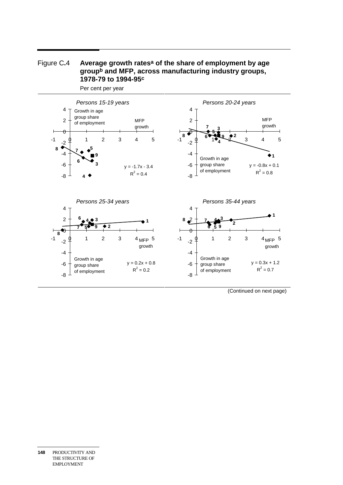### Figure C**.**4 **Average growth ratesa of the share of employment by age groupb and MFP, across manufacturing industry groups, 1978-79 to 1994-95c**



Per cent per year

(Continued on next page)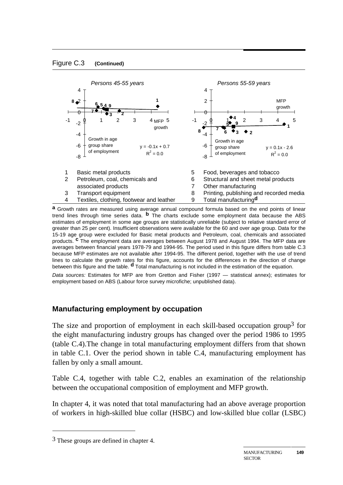#### Figure C.3 **(Continued)**



**a** Growth rates are measured using average annual compound formula based on the end points of linear trend lines through time series data. **b** The charts exclude some employment data because the ABS estimates of employment in some age groups are statistically unreliable (subject to relative standard error of greater than 25 per cent). Insufficient observations were available for the 60 and over age group. Data for the 15-19 age group were excluded for Basic metal products and Petroleum, coal, chemicals and associated products. **c** The employment data are averages between August 1978 and August 1994. The MFP data are averages between financial years 1978-79 and 1994-95. The period used in this figure differs from table C.3 because MFP estimates are not available after 1994-95. The different period, together with the use of trend lines to calculate the growth rates for this figure, accounts for the differences in the direction of change between this figure and the table. **d** Total manufacturing is not included in the estimation of the equation.

Data sources: Estimates for MFP are from Gretton and Fisher (1997 – statistical annex); estimates for employment based on ABS (Labour force survey microfiche; unpublished data).

### **Manufacturing employment by occupation**

The size and proportion of employment in each skill-based occupation group<sup>3</sup> for the eight manufacturing industry groups has changed over the period 1986 to 1995 (table C.4).The change in total manufacturing employment differs from that shown in table C.1. Over the period shown in table C.4, manufacturing employment has fallen by only a small amount.

Table C.4, together with table C.2, enables an examination of the relationship between the occupational composition of employment and MFP growth.

In chapter 4, it was noted that total manufacturing had an above average proportion of workers in high-skilled blue collar (HSBC) and low-skilled blue collar (LSBC)

 $\overline{a}$ 

<sup>3</sup> These groups are defined in chapter 4.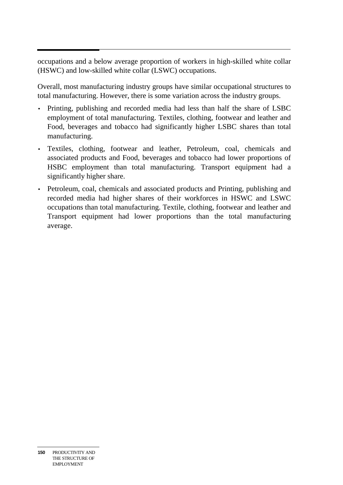occupations and a below average proportion of workers in high-skilled white collar (HSWC) and low-skilled white collar (LSWC) occupations.

Overall, most manufacturing industry groups have similar occupational structures to total manufacturing. However, there is some variation across the industry groups.

- Printing, publishing and recorded media had less than half the share of LSBC employment of total manufacturing. Textiles, clothing, footwear and leather and Food, beverages and tobacco had significantly higher LSBC shares than total manufacturing.
- Textiles, clothing, footwear and leather, Petroleum, coal, chemicals and associated products and Food, beverages and tobacco had lower proportions of HSBC employment than total manufacturing. Transport equipment had a significantly higher share.
- Petroleum, coal, chemicals and associated products and Printing, publishing and recorded media had higher shares of their workforces in HSWC and LSWC occupations than total manufacturing. Textile, clothing, footwear and leather and Transport equipment had lower proportions than the total manufacturing average.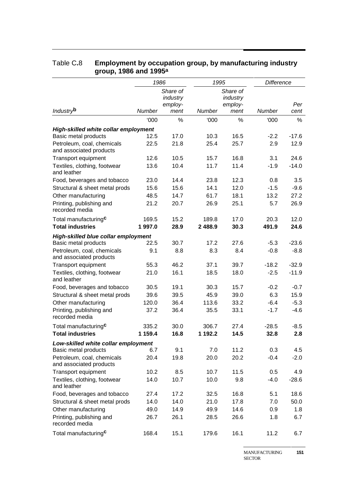|                                                       | 1986        |                                 |         | 1995                            |             | <b>Difference</b> |  |
|-------------------------------------------------------|-------------|---------------------------------|---------|---------------------------------|-------------|-------------------|--|
|                                                       |             | Share of<br>industry<br>employ- |         | Share of<br>industry<br>employ- |             | Per               |  |
| Industryb                                             | Number      | ment                            | Number  | ment                            | Number      | cent              |  |
|                                                       | <b>'000</b> | %                               | '000    | $\%$                            | <b>'000</b> | $\%$              |  |
| High-skilled white collar employment                  |             |                                 |         |                                 |             |                   |  |
| Basic metal products                                  | 12.5        | 17.0                            | 10.3    | 16.5                            | $-2.2$      | $-17.6$           |  |
| Petroleum, coal, chemicals<br>and associated products | 22.5        | 21.8                            | 25.4    | 25.7                            | 2.9         | 12.9              |  |
| <b>Transport equipment</b>                            | 12.6        | 10.5                            | 15.7    | 16.8                            | 3.1         | 24.6              |  |
| Textiles, clothing, footwear<br>and leather           | 13.6        | 10.4                            | 11.7    | 11.4                            | $-1.9$      | $-14.0$           |  |
| Food, beverages and tobacco                           | 23.0        | 14.4                            | 23.8    | 12.3                            | 0.8         | 3.5               |  |
| Structural & sheet metal prods                        | 15.6        | 15.6                            | 14.1    | 12.0                            | $-1.5$      | $-9.6$            |  |
| Other manufacturing                                   | 48.5        | 14.7                            | 61.7    | 18.1                            | 13.2        | 27.2              |  |
| Printing, publishing and<br>recorded media            | 21.2        | 20.7                            | 26.9    | 25.1                            | 5.7         | 26.9              |  |
| Total manufacturing <sup>c</sup>                      | 169.5       | 15.2                            | 189.8   | 17.0                            | 20.3        | 12.0              |  |
| <b>Total industries</b>                               | 1997.0      | 28.9                            | 2 488.9 | 30.3                            | 491.9       | 24.6              |  |
| High-skilled blue collar employment                   |             |                                 |         |                                 |             |                   |  |
| Basic metal products                                  | 22.5        | 30.7                            | 17.2    | 27.6                            | $-5.3$      | $-23.6$           |  |
| Petroleum, coal, chemicals<br>and associated products | 9.1         | 8.8                             | 8.3     | 8.4                             | $-0.8$      | $-8.8$            |  |
| Transport equipment                                   | 55.3        | 46.2                            | 37.1    | 39.7                            | $-18.2$     | $-32.9$           |  |
| Textiles, clothing, footwear<br>and leather           | 21.0        | 16.1                            | 18.5    | 18.0                            | $-2.5$      | $-11.9$           |  |
| Food, beverages and tobacco                           | 30.5        | 19.1                            | 30.3    | 15.7                            | $-0.2$      | $-0.7$            |  |
| Structural & sheet metal prods                        | 39.6        | 39.5                            | 45.9    | 39.0                            | 6.3         | 15.9              |  |
| Other manufacturing                                   | 120.0       | 36.4                            | 113.6   | 33.2                            | $-6.4$      | $-5.3$            |  |
| Printing, publishing and<br>recorded media            | 37.2        | 36.4                            | 35.5    | 33.1                            | $-1.7$      | $-4.6$            |  |
| Total manufacturing <sup>c</sup>                      | 335.2       | 30.0                            | 306.7   | 27.4                            | $-28.5$     | $-8.5$            |  |
| <b>Total industries</b>                               | 1 159.4     | 16.8                            | 1 192.2 | 14.5                            | 32.8        | 2.8               |  |
| Low-skilled white collar employment                   |             |                                 |         |                                 |             |                   |  |
| Basic metal products                                  | 6.7         | 9.1                             | 7.0     | 11.2                            | 0.3         | 4.5               |  |
| Petroleum, coal, chemicals<br>and associated products | 20.4        | 19.8                            | 20.0    | 20.2                            | $-0.4$      | $-2.0$            |  |
| Transport equipment                                   | 10.2        | 8.5                             | 10.7    | 11.5                            | 0.5         | 4.9               |  |
| Textiles, clothing, footwear<br>and leather           | 14.0        | 10.7                            | 10.0    | 9.8                             | $-4.0$      | $-28.6$           |  |
| Food, beverages and tobacco                           | 27.4        | 17.2                            | 32.5    | 16.8                            | 5.1         | 18.6              |  |
| Structural & sheet metal prods                        | 14.0        | 14.0                            | 21.0    | 17.8                            | 7.0         | 50.0              |  |
| Other manufacturing                                   | 49.0        | 14.9                            | 49.9    | 14.6                            | 0.9         | 1.8               |  |
| Printing, publishing and<br>recorded media            | 26.7        | 26.1                            | 28.5    | 26.6                            | 1.8         | 6.7               |  |
| Total manufacturing <sup>c</sup>                      | 168.4       | 15.1                            | 179.6   | 16.1                            | 11.2        | 6.7               |  |

#### Table C**.**8 **Employment by occupation group, by manufacturing industry group, 1986 and 1995a**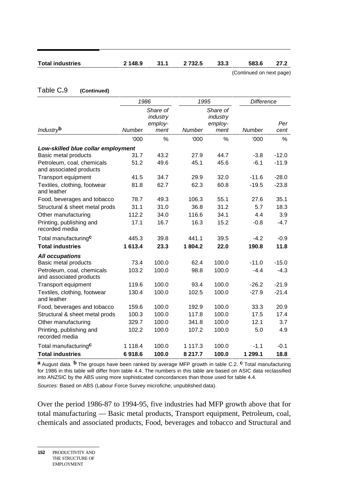| <b>Total industries</b> | 2 148.9 | 31.1 | 2 732.5 | 33.3 | 583.6 | 27.2 |
|-------------------------|---------|------|---------|------|-------|------|
|                         |         |      |         |      |       |      |

(Continued on next page)

#### Table C**.**9 **(Continued)**

|                                                       | 1986      |                      |             | 1995                 |             | <b>Difference</b> |  |
|-------------------------------------------------------|-----------|----------------------|-------------|----------------------|-------------|-------------------|--|
|                                                       |           | Share of<br>industry |             | Share of<br>industry |             |                   |  |
|                                                       |           | employ-              |             | employ-              |             | Per               |  |
| Industryb                                             | Number    | ment                 | Number      | ment                 | Number      | cent              |  |
|                                                       | '000      | $\%$                 | <b>'000</b> | $\%$                 | <b>'000</b> | %                 |  |
| Low-skilled blue collar employment                    |           |                      |             |                      |             |                   |  |
| Basic metal products                                  | 31.7      | 43.2                 | 27.9        | 44.7                 | $-3.8$      | $-12.0$           |  |
| Petroleum, coal, chemicals<br>and associated products | 51.2      | 49.6                 | 45.1        | 45.6                 | $-6.1$      | $-11.9$           |  |
| Transport equipment                                   | 41.5      | 34.7                 | 29.9        | 32.0                 | $-11.6$     | $-28.0$           |  |
| Textiles, clothing, footwear<br>and leather           | 81.8      | 62.7                 | 62.3        | 60.8                 | $-19.5$     | $-23.8$           |  |
| Food, beverages and tobacco                           | 78.7      | 49.3                 | 106.3       | 55.1                 | 27.6        | 35.1              |  |
| Structural & sheet metal prods                        | 31.1      | 31.0                 | 36.8        | 31.2                 | 5.7         | 18.3              |  |
| Other manufacturing                                   | 112.2     | 34.0                 | 116.6       | 34.1                 | 4.4         | 3.9               |  |
| Printing, publishing and<br>recorded media            | 17.1      | 16.7                 | 16.3        | 15.2                 | $-0.8$      | $-4.7$            |  |
| Total manufacturing <sup>C</sup>                      | 445.3     | 39.8                 | 441.1       | 39.5                 | $-4.2$      | $-0.9$            |  |
| <b>Total industries</b>                               | 1613.4    | 23.3                 | 1804.2      | 22.0                 | 190.8       | 11.8              |  |
| <b>All occupations</b>                                |           |                      |             |                      |             |                   |  |
| Basic metal products                                  | 73.4      | 100.0                | 62.4        | 100.0                | $-11.0$     | $-15.0$           |  |
| Petroleum, coal, chemicals<br>and associated products | 103.2     | 100.0                | 98.8        | 100.0                | $-4.4$      | $-4.3$            |  |
| Transport equipment                                   | 119.6     | 100.0                | 93.4        | 100.0                | $-26.2$     | $-21.9$           |  |
| Textiles, clothing, footwear<br>and leather           | 130.4     | 100.0                | 102.5       | 100.0                | $-27.9$     | $-21.4$           |  |
| Food, beverages and tobacco                           | 159.6     | 100.0                | 192.9       | 100.0                | 33.3        | 20.9              |  |
| Structural & sheet metal prods                        | 100.3     | 100.0                | 117.8       | 100.0                | 17.5        | 17.4              |  |
| Other manufacturing                                   | 329.7     | 100.0                | 341.8       | 100.0                | 12.1        | 3.7               |  |
| Printing, publishing and<br>recorded media            | 102.2     | 100.0                | 107.2       | 100.0                | 5.0         | 4.9               |  |
| Total manufacturing <sup>c</sup>                      | 1 1 1 8.4 | 100.0                | 1 1 1 7 . 3 | 100.0                | $-1.1$      | $-0.1$            |  |
| <b>Total industries</b>                               | 6918.6    | 100.0                | 8 217.7     | 100.0                | 1 299.1     | 18.8              |  |

**a** August data. **b** The groups have been ranked by average MFP growth in table C.2. **c** Total manufacturing for 1986 in this table will differ from table 4.4. The numbers in this table are based on ASIC data reclassified into ANZSIC by the ABS using more sophisticated concordances than those used for table 4.4.

Sources: Based on ABS (Labour Force Survey microfiche; unpublished data).

Over the period 1986-87 to 1994-95, five industries had MFP growth above that for total manufacturing — Basic metal products, Transport equipment, Petroleum, coal, chemicals and associated products, Food, beverages and tobacco and Structural and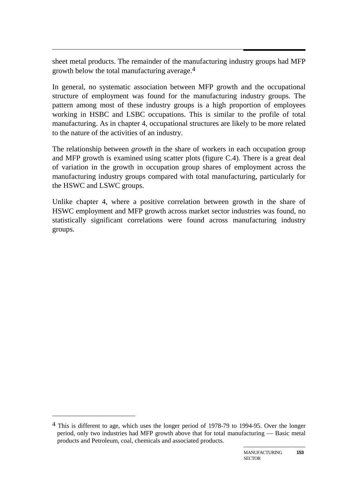sheet metal products. The remainder of the manufacturing industry groups had MFP growth below the total manufacturing average.4

In general, no systematic association between MFP growth and the occupational structure of employment was found for the manufacturing industry groups. The pattern among most of these industry groups is a high proportion of employees working in HSBC and LSBC occupations. This is similar to the profile of total manufacturing. As in chapter 4, occupational structures are likely to be more related to the nature of the activities of an industry.

The relationship between *growth* in the share of workers in each occupation group and MFP growth is examined using scatter plots (figure C.4). There is a great deal of variation in the growth in occupation group shares of employment across the manufacturing industry groups compared with total manufacturing, particularly for the HSWC and LSWC groups.

Unlike chapter 4, where a positive correlation between growth in the share of HSWC employment and MFP growth across market sector industries was found, no statistically significant correlations were found across manufacturing industry groups.

 $4$  This is different to age, which uses the longer period of 1978-79 to 1994-95. Over the longer period, only two industries had MFP growth above that for total manufacturing — Basic metal products and Petroleum, coal, chemicals and associated products.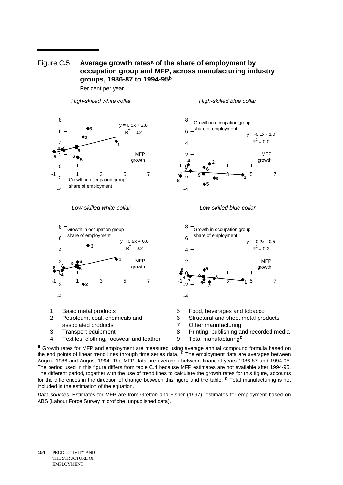#### Figure C**.**5 **Average growth ratesa of the share of employment by occupation group and MFP, across manufacturing industry groups, 1986-87 to 1994-95b** Per cent per year



**a** Growth rates for MFP and employment are measured using average annual compound formula based on the end points of linear trend lines through time series data. **b** The employment data are averages between August 1986 and August 1994. The MFP data are averages between financial years 1986-87 and 1994-95. The period used in this figure differs from table C.4 because MFP estimates are not available after 1994-95. The different period, together with the use of trend lines to calculate the growth rates for this figure, accounts for the differences in the direction of change between this figure and the table. **c** Total manufacturing is not included in the estimation of the equation.

Data sources: Estimates for MFP are from Gretton and Fisher (1997); estimates for employment based on ABS (Labour Force Survey microfiche; unpublished data).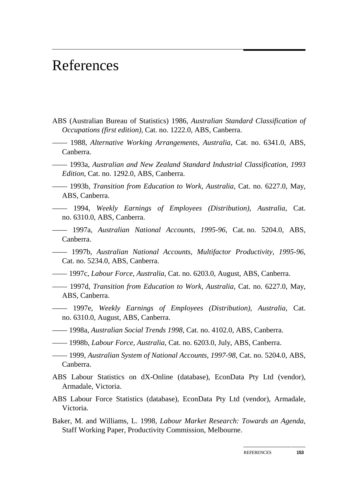# References

- ABS (Australian Bureau of Statistics) 1986, *Australian Standard Classification of Occupations (first edition)*, Cat. no. 1222.0, ABS, Canberra.
- —— 1988, *Alternative Working Arrangements, Australia*, Cat. no. 6341.0, ABS, Canberra.
- —— 1993a, *Australian and New Zealand Standard Industrial Classification, 1993 Edition*, Cat. no. 1292.0, ABS, Canberra.
- —— 1993b, *Transition from Education to Work, Australia,* Cat. no. 6227.0, May, ABS, Canberra.
- —— 1994, *Weekly Earnings of Employees (Distribution), Australia*, Cat. no. 6310.0, ABS, Canberra.
- —— 1997a, *Australian National Accounts, 1995-96*, Cat. no. 5204.0, ABS, Canberra.
- —— 1997b, *Australian National Accounts, Multifactor Productivity, 1995-96*, Cat. no. 5234.0, ABS, Canberra.
- —— 1997c, *Labour Force, Australia*, Cat. no. 6203.0, August, ABS, Canberra.
- —— 1997d, *Transition from Education to Work, Australia*, Cat. no. 6227.0, May, ABS, Canberra.
- —— 1997e, *Weekly Earnings of Employees (Distribution), Australia*, Cat. no. 6310.0, August, ABS, Canberra.
- —— 1998a, *Australian Social Trends 1998,* Cat. no. 4102.0, ABS, Canberra.
- —— 1998b, *Labour Force, Australia,* Cat. no. 6203.0, July, ABS, Canberra.
- —— 1999, *Australian System of National Accounts, 1997-98,* Cat. no. 5204.0, ABS, Canberra.
- ABS Labour Statistics on dX-Online (database), EconData Pty Ltd (vendor), Armadale, Victoria.
- ABS Labour Force Statistics (database), EconData Pty Ltd (vendor), Armadale, Victoria.
- Baker, M. and Williams, L. 1998, *Labour Market Research: Towards an Agenda*, Staff Working Paper, Productivity Commission, Melbourne.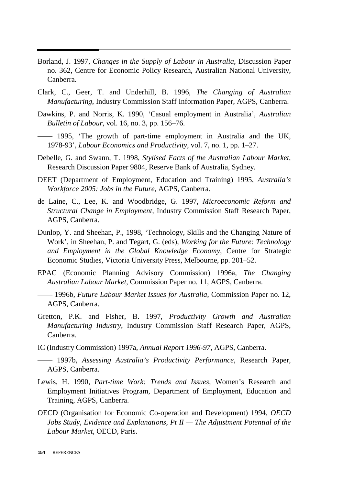- Borland, J. 1997, *Changes in the Supply of Labour in Australia*, Discussion Paper no. 362, Centre for Economic Policy Research, Australian National University, Canberra.
- Clark, C., Geer, T. and Underhill, B. 1996, *The Changing of Australian Manufacturing*, Industry Commission Staff Information Paper, AGPS, Canberra.
- Dawkins, P. and Norris, K. 1990, 'Casual employment in Australia', *Australian Bulletin of Labour*, vol. 16, no. 3, pp. 156–76.
- —— 1995, 'The growth of part-time employment in Australia and the UK, 1978-93', *Labour Economics and Productivity*, vol. 7, no. 1, pp. 1–27.
- Debelle, G. and Swann, T. 1998, *Stylised Facts of the Australian Labour Market*, Research Discussion Paper 9804, Reserve Bank of Australia, Sydney.
- DEET (Department of Employment, Education and Training) 1995*, Australia's Workforce 2005: Jobs in the Future*, AGPS, Canberra.
- de Laine, C., Lee, K. and Woodbridge, G. 1997, *Microeconomic Reform and Structural Change in Employment,* Industry Commission Staff Research Paper, AGPS, Canberra.
- Dunlop, Y. and Sheehan, P., 1998, 'Technology, Skills and the Changing Nature of Work', in Sheehan, P. and Tegart, G. (eds), *Working for the Future: Technology and Employment in the Global Knowledge Economy*, Centre for Strategic Economic Studies, Victoria University Press, Melbourne, pp. 201–52.
- EPAC (Economic Planning Advisory Commission) 1996a, *The Changing Australian Labour Market*, Commission Paper no. 11, AGPS, Canberra.
- —— 1996b, *Future Labour Market Issues for Australia*, Commission Paper no. 12, AGPS, Canberra.
- Gretton, P.K. and Fisher, B. 1997, *Productivity Growth and Australian Manufacturing Industry*, Industry Commission Staff Research Paper, AGPS, Canberra.
- IC (Industry Commission) 1997a, *Annual Report 1996-97*, AGPS, Canberra.
- —— 1997b, *Assessing Australia's Productivity Performance*, Research Paper, AGPS, Canberra.
- Lewis, H. 1990, *Part-time Work: Trends and Issues,* Women's Research and Employment Initiatives Program, Department of Employment, Education and Training, AGPS, Canberra.
- OECD (Organisation for Economic Co-operation and Development) 1994, *OECD Jobs Study, Evidence and Explanations, Pt II — The Adjustment Potential of the Labour Market*, OECD, Paris.